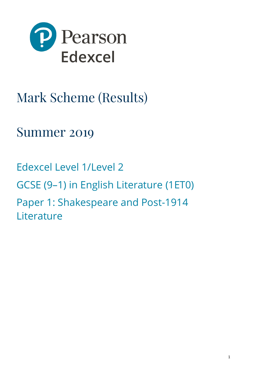

# Mark Scheme (Results)

# Summer 2019

Edexcel Level 1/Level 2 GCSE (9–1) in English Literature (1ET0) Paper 1: Shakespeare and Post-1914 Literature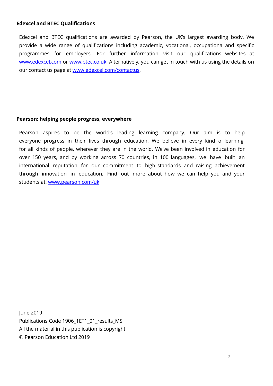#### **Edexcel and BTEC Qualifications**

Edexcel and BTEC qualifications are awarded by Pearson, the UK's largest awarding body. We provide a wide range of qualifications including academic, vocational, occupational and specific programmes for employers. For further information visit our qualifications websites at [www.edexcel.com](http://www.edexcel.com/) or [www.btec.co.uk.](http://www.btec.co.uk/) Alternatively, you can get in touch with us using the details on our contact us page at [www.edexcel.com/contactus.](http://www.edexcel.com/contactus)

#### **Pearson: helping people progress, everywhere**

Pearson aspires to be the world's leading learning company. Our aim is to help everyone progress in their lives through education. We believe in every kind of learning, for all kinds of people, wherever they are in the world. We've been involved in education for over 150 years, and by working across 70 countries, in 100 languages, we have built an international reputation for our commitment to high standards and raising achievement through innovation in education. Find out more about how we can help you and your students at: [www.pearson.com/uk](http://www.pearson.com/uk)

 June 2019 Publications Code 1906\_1ET1\_01\_results\_MS All the material in this publication is copyright © Pearson Education Ltd 2019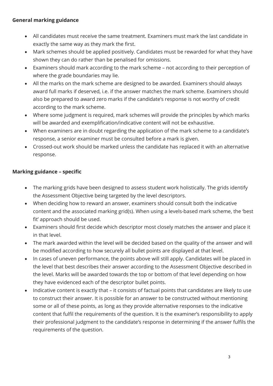## **General marking guidance**

- All candidates must receive the same treatment. Examiners must mark the last candidate in exactly the same way as they mark the first.
- Mark schemes should be applied positively. Candidates must be rewarded for what they have shown they can do rather than be penalised for omissions.
- Examiners should mark according to the mark scheme not according to their perception of where the grade boundaries may lie.
- All the marks on the mark scheme are designed to be awarded. Examiners should always award full marks if deserved, i.e. if the answer matches the mark scheme. Examiners should also be prepared to award zero marks if the candidate's response is not worthy of credit according to the mark scheme.
- Where some judgment is required, mark schemes will provide the principles by which marks will be awarded and exemplification/indicative content will not be exhaustive.
- When examiners are in doubt regarding the application of the mark scheme to a candidate's response, a senior examiner must be consulted before a mark is given.
- Crossed-out work should be marked unless the candidate has replaced it with an alternative response.

# **Marking guidance – specific**

- The marking grids have been designed to assess student work holistically. The grids identify the Assessment Objective being targeted by the level descriptors.
- When deciding how to reward an answer, examiners should consult both the indicative content and the associated marking grid(s). When using a levels-based mark scheme, the 'best fit' approach should be used.
- Examiners should first decide which descriptor most closely matches the answer and place it in that level.
- The mark awarded within the level will be decided based on the quality of the answer and will be modified according to how securely all bullet points are displayed at that level.
- In cases of uneven performance, the points above will still apply. Candidates will be placed in the level that best describes their answer according to the Assessment Objective described in the level. Marks will be awarded towards the top or bottom of that level depending on how they have evidenced each of the descriptor bullet points.
- Indicative content is exactly that it consists of factual points that candidates are likely to use to construct their answer. It is possible for an answer to be constructed without mentioning some or all of these points, as long as they provide alternative responses to the indicative content that fulfil the requirements of the question. It is the examiner's responsibility to apply their professional judgment to the candidate's response in determining if the answer fulfils the requirements of the question.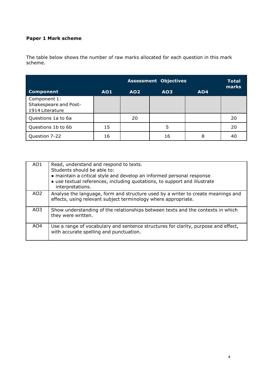### **Paper 1 Mark scheme**

The table below shows the number of raw marks allocated for each question in this mark scheme.

|                                                          |     |                 | <b>Assessment Objectives</b> |            | <b>Total</b><br>marks |
|----------------------------------------------------------|-----|-----------------|------------------------------|------------|-----------------------|
| <b>Component</b>                                         | AO1 | AO <sub>2</sub> | AO <sub>3</sub>              | <b>AO4</b> |                       |
| Component 1:<br>Shakespeare and Post-<br>1914 Literature |     |                 |                              |            |                       |
| Questions 1a to 6a                                       |     | 20              |                              |            | 20                    |
| Questions 1b to 6b                                       | 15  |                 | 5                            |            | 20                    |
| Question 7-22                                            | 16  |                 | 16                           | 8          | 40                    |

| AO <sub>1</sub> | Read, understand and respond to texts.<br>Students should be able to:<br>• maintain a critical style and develop an informed personal response<br>• use textual references, including quotations, to support and illustrate<br>interpretations. |
|-----------------|-------------------------------------------------------------------------------------------------------------------------------------------------------------------------------------------------------------------------------------------------|
| AO <sub>2</sub> | Analyse the language, form and structure used by a writer to create meanings and<br>effects, using relevant subject terminology where appropriate.                                                                                              |
| AO3             | Show understanding of the relationships between texts and the contexts in which<br>they were written.                                                                                                                                           |
| AO4             | Use a range of vocabulary and sentence structures for clarity, purpose and effect,<br>with accurate spelling and punctuation.                                                                                                                   |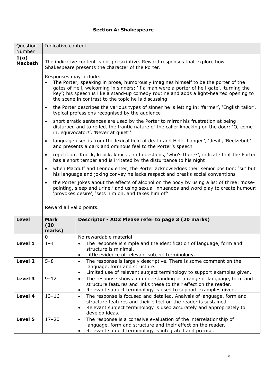#### **Section A: Shakespeare**

| Question<br>Number     | Indicative content                                                                                                                                                                                                                                                                                                                                        |                                                                                                                                                                                                                                                             |  |  |
|------------------------|-----------------------------------------------------------------------------------------------------------------------------------------------------------------------------------------------------------------------------------------------------------------------------------------------------------------------------------------------------------|-------------------------------------------------------------------------------------------------------------------------------------------------------------------------------------------------------------------------------------------------------------|--|--|
| 1(a)<br><b>Macbeth</b> | The indicative content is not prescriptive. Reward responses that explore how<br>Shakespeare presents the character of the Porter.                                                                                                                                                                                                                        |                                                                                                                                                                                                                                                             |  |  |
|                        | Responses may include:<br>The Porter, speaking in prose, humorously imagines himself to be the porter of the<br>gates of Hell, welcoming in sinners: 'if a man were a porter of hell-gate', 'turning the<br>key'; his speech is like a stand-up comedy routine and adds a light-hearted opening to<br>the scene in contrast to the topic he is discussing |                                                                                                                                                                                                                                                             |  |  |
|                        | $\bullet$                                                                                                                                                                                                                                                                                                                                                 | the Porter describes the various types of sinner he is letting in: 'farmer', 'English tailor',<br>typical professions recognised by the audience                                                                                                            |  |  |
|                        | short erratic sentences are used by the Porter to mirror his frustration at being<br>$\bullet$<br>disturbed and to reflect the frantic nature of the caller knocking on the door: 'O, come<br>in, equivocator!', 'Never at quiet!'                                                                                                                        |                                                                                                                                                                                                                                                             |  |  |
|                        | $\bullet$                                                                                                                                                                                                                                                                                                                                                 | language used is from the lexical field of death and Hell: 'hanged', 'devil', 'Beelzebub'<br>and presents a dark and ominous feel to the Porter's speech                                                                                                    |  |  |
|                        | $\bullet$                                                                                                                                                                                                                                                                                                                                                 | repetition, 'Knock, knock, knock', and questions, 'who's there?', indicate that the Porter<br>has a short temper and is irritated by the disturbance to his night                                                                                           |  |  |
|                        | when Macduff and Lennox enter, the Porter acknowledges their senior position: 'sir' but<br>$\bullet$<br>his language and joking convey he lacks respect and breaks social conventions                                                                                                                                                                     |                                                                                                                                                                                                                                                             |  |  |
|                        | $\bullet$                                                                                                                                                                                                                                                                                                                                                 | the Porter jokes about the effects of alcohol on the body by using a list of three: 'nose-<br>painting, sleep and urine,' and using sexual innuendos and word play to create humour:<br>'provokes desire', 'sets him on, and takes him off'.                |  |  |
|                        | Reward all valid points.                                                                                                                                                                                                                                                                                                                                  |                                                                                                                                                                                                                                                             |  |  |
| <b>Level</b>           | <b>Mark</b><br>(20)<br>marks)                                                                                                                                                                                                                                                                                                                             | Descriptor - AO2 Please refer to page 3 (20 marks)                                                                                                                                                                                                          |  |  |
|                        | 0                                                                                                                                                                                                                                                                                                                                                         | No rewardable material.                                                                                                                                                                                                                                     |  |  |
| Level 1                | $1 - 4$                                                                                                                                                                                                                                                                                                                                                   | The response is simple and the identification of language, form and<br>$\bullet$<br>structure is minimal.<br>Little evidence of relevant subject terminology.                                                                                               |  |  |
| Level 2                | $5 - 8$                                                                                                                                                                                                                                                                                                                                                   | The response is largely descriptive. There is some comment on the<br>$\bullet$<br>language, form and structure.<br>Limited use of relevant subject terminology to support examples given.<br>$\bullet$                                                      |  |  |
| Level 3                | $9 - 12$                                                                                                                                                                                                                                                                                                                                                  | The response shows an understanding of a range of language, form and<br>$\bullet$<br>structure features and links these to their effect on the reader.<br>Relevant subject terminology is used to support examples given.<br>$\bullet$                      |  |  |
| Level 4                | $13 - 16$                                                                                                                                                                                                                                                                                                                                                 | The response is focused and detailed. Analysis of language, form and<br>$\bullet$<br>structure features and their effect on the reader is sustained.<br>Relevant subject terminology is used accurately and appropriately to<br>$\bullet$<br>develop ideas. |  |  |
| Level 5                | $17 - 20$                                                                                                                                                                                                                                                                                                                                                 | The response is a cohesive evaluation of the interrelationship of<br>$\bullet$<br>language, form and structure and their effect on the reader.<br>Relevant subject terminology is integrated and precise.                                                   |  |  |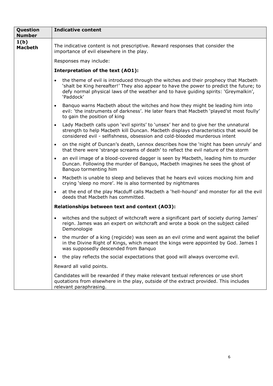| Question<br><b>Number</b> | <b>Indicative content</b>                                                                                                                                                                                                                                                                       |  |  |
|---------------------------|-------------------------------------------------------------------------------------------------------------------------------------------------------------------------------------------------------------------------------------------------------------------------------------------------|--|--|
| 1(b)<br><b>Macbeth</b>    | The indicative content is not prescriptive. Reward responses that consider the<br>importance of evil elsewhere in the play.                                                                                                                                                                     |  |  |
|                           | Responses may include:                                                                                                                                                                                                                                                                          |  |  |
|                           | Interpretation of the text (AO1):                                                                                                                                                                                                                                                               |  |  |
|                           | the theme of evil is introduced through the witches and their prophecy that Macbeth<br>$\bullet$<br>'shalt be King hereafter!' They also appear to have the power to predict the future; to<br>defy normal physical laws of the weather and to have guiding spirits: 'Greymalkin',<br>'Paddock' |  |  |
|                           | Banquo warns Macbeth about the witches and how they might be leading him into<br>$\bullet$<br>evil: 'the instruments of darkness'. He later fears that Macbeth 'played'st most foully'<br>to gain the position of king                                                                          |  |  |
|                           | Lady Macbeth calls upon 'evil spirits' to 'unsex' her and to give her the unnatural<br>$\bullet$<br>strength to help Macbeth kill Duncan. Macbeth displays characteristics that would be<br>considered evil - selfishness, obsession and cold-blooded murderous intent                          |  |  |
|                           | on the night of Duncan's death, Lennox describes how the 'night has been unruly' and<br>$\bullet$<br>that there were 'strange screams of death' to reflect the evil nature of the storm                                                                                                         |  |  |
|                           | an evil image of a blood-covered dagger is seen by Macbeth, leading him to murder<br>$\bullet$<br>Duncan. Following the murder of Banquo, Macbeth imagines he sees the ghost of<br>Banquo tormenting him                                                                                        |  |  |
|                           | Macbeth is unable to sleep and believes that he hears evil voices mocking him and<br>$\bullet$<br>crying 'sleep no more'. He is also tormented by nightmares                                                                                                                                    |  |  |
|                           | at the end of the play Macduff calls Macbeth a 'hell-hound' and monster for all the evil<br>$\bullet$<br>deeds that Macbeth has committed.                                                                                                                                                      |  |  |
|                           | Relationships between text and context (AO3):                                                                                                                                                                                                                                                   |  |  |
|                           | witches and the subject of witchcraft were a significant part of society during James'<br>$\bullet$<br>reign. James was an expert on witchcraft and wrote a book on the subject called<br>Demonologie                                                                                           |  |  |
|                           | the murder of a king (regicide) was seen as an evil crime and went against the belief<br>in the Divine Right of Kings, which meant the kings were appointed by God. James I<br>was supposedly descended from Banquo                                                                             |  |  |
|                           | the play reflects the social expectations that good will always overcome evil.<br>$\bullet$                                                                                                                                                                                                     |  |  |
|                           | Reward all valid points.                                                                                                                                                                                                                                                                        |  |  |
|                           | Candidates will be rewarded if they make relevant textual references or use short<br>quotations from elsewhere in the play, outside of the extract provided. This includes<br>relevant paraphrasing.                                                                                            |  |  |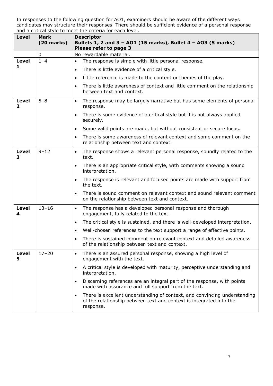| <b>Level</b>                 | <b>Mark</b><br>$(20$ marks) | <b>Descriptor</b><br>Bullets 1, 2 and 3 - A01 (15 marks), Bullet 4 - A03 (5 marks)<br>Please refer to page 3                                                               |  |
|------------------------------|-----------------------------|----------------------------------------------------------------------------------------------------------------------------------------------------------------------------|--|
|                              | 0                           | No rewardable material.                                                                                                                                                    |  |
| <b>Level</b>                 | $1 - 4$                     | The response is simple with little personal response.                                                                                                                      |  |
| 1                            |                             | There is little evidence of a critical style.<br>$\bullet$                                                                                                                 |  |
|                              |                             | Little reference is made to the content or themes of the play.<br>$\bullet$                                                                                                |  |
|                              |                             | There is little awareness of context and little comment on the relationship<br>$\bullet$<br>between text and context.                                                      |  |
| <b>Level</b><br>$\mathbf{2}$ | $5 - 8$                     | The response may be largely narrative but has some elements of personal<br>$\bullet$<br>response.                                                                          |  |
|                              |                             | There is some evidence of a critical style but it is not always applied<br>$\bullet$<br>securely.                                                                          |  |
|                              |                             | Some valid points are made, but without consistent or secure focus.<br>$\bullet$                                                                                           |  |
|                              |                             | There is some awareness of relevant context and some comment on the<br>$\bullet$<br>relationship between text and context.                                                 |  |
| <b>Level</b><br>З            | $9 - 12$                    | The response shows a relevant personal response, soundly related to the<br>$\bullet$<br>text.                                                                              |  |
|                              |                             | There is an appropriate critical style, with comments showing a sound<br>$\bullet$<br>interpretation.                                                                      |  |
|                              |                             | The response is relevant and focused points are made with support from<br>$\bullet$<br>the text.                                                                           |  |
|                              |                             | There is sound comment on relevant context and sound relevant comment<br>$\bullet$<br>on the relationship between text and context.                                        |  |
| <b>Level</b><br>4            | $13 - 16$                   | The response has a developed personal response and thorough<br>$\bullet$<br>engagement, fully related to the text.                                                         |  |
|                              |                             | The critical style is sustained, and there is well-developed interpretation.<br>$\bullet$                                                                                  |  |
|                              |                             | Well-chosen references to the text support a range of effective points.                                                                                                    |  |
|                              |                             | There is sustained comment on relevant context and detailed awareness<br>of the relationship between text and context.                                                     |  |
| <b>Level</b><br>5            | $17 - 20$                   | There is an assured personal response, showing a high level of<br>$\bullet$<br>engagement with the text.                                                                   |  |
|                              |                             | A critical style is developed with maturity, perceptive understanding and<br>$\bullet$<br>interpretation.                                                                  |  |
|                              |                             | Discerning references are an integral part of the response, with points<br>$\bullet$<br>made with assurance and full support from the text.                                |  |
|                              |                             | There is excellent understanding of context, and convincing understanding<br>$\bullet$<br>of the relationship between text and context is integrated into the<br>response. |  |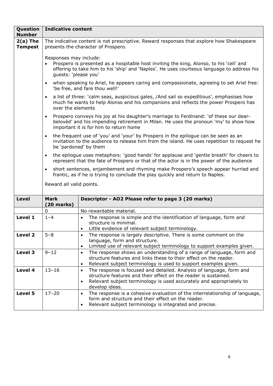| Question<br><b>Number</b>    | <b>Indicative content</b>                                                                                                                                                                                                                            |                                                                                                                                                                                                                                                             |  |  |
|------------------------------|------------------------------------------------------------------------------------------------------------------------------------------------------------------------------------------------------------------------------------------------------|-------------------------------------------------------------------------------------------------------------------------------------------------------------------------------------------------------------------------------------------------------------|--|--|
| $2(a)$ The<br><b>Tempest</b> |                                                                                                                                                                                                                                                      | The indicative content is not prescriptive. Reward responses that explore how Shakespeare<br>presents the character of Prospero.                                                                                                                            |  |  |
|                              | Responses may include:<br>Prospero is presented as a hospitable host inviting the king, Alonso, to his 'cell' and<br>$\bullet$<br>offering to take him to his 'ship' and 'Naples'. He uses courteous language to address his<br>guests: 'please you' |                                                                                                                                                                                                                                                             |  |  |
|                              | $\bullet$                                                                                                                                                                                                                                            | when speaking to Ariel, he appears caring and compassionate, agreeing to set Ariel free:<br>'be free, and fare thou well!'                                                                                                                                  |  |  |
|                              | $\bullet$<br>over the elements                                                                                                                                                                                                                       | a list of three: 'calm seas, auspicious gales, /And sail so expeditious', emphasises how<br>much he wants to help Alonso and his companions and reflects the power Prospero has                                                                             |  |  |
|                              | $\bullet$                                                                                                                                                                                                                                            | Prospero conveys his joy at his daughter's marriage to Ferdinand: 'of these our dear-<br>beloved' and his impending retirement in Milan. He uses the pronoun 'my' to show how<br>important it is for him to return home                                     |  |  |
|                              | the frequent use of 'you' and 'your' by Prospero in the epilogue can be seen as an<br>$\bullet$<br>invitation to the audience to release him from the island. He uses repetition to request he<br>be 'pardoned' by them                              |                                                                                                                                                                                                                                                             |  |  |
|                              | the epilogue uses metaphors: 'good hands' for applause and 'gentle breath' for cheers to<br>$\bullet$<br>represent that the fate of Prospero or that of the actor is in the power of the audience                                                    |                                                                                                                                                                                                                                                             |  |  |
|                              | short sentences, enjambement and rhyming make Prospero's speech appear hurried and<br>$\bullet$<br>frantic, as if he is trying to conclude the play quickly and return to Naples.                                                                    |                                                                                                                                                                                                                                                             |  |  |
|                              | Reward all valid points.                                                                                                                                                                                                                             |                                                                                                                                                                                                                                                             |  |  |
| <b>Level</b>                 | <b>Mark</b><br>$(20$ marks)                                                                                                                                                                                                                          | Descriptor - AO2 Please refer to page 3 (20 marks)                                                                                                                                                                                                          |  |  |
|                              | 0                                                                                                                                                                                                                                                    | No rewardable material.                                                                                                                                                                                                                                     |  |  |
| Level 1                      | $1 - 4$                                                                                                                                                                                                                                              | The response is simple and the identification of language, form and<br>$\bullet$<br>structure is minimal.<br>Little evidence of relevant subject terminology.<br>$\bullet$                                                                                  |  |  |
| Level <sub>2</sub>           | $5 - 8$                                                                                                                                                                                                                                              | The response is largely descriptive. There is some comment on the<br>language, form and structure.<br>Limited use of relevant subject terminology to support examples given.<br>$\bullet$                                                                   |  |  |
| Level 3                      | $9 - 12$                                                                                                                                                                                                                                             | The response shows an understanding of a range of language, form and<br>$\bullet$<br>structure features and links these to their effect on the reader.<br>Relevant subject terminology is used to support examples given.<br>$\bullet$                      |  |  |
| Level 4                      | $13 - 16$                                                                                                                                                                                                                                            | The response is focused and detailed. Analysis of language, form and<br>$\bullet$<br>structure features and their effect on the reader is sustained.<br>Relevant subject terminology is used accurately and appropriately to<br>$\bullet$<br>develop ideas. |  |  |
| Level 5                      | $17 - 20$                                                                                                                                                                                                                                            | The response is a cohesive evaluation of the interrelationship of language,<br>$\bullet$<br>form and structure and their effect on the reader.<br>Relevant subject terminology is integrated and precise.<br>$\bullet$                                      |  |  |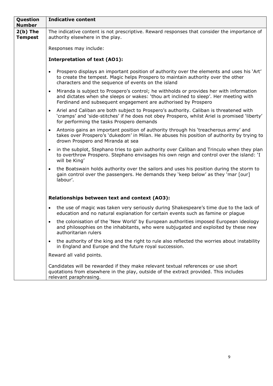| Question<br><b>Number</b>    | <b>Indicative content</b>                                                                                                                                                                                                                                       |  |  |  |  |
|------------------------------|-----------------------------------------------------------------------------------------------------------------------------------------------------------------------------------------------------------------------------------------------------------------|--|--|--|--|
| $2(b)$ The<br><b>Tempest</b> | The indicative content is not prescriptive. Reward responses that consider the importance of<br>authority elsewhere in the play.                                                                                                                                |  |  |  |  |
|                              | Responses may include:                                                                                                                                                                                                                                          |  |  |  |  |
|                              | <b>Interpretation of text (AO1):</b>                                                                                                                                                                                                                            |  |  |  |  |
|                              | Prospero displays an important position of authority over the elements and uses his 'Art'<br>$\bullet$<br>to create the tempest. Magic helps Prospero to maintain authority over the other<br>characters and the sequence of events on the island               |  |  |  |  |
|                              | Miranda is subject to Prospero's control; he withholds or provides her with information<br>$\bullet$<br>and dictates when she sleeps or wakes: 'thou art inclined to sleep'. Her meeting with<br>Ferdinand and subsequent engagement are authorised by Prospero |  |  |  |  |
|                              | Ariel and Caliban are both subject to Prospero's authority. Caliban is threatened with<br>$\bullet$<br>'cramps' and 'side-stitches' if he does not obey Prospero, whilst Ariel is promised 'liberty'<br>for performing the tasks Prospero demands               |  |  |  |  |
|                              | Antonio gains an important position of authority through his 'treacherous army' and<br>$\bullet$<br>takes over Prospero's 'dukedom' in Milan. He abuses his position of authority by trying to<br>drown Prospero and Miranda at sea                             |  |  |  |  |
|                              | in the subplot, Stephano tries to gain authority over Caliban and Trinculo when they plan<br>$\bullet$<br>to overthrow Prospero. Stephano envisages his own reign and control over the island: 'I<br>will be King'                                              |  |  |  |  |
|                              | the Boatswain holds authority over the sailors and uses his position during the storm to<br>$\bullet$<br>gain control over the passengers. He demands they 'keep below' as they 'mar [our]<br>labour'.                                                          |  |  |  |  |
|                              |                                                                                                                                                                                                                                                                 |  |  |  |  |
|                              | Relationships between text and context (AO3):                                                                                                                                                                                                                   |  |  |  |  |
|                              | the use of magic was taken very seriously during Shakespeare's time due to the lack of<br>$\bullet$<br>education and no natural explanation for certain events such as famine or plague                                                                         |  |  |  |  |
|                              | the colonisation of the 'New World' by European authorities imposed European ideology<br>and philosophies on the inhabitants, who were subjugated and exploited by these new<br>authoritarian rulers                                                            |  |  |  |  |
|                              | the authority of the king and the right to rule also reflected the worries about instability<br>$\bullet$<br>in England and Europe and the future royal succession.                                                                                             |  |  |  |  |
|                              | Reward all valid points.                                                                                                                                                                                                                                        |  |  |  |  |
|                              | Candidates will be rewarded if they make relevant textual references or use short<br>quotations from elsewhere in the play, outside of the extract provided. This includes                                                                                      |  |  |  |  |

relevant paraphrasing.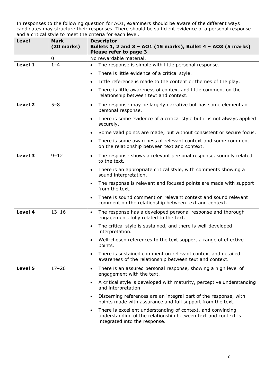| <b>Level</b> | Mark<br>$(20$ marks) | <b>Descriptor</b><br>Bullets 1, 2 and 3 - AO1 (15 marks), Bullet 4 - AO3 (5 marks)<br>Please refer to page 3                                                               |  |
|--------------|----------------------|----------------------------------------------------------------------------------------------------------------------------------------------------------------------------|--|
|              | 0                    | No rewardable material.                                                                                                                                                    |  |
| Level 1      | $1 - 4$              | The response is simple with little personal response.                                                                                                                      |  |
|              |                      | There is little evidence of a critical style.<br>$\bullet$                                                                                                                 |  |
|              |                      | Little reference is made to the content or themes of the play.<br>$\bullet$                                                                                                |  |
|              |                      | There is little awareness of context and little comment on the<br>$\bullet$<br>relationship between text and context.                                                      |  |
| Level 2      | $5 - 8$              | The response may be largely narrative but has some elements of<br>$\bullet$<br>personal response.                                                                          |  |
|              |                      | There is some evidence of a critical style but it is not always applied<br>$\bullet$<br>securely.                                                                          |  |
|              |                      | Some valid points are made, but without consistent or secure focus.<br>$\bullet$                                                                                           |  |
|              |                      | There is some awareness of relevant context and some comment<br>$\bullet$<br>on the relationship between text and context.                                                 |  |
| Level 3      | $9 - 12$             | The response shows a relevant personal response, soundly related<br>$\bullet$<br>to the text.                                                                              |  |
|              |                      | There is an appropriate critical style, with comments showing a<br>$\bullet$<br>sound interpretation.                                                                      |  |
|              |                      | The response is relevant and focused points are made with support<br>$\bullet$<br>from the text.                                                                           |  |
|              |                      | There is sound comment on relevant context and sound relevant<br>$\bullet$<br>comment on the relationship between text and context.                                        |  |
| Level 4      | $13 - 16$            | The response has a developed personal response and thorough<br>$\bullet$<br>engagement, fully related to the text.                                                         |  |
|              |                      | The critical style is sustained, and there is well-developed<br>$\bullet$<br>interpretation.                                                                               |  |
|              |                      | Well-chosen references to the text support a range of effective<br>$\bullet$<br>points.                                                                                    |  |
|              |                      | There is sustained comment on relevant context and detailed<br>$\bullet$<br>awareness of the relationship between text and context.                                        |  |
| Level 5      | $17 - 20$            | There is an assured personal response, showing a high level of<br>$\bullet$<br>engagement with the text.                                                                   |  |
|              |                      | A critical style is developed with maturity, perceptive understanding<br>$\bullet$<br>and interpretation.                                                                  |  |
|              |                      | Discerning references are an integral part of the response, with<br>$\bullet$<br>points made with assurance and full support from the text.                                |  |
|              |                      | There is excellent understanding of context, and convincing<br>$\bullet$<br>understanding of the relationship between text and context is<br>integrated into the response. |  |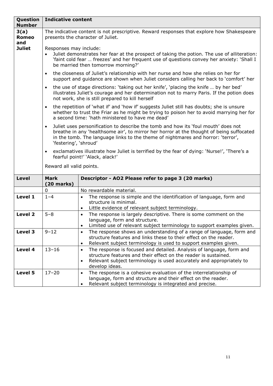| Question<br><b>Number</b>   | <b>Indicative content</b>                                                                                                                                                                                                                                |                                                                                                                                                                                                                                                                    |  |  |
|-----------------------------|----------------------------------------------------------------------------------------------------------------------------------------------------------------------------------------------------------------------------------------------------------|--------------------------------------------------------------------------------------------------------------------------------------------------------------------------------------------------------------------------------------------------------------------|--|--|
| 3(a)<br><b>Romeo</b><br>and | The indicative content is not prescriptive. Reward responses that explore how Shakespeare<br>presents the character of Juliet.                                                                                                                           |                                                                                                                                                                                                                                                                    |  |  |
| <b>Juliet</b>               | Responses may include:<br>Juliet demonstrates her fear at the prospect of taking the potion. The use of alliteration:<br>'faint cold fear  freezes' and her frequent use of questions convey her anxiety: 'Shall I<br>be married then tomorrow morning?' |                                                                                                                                                                                                                                                                    |  |  |
|                             | $\bullet$                                                                                                                                                                                                                                                | the closeness of Juliet's relationship with her nurse and how she relies on her for<br>support and guidance are shown when Juliet considers calling her back to 'comfort' her                                                                                      |  |  |
|                             | $\bullet$                                                                                                                                                                                                                                                | the use of stage directions: 'taking out her knife', 'placing the knife  by her bed'<br>illustrates Juliet's courage and her determination not to marry Paris. If the potion does<br>not work, she is still prepared to kill herself                               |  |  |
|                             | the repetition of 'what if' and 'how if' suggests Juliet still has doubts; she is unsure<br>$\bullet$<br>whether to trust the Friar as he might be trying to poison her to avoid marrying her for<br>a second time: 'hath ministered to have me dead'    |                                                                                                                                                                                                                                                                    |  |  |
|                             | $\bullet$<br>'festering', 'shroud'                                                                                                                                                                                                                       | Juliet uses personification to describe the tomb and how its 'foul mouth' does not<br>breathe in any 'healthsome air', to mirror her horror at the thought of being suffocated<br>in the tomb. The language links to the theme of nightmares and horror: 'terror', |  |  |
|                             | $\bullet$                                                                                                                                                                                                                                                | exclamatives illustrate how Juliet is terrified by the fear of dying: 'Nurse!', 'There's a<br>fearful point!' 'Alack, alack!'                                                                                                                                      |  |  |
|                             | Reward all valid points.                                                                                                                                                                                                                                 |                                                                                                                                                                                                                                                                    |  |  |
| Level                       | <b>Mark</b><br>$(20$ marks)                                                                                                                                                                                                                              | Descriptor - AO2 Please refer to page 3 (20 marks)                                                                                                                                                                                                                 |  |  |
|                             | 0                                                                                                                                                                                                                                                        | No rewardable material.                                                                                                                                                                                                                                            |  |  |
| Level 1                     | $1 - 4$                                                                                                                                                                                                                                                  | The response is simple and the identification of language, form and<br>$\bullet$<br>structure is minimal.                                                                                                                                                          |  |  |
|                             |                                                                                                                                                                                                                                                          | Little evidence of relevant subject terminology.<br>$\bullet$                                                                                                                                                                                                      |  |  |
| Level 2                     | $5 - 8$                                                                                                                                                                                                                                                  | The response is largely descriptive. There is some comment on the<br>$\bullet$<br>language, form and structure.<br>Limited use of relevant subject terminology to support examples given.<br>$\bullet$                                                             |  |  |
| Level 3                     | $9 - 12$                                                                                                                                                                                                                                                 | The response shows an understanding of a range of language, form and<br>$\bullet$<br>structure features and links these to their effect on the reader.<br>Relevant subject terminology is used to support examples given.<br>$\bullet$                             |  |  |
| Level 4                     | $13 - 16$                                                                                                                                                                                                                                                | The response is focused and detailed. Analysis of language, form and<br>$\bullet$<br>structure features and their effect on the reader is sustained.<br>Relevant subject terminology is used accurately and appropriately to<br>$\bullet$<br>develop ideas.        |  |  |
| Level 5                     | $17 - 20$                                                                                                                                                                                                                                                | The response is a cohesive evaluation of the interrelationship of<br>$\bullet$<br>language, form and structure and their effect on the reader.<br>Relevant subject terminology is integrated and precise.<br>$\bullet$                                             |  |  |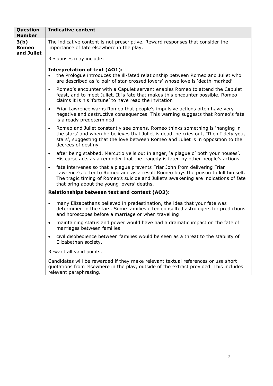| Question<br><b>Number</b>          | <b>Indicative content</b>                                                                                                                                                                                                                                                                                         |  |  |  |
|------------------------------------|-------------------------------------------------------------------------------------------------------------------------------------------------------------------------------------------------------------------------------------------------------------------------------------------------------------------|--|--|--|
| 3(b)<br><b>Romeo</b><br>and Juliet | The indicative content is not prescriptive. Reward responses that consider the<br>importance of fate elsewhere in the play.                                                                                                                                                                                       |  |  |  |
|                                    | Responses may include:                                                                                                                                                                                                                                                                                            |  |  |  |
|                                    | <b>Interpretation of text (AO1):</b><br>the Prologue introduces the ill-fated relationship between Romeo and Juliet who<br>are described as 'a pair of star-crossed lovers' whose love is 'death-marked'                                                                                                          |  |  |  |
|                                    | Romeo's encounter with a Capulet servant enables Romeo to attend the Capulet<br>$\bullet$<br>feast, and to meet Juliet. It is fate that makes this encounter possible. Romeo<br>claims it is his 'fortune' to have read the invitation                                                                            |  |  |  |
|                                    | Friar Lawrence warns Romeo that people's impulsive actions often have very<br>$\bullet$<br>negative and destructive consequences. This warning suggests that Romeo's fate<br>is already predetermined                                                                                                             |  |  |  |
|                                    | Romeo and Juliet constantly see omens. Romeo thinks something is 'hanging in<br>$\bullet$<br>the stars' and when he believes that Juliet is dead, he cries out, 'Then I defy you,<br>stars', suggesting that the love between Romeo and Juliet is in opposition to the<br>decrees of destiny                      |  |  |  |
|                                    | after being stabbed, Mercutio yells out in anger, 'a plague o' both your houses'.<br>$\bullet$<br>His curse acts as a reminder that the tragedy is fated by other people's actions                                                                                                                                |  |  |  |
|                                    | fate intervenes so that a plague prevents Friar John from delivering Friar<br>$\bullet$<br>Lawrence's letter to Romeo and as a result Romeo buys the poison to kill himself.<br>The tragic timing of Romeo's suicide and Juliet's awakening are indications of fate<br>that bring about the young lovers' deaths. |  |  |  |
|                                    | Relationships between text and context (AO3):                                                                                                                                                                                                                                                                     |  |  |  |
|                                    | many Elizabethans believed in predestination, the idea that your fate was<br>$\bullet$<br>determined in the stars. Some families often consulted astrologers for predictions<br>and horoscopes before a marriage or when travelling                                                                               |  |  |  |
|                                    | maintaining status and power would have had a dramatic impact on the fate of<br>$\bullet$<br>marriages between families                                                                                                                                                                                           |  |  |  |
|                                    | civil disobedience between families would be seen as a threat to the stability of<br>$\bullet$<br>Elizabethan society.                                                                                                                                                                                            |  |  |  |
|                                    | Reward all valid points.                                                                                                                                                                                                                                                                                          |  |  |  |
|                                    | Candidates will be rewarded if they make relevant textual references or use short<br>quotations from elsewhere in the play, outside of the extract provided. This includes<br>relevant paraphrasing.                                                                                                              |  |  |  |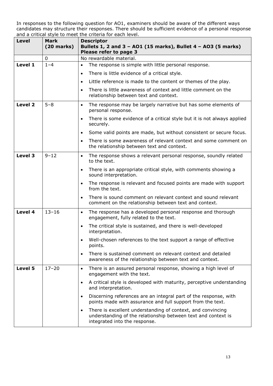| <b>Level</b> | <b>Mark</b><br>$(20$ marks) | <b>Descriptor</b><br>Bullets 1, 2 and 3 - AO1 (15 marks), Bullet 4 - AO3 (5 marks)<br>Please refer to page 3                                                               |  |
|--------------|-----------------------------|----------------------------------------------------------------------------------------------------------------------------------------------------------------------------|--|
|              | 0                           | No rewardable material.                                                                                                                                                    |  |
| Level 1      | $1 - 4$                     | The response is simple with little personal response.<br>$\bullet$                                                                                                         |  |
|              |                             | There is little evidence of a critical style.<br>$\bullet$                                                                                                                 |  |
|              |                             | Little reference is made to the content or themes of the play.<br>$\bullet$                                                                                                |  |
|              |                             | There is little awareness of context and little comment on the<br>$\bullet$<br>relationship between text and context.                                                      |  |
| Level 2      | $5 - 8$                     | The response may be largely narrative but has some elements of<br>$\bullet$<br>personal response.                                                                          |  |
|              |                             | There is some evidence of a critical style but it is not always applied<br>$\bullet$<br>securely.                                                                          |  |
|              |                             | Some valid points are made, but without consistent or secure focus.<br>$\bullet$                                                                                           |  |
|              |                             | There is some awareness of relevant context and some comment on<br>$\bullet$<br>the relationship between text and context.                                                 |  |
| Level 3      | $9 - 12$                    | The response shows a relevant personal response, soundly related<br>$\bullet$<br>to the text.                                                                              |  |
|              |                             | There is an appropriate critical style, with comments showing a<br>$\bullet$<br>sound interpretation.                                                                      |  |
|              |                             | The response is relevant and focused points are made with support<br>$\bullet$<br>from the text.                                                                           |  |
|              |                             | There is sound comment on relevant context and sound relevant<br>$\bullet$<br>comment on the relationship between text and context.                                        |  |
| Level 4      | $13 - 16$                   | The response has a developed personal response and thorough<br>$\bullet$<br>engagement, fully related to the text.                                                         |  |
|              |                             | The critical style is sustained, and there is well-developed<br>$\bullet$<br>interpretation.                                                                               |  |
|              |                             | Well-chosen references to the text support a range of effective<br>$\bullet$<br>points.                                                                                    |  |
|              |                             | There is sustained comment on relevant context and detailed<br>$\bullet$<br>awareness of the relationship between text and context.                                        |  |
| Level 5      | $17 - 20$                   | There is an assured personal response, showing a high level of<br>$\bullet$<br>engagement with the text.                                                                   |  |
|              |                             | A critical style is developed with maturity, perceptive understanding<br>$\bullet$<br>and interpretation.                                                                  |  |
|              |                             | Discerning references are an integral part of the response, with<br>$\bullet$<br>points made with assurance and full support from the text.                                |  |
|              |                             | There is excellent understanding of context, and convincing<br>$\bullet$<br>understanding of the relationship between text and context is<br>integrated into the response. |  |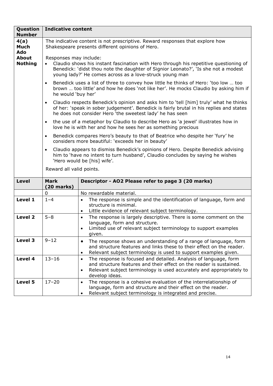| Question<br><b>Number</b>      | <b>Indicative content</b>                                                                                                                                                                                                                                        |                                                                                                                                                                                                                                                             |  |  |
|--------------------------------|------------------------------------------------------------------------------------------------------------------------------------------------------------------------------------------------------------------------------------------------------------------|-------------------------------------------------------------------------------------------------------------------------------------------------------------------------------------------------------------------------------------------------------------|--|--|
| 4(a)<br><b>Much</b><br>Ado     |                                                                                                                                                                                                                                                                  | The indicative content is not prescriptive. Reward responses that explore how<br>Shakespeare presents different opinions of Hero.                                                                                                                           |  |  |
| <b>About</b><br><b>Nothing</b> | Responses may include:<br>Claudio shows his instant fascination with Hero through his repetitive questioning of<br>Benedick: 'didst thou note the daughter of Signior Leonato?', 'Is she not a modest<br>young lady?' He comes across as a love-struck young man |                                                                                                                                                                                                                                                             |  |  |
|                                | $\bullet$                                                                                                                                                                                                                                                        | Benedick uses a list of three to convey how little he thinks of Hero: 'too low  too<br>brown  too little' and how he does 'not like her'. He mocks Claudio by asking him if<br>he would 'buy her'                                                           |  |  |
|                                | $\bullet$                                                                                                                                                                                                                                                        | Claudio respects Benedick's opinion and asks him to 'tell [him] truly' what he thinks<br>of her: 'speak in sober judgement'. Benedick is fairly brutal in his replies and states<br>he does not consider Hero 'the sweetest lady' he has seen               |  |  |
|                                | $\bullet$                                                                                                                                                                                                                                                        | the use of a metaphor by Claudio to describe Hero as 'a jewel' illustrates how in<br>love he is with her and how he sees her as something precious                                                                                                          |  |  |
|                                | $\bullet$                                                                                                                                                                                                                                                        | Benedick compares Hero's beauty to that of Beatrice who despite her 'fury' he<br>considers more beautiful: 'exceeds her in beauty'                                                                                                                          |  |  |
|                                | $\bullet$                                                                                                                                                                                                                                                        | Claudio appears to dismiss Benedick's opinions of Hero. Despite Benedick advising<br>him to 'have no intent to turn husband', Claudio concludes by saying he wishes<br>'Hero would be [his] wife'.                                                          |  |  |
|                                | Reward all valid points.                                                                                                                                                                                                                                         |                                                                                                                                                                                                                                                             |  |  |
| <b>Level</b>                   | <b>Mark</b><br>$(20$ marks)                                                                                                                                                                                                                                      | Descriptor - AO2 Please refer to page 3 (20 marks)                                                                                                                                                                                                          |  |  |
|                                | 0                                                                                                                                                                                                                                                                | No rewardable material.                                                                                                                                                                                                                                     |  |  |
| Level 1                        | $1 - 4$                                                                                                                                                                                                                                                          | The response is simple and the identification of language, form and<br>$\bullet$<br>structure is minimal.<br>Little evidence of relevant subject terminology.<br>$\bullet$                                                                                  |  |  |
| Level 2                        | $5 - 8$                                                                                                                                                                                                                                                          | The response is largely descriptive. There is some comment on the<br>$\bullet$<br>language, form and structure.<br>Limited use of relevant subject terminology to support examples<br>$\bullet$<br>given.                                                   |  |  |
| Level 3                        | $9 - 12$                                                                                                                                                                                                                                                         | The response shows an understanding of a range of language, form<br>$\bullet$<br>and structure features and links these to their effect on the reader.<br>Relevant subject terminology is used to support examples given.<br>$\bullet$                      |  |  |
| Level 4                        | $13 - 16$                                                                                                                                                                                                                                                        | The response is focused and detailed. Analysis of language, form<br>$\bullet$<br>and structure features and their effect on the reader is sustained.<br>Relevant subject terminology is used accurately and appropriately to<br>$\bullet$<br>develop ideas. |  |  |
| Level 5                        | $17 - 20$                                                                                                                                                                                                                                                        | The response is a cohesive evaluation of the interrelationship of<br>$\bullet$<br>language, form and structure and their effect on the reader.<br>Relevant subject terminology is integrated and precise.<br>$\bullet$                                      |  |  |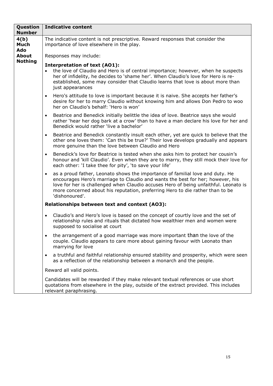| Question<br><b>Number</b>  | <b>Indicative content</b>                                                                                                                                                                                                                                                                                                                                               |  |  |
|----------------------------|-------------------------------------------------------------------------------------------------------------------------------------------------------------------------------------------------------------------------------------------------------------------------------------------------------------------------------------------------------------------------|--|--|
| 4(b)<br><b>Much</b><br>Ado | The indicative content is not prescriptive. Reward responses that consider the<br>importance of love elsewhere in the play.                                                                                                                                                                                                                                             |  |  |
| <b>About</b>               | Responses may include:                                                                                                                                                                                                                                                                                                                                                  |  |  |
| <b>Nothing</b>             | <b>Interpretation of text (AO1):</b><br>the love of Claudio and Hero is of central importance; however, when he suspects<br>$\bullet$<br>her of infidelity, he decides to 'shame her'. When Claudio's love for Hero is re-<br>established, some may consider that Claudio learns that love is about more than<br>just appearances                                       |  |  |
|                            | Hero's attitude to love is important because it is naive. She accepts her father's<br>$\bullet$<br>desire for her to marry Claudio without knowing him and allows Don Pedro to woo<br>her on Claudio's behalf: 'Hero is won'                                                                                                                                            |  |  |
|                            | Beatrice and Benedick initially belittle the idea of love. Beatrice says she would<br>$\bullet$<br>rather 'hear her dog bark at a crow' than to have a man declare his love for her and<br>Benedick would rather 'live a bachelor'                                                                                                                                      |  |  |
|                            | Beatrice and Benedick constantly insult each other, yet are quick to believe that the<br>$\bullet$<br>other one loves them: 'Can this be true?' Their love develops gradually and appears<br>more genuine than the love between Claudio and Hero                                                                                                                        |  |  |
|                            | Benedick's love for Beatrice is tested when she asks him to protect her cousin's<br>$\bullet$<br>honour and 'kill Claudio'. Even when they are to marry, they still mock their love for<br>each other: 'I take thee for pity', 'to save your life'                                                                                                                      |  |  |
|                            | as a proud father, Leonato shows the importance of familial love and duty. He<br>$\bullet$<br>encourages Hero's marriage to Claudio and wants the best for her; however, his<br>love for her is challenged when Claudio accuses Hero of being unfaithful. Leonato is<br>more concerned about his reputation, preferring Hero to die rather than to be<br>'dishonoured'. |  |  |
|                            | Relationships between text and context (AO3):                                                                                                                                                                                                                                                                                                                           |  |  |
|                            | Claudio's and Hero's love is based on the concept of courtly love and the set of<br>$\bullet$<br>relationship rules and rituals that dictated how wealthier men and women were<br>supposed to socialise at court                                                                                                                                                        |  |  |
|                            | the arrangement of a good marriage was more important than the love of the<br>$\bullet$<br>couple. Claudio appears to care more about gaining favour with Leonato than<br>marrying for love                                                                                                                                                                             |  |  |
|                            | a truthful and faithful relationship ensured stability and prosperity, which were seen<br>$\bullet$<br>as a reflection of the relationship between a monarch and the people.                                                                                                                                                                                            |  |  |
|                            | Reward all valid points.                                                                                                                                                                                                                                                                                                                                                |  |  |
|                            | Candidates will be rewarded if they make relevant textual references or use short<br>quotations from elsewhere in the play, outside of the extract provided. This includes<br>relevant paraphrasing.                                                                                                                                                                    |  |  |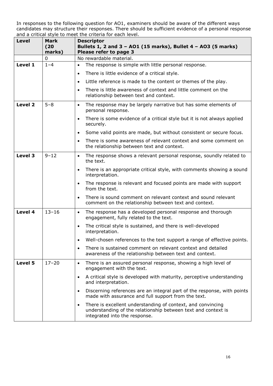| Level   | Mark<br>(20)<br>marks) | <b>Descriptor</b><br>Bullets 1, 2 and 3 - AO1 (15 marks), Bullet 4 - AO3 (5 marks)<br>Please refer to page 3                                                               |
|---------|------------------------|----------------------------------------------------------------------------------------------------------------------------------------------------------------------------|
|         | 0                      | No rewardable material.                                                                                                                                                    |
| Level 1 | $1 - 4$                | The response is simple with little personal response.<br>$\bullet$                                                                                                         |
|         |                        | There is little evidence of a critical style.<br>$\bullet$                                                                                                                 |
|         |                        | Little reference is made to the content or themes of the play.<br>$\bullet$                                                                                                |
|         |                        | There is little awareness of context and little comment on the<br>$\bullet$<br>relationship between text and context.                                                      |
| Level 2 | $5 - 8$                | The response may be largely narrative but has some elements of<br>$\bullet$<br>personal response.                                                                          |
|         |                        | There is some evidence of a critical style but it is not always applied<br>$\bullet$<br>securely.                                                                          |
|         |                        | Some valid points are made, but without consistent or secure focus.<br>$\bullet$                                                                                           |
|         |                        | There is some awareness of relevant context and some comment on<br>$\bullet$<br>the relationship between text and context.                                                 |
| Level 3 | $9 - 12$               | The response shows a relevant personal response, soundly related to<br>$\bullet$<br>the text.                                                                              |
|         |                        | There is an appropriate critical style, with comments showing a sound<br>$\bullet$<br>interpretation.                                                                      |
|         |                        | The response is relevant and focused points are made with support<br>$\bullet$<br>from the text.                                                                           |
|         |                        | There is sound comment on relevant context and sound relevant<br>$\bullet$<br>comment on the relationship between text and context.                                        |
| Level 4 | $13 - 16$              | The response has a developed personal response and thorough<br>$\bullet$<br>engagement, fully related to the text.                                                         |
|         |                        | The critical style is sustained, and there is well-developed<br>$\bullet$<br>interpretation.                                                                               |
|         |                        | Well-chosen references to the text support a range of effective points.<br>$\bullet$                                                                                       |
|         |                        | There is sustained comment on relevant context and detailed<br>$\bullet$<br>awareness of the relationship between text and context.                                        |
| Level 5 | $17 - 20$              | There is an assured personal response, showing a high level of<br>$\bullet$<br>engagement with the text.                                                                   |
|         |                        | A critical style is developed with maturity, perceptive understanding<br>$\bullet$<br>and interpretation.                                                                  |
|         |                        | Discerning references are an integral part of the response, with points<br>$\bullet$<br>made with assurance and full support from the text.                                |
|         |                        | There is excellent understanding of context, and convincing<br>$\bullet$<br>understanding of the relationship between text and context is<br>integrated into the response. |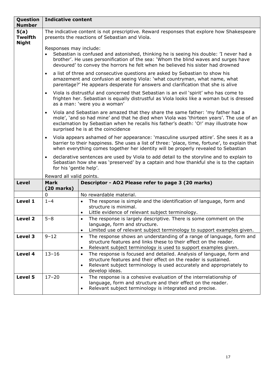| Question<br><b>Number</b>              | <b>Indicative content</b>           |                                                                                                                                                                                                                                                                                                            |
|----------------------------------------|-------------------------------------|------------------------------------------------------------------------------------------------------------------------------------------------------------------------------------------------------------------------------------------------------------------------------------------------------------|
| 5(a)<br><b>Twelfth</b><br><b>Night</b> |                                     | The indicative content is not prescriptive. Reward responses that explore how Shakespeare<br>presents the reactions of Sebastian and Viola.                                                                                                                                                                |
|                                        | Responses may include:              | Sebastian is confused and astonished, thinking he is seeing his double: 'I never had a<br>brother'. He uses personification of the sea: 'Whom the blind waves and surges have<br>devoured' to convey the horrors he felt when he believed his sister had drowned                                           |
|                                        | $\bullet$                           | a list of three and consecutive questions are asked by Sebastian to show his<br>amazement and confusion at seeing Viola: 'what countryman, what name, what<br>parentage?' He appears desperate for answers and clarification that she is alive                                                             |
|                                        | $\bullet$                           | Viola is distrustful and concerned that Sebastian is an evil 'spirit' who has come to<br>frighten her. Sebastian is equally distrustful as Viola looks like a woman but is dressed<br>as a man: 'were you a woman'                                                                                         |
|                                        | $\bullet$                           | Viola and Sebastian are amazed that they share the same father: 'my father had a<br>mole', 'and so had mine' and that he died when Viola was 'thirteen years'. The use of an<br>exclamation by Sebastian when he recalls his father's death: 'O!' may illustrate how<br>surprised he is at the coincidence |
|                                        | $\bullet$                           | Viola appears ashamed of her appearance: 'masculine usurped attire'. She sees it as a<br>barrier to their happiness. She uses a list of three: 'place, time, fortune', to explain that<br>when everything comes together her identity will be properly revealed to Sebastian                               |
|                                        | $\bullet$<br>for his 'gentle help'. | declarative sentences are used by Viola to add detail to the storyline and to explain to<br>Sebastian how she was 'preserved' by a captain and how thankful she is to the captain                                                                                                                          |
|                                        | Reward all valid points.            |                                                                                                                                                                                                                                                                                                            |
| <b>Level</b>                           | <b>Mark</b><br>$(20$ marks)         | Descriptor - AO2 Please refer to page 3 (20 marks)                                                                                                                                                                                                                                                         |
|                                        | $\mathbf 0$                         | No rewardable material.                                                                                                                                                                                                                                                                                    |
| Level 1                                | $1 - 4$                             | The response is simple and the identification of language, form and<br>$\bullet$<br>structure is minimal.                                                                                                                                                                                                  |
|                                        |                                     | Little evidence of relevant subject terminology.<br>$\bullet$                                                                                                                                                                                                                                              |
| Level 2                                | $5 - 8$                             | The response is largely descriptive. There is some comment on the<br>$\bullet$<br>language, form and structure.<br>Limited use of relevant subject terminology to support examples given.<br>$\bullet$                                                                                                     |
| Level 3                                | $9 - 12$                            | The response shows an understanding of a range of language, form and<br>$\bullet$<br>structure features and links these to their effect on the reader.<br>Relevant subject terminology is used to support examples given.<br>$\bullet$                                                                     |
| Level 4                                | $13 - 16$                           | The response is focused and detailed. Analysis of language, form and<br>$\bullet$<br>structure features and their effect on the reader is sustained.<br>Relevant subject terminology is used accurately and appropriately to<br>$\bullet$<br>develop ideas.                                                |
| Level 5                                | $17 - 20$                           | The response is a cohesive evaluation of the interrelationship of<br>$\bullet$<br>language, form and structure and their effect on the reader.<br>Relevant subject terminology is integrated and precise.<br>$\bullet$                                                                                     |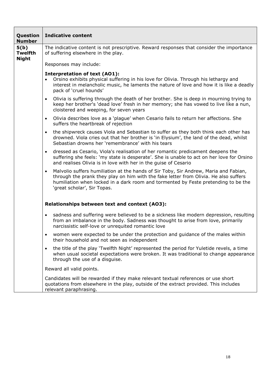| Question<br><b>Number</b>              | <b>Indicative content</b>                                                                                                                                                                                                                                                                                      |
|----------------------------------------|----------------------------------------------------------------------------------------------------------------------------------------------------------------------------------------------------------------------------------------------------------------------------------------------------------------|
| 5(b)<br><b>Twelfth</b><br><b>Night</b> | The indicative content is not prescriptive. Reward responses that consider the importance<br>of suffering elsewhere in the play.                                                                                                                                                                               |
|                                        | Responses may include:                                                                                                                                                                                                                                                                                         |
|                                        | <b>Interpretation of text (AO1):</b><br>Orsino exhibits physical suffering in his love for Olivia. Through his lethargy and<br>$\bullet$<br>interest in melancholic music, he laments the nature of love and how it is like a deadly<br>pack of 'cruel hounds'                                                 |
|                                        | Olivia is suffering through the death of her brother. She is deep in mourning trying to<br>$\bullet$<br>keep her brother's 'dead love' fresh in her memory; she has vowed to live like a nun,<br>cloistered and weeping, for seven years                                                                       |
|                                        | Olivia describes love as a 'plague' when Cesario fails to return her affections. She<br>$\bullet$<br>suffers the heartbreak of rejection                                                                                                                                                                       |
|                                        | the shipwreck causes Viola and Sebastian to suffer as they both think each other has<br>$\bullet$<br>drowned. Viola cries out that her brother is 'in Elysium', the land of the dead, whilst<br>Sebastian drowns her 'remembrance' with his tears                                                              |
|                                        | dressed as Cesario, Viola's realisation of her romantic predicament deepens the<br>$\bullet$<br>suffering she feels: 'my state is desperate'. She is unable to act on her love for Orsino<br>and realises Olivia is in love with her in the guise of Cesario                                                   |
|                                        | Malvolio suffers humiliation at the hands of Sir Toby, Sir Andrew, Maria and Fabian,<br>$\bullet$<br>through the prank they play on him with the fake letter from Olivia. He also suffers<br>humiliation when locked in a dark room and tormented by Feste pretending to be the<br>'great scholar', Sir Topas. |
|                                        | Relationships between text and context (AO3):                                                                                                                                                                                                                                                                  |
|                                        | sadness and suffering were believed to be a sickness like modern depression, resulting<br>$\bullet$<br>from an imbalance in the body. Sadness was thought to arise from love, primarily<br>narcissistic self-love or unrequited romantic love                                                                  |
|                                        | women were expected to be under the protection and guidance of the males within<br>their household and not seen as independent                                                                                                                                                                                 |
|                                        | the title of the play 'Twelfth Night' represented the period for Yuletide revels, a time<br>$\bullet$<br>when usual societal expectations were broken. It was traditional to change appearance<br>through the use of a disguise.                                                                               |
|                                        | Reward all valid points.                                                                                                                                                                                                                                                                                       |
|                                        | Candidates will be rewarded if they make relevant textual references or use short<br>quotations from elsewhere in the play, outside of the extract provided. This includes<br>relevant paraphrasing.                                                                                                           |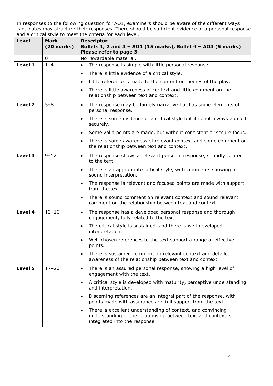| <b>Level</b> | Mark<br>$(20$ marks) | <b>Descriptor</b><br>Bullets 1, 2 and 3 - AO1 (15 marks), Bullet 4 - AO3 (5 marks)<br>Please refer to page 3                                                               |
|--------------|----------------------|----------------------------------------------------------------------------------------------------------------------------------------------------------------------------|
|              | 0                    | No rewardable material.                                                                                                                                                    |
| Level 1      | $1 - 4$              | The response is simple with little personal response.<br>$\bullet$                                                                                                         |
|              |                      | There is little evidence of a critical style.<br>$\bullet$                                                                                                                 |
|              |                      | Little reference is made to the content or themes of the play.<br>$\bullet$                                                                                                |
|              |                      | There is little awareness of context and little comment on the<br>$\bullet$<br>relationship between text and context.                                                      |
| Level 2      | $5 - 8$              | The response may be largely narrative but has some elements of<br>$\bullet$<br>personal response.                                                                          |
|              |                      | There is some evidence of a critical style but it is not always applied<br>$\bullet$<br>securely.                                                                          |
|              |                      | Some valid points are made, but without consistent or secure focus.<br>$\bullet$                                                                                           |
|              |                      | There is some awareness of relevant context and some comment on<br>$\bullet$<br>the relationship between text and context.                                                 |
| Level 3      | $9 - 12$             | The response shows a relevant personal response, soundly related<br>$\bullet$<br>to the text.                                                                              |
|              |                      | There is an appropriate critical style, with comments showing a<br>$\bullet$<br>sound interpretation.                                                                      |
|              |                      | The response is relevant and focused points are made with support<br>$\bullet$<br>from the text.                                                                           |
|              |                      | There is sound comment on relevant context and sound relevant<br>$\bullet$<br>comment on the relationship between text and context.                                        |
| Level 4      | $13 - 16$            | The response has a developed personal response and thorough<br>$\bullet$<br>engagement, fully related to the text.                                                         |
|              |                      | The critical style is sustained, and there is well-developed<br>$\bullet$<br>interpretation.                                                                               |
|              |                      | Well-chosen references to the text support a range of effective<br>$\bullet$<br>points.                                                                                    |
|              |                      | There is sustained comment on relevant context and detailed<br>$\bullet$<br>awareness of the relationship between text and context.                                        |
| Level 5      | $17 - 20$            | There is an assured personal response, showing a high level of<br>$\bullet$<br>engagement with the text.                                                                   |
|              |                      | A critical style is developed with maturity, perceptive understanding<br>$\bullet$<br>and interpretation.                                                                  |
|              |                      | Discerning references are an integral part of the response, with<br>$\bullet$<br>points made with assurance and full support from the text.                                |
|              |                      | There is excellent understanding of context, and convincing<br>$\bullet$<br>understanding of the relationship between text and context is<br>integrated into the response. |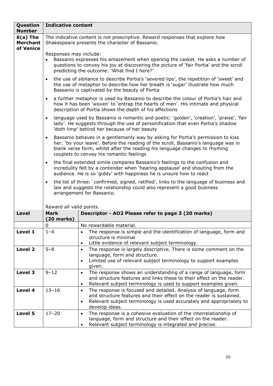| Question<br><b>Number</b>                  | <b>Indicative content</b>   |                                                                                                                                                                                                                                                                                                 |
|--------------------------------------------|-----------------------------|-------------------------------------------------------------------------------------------------------------------------------------------------------------------------------------------------------------------------------------------------------------------------------------------------|
| $6(a)$ The<br><b>Merchant</b><br>of Venice |                             | The indicative content is not prescriptive. Reward responses that explore how<br>Shakespeare presents the character of Bassanio.                                                                                                                                                                |
|                                            | Responses may include:      | Bassanio expresses his amazement when opening the casket. He asks a number of<br>questions to convey his joy at discovering the picture of 'fair Portia' and the scroll<br>predicting the outcome: 'What find I here?'                                                                          |
|                                            | $\bullet$                   | the use of sibilance to describe Portia's 'severed lips', the repetition of 'sweet' and<br>the use of metaphor to describe how her breath is 'sugar' illustrate how much<br>Bassanio is captivated by the beauty of Portia                                                                      |
|                                            | $\bullet$                   | a further metaphor is used by Bassanio to describe the colour of Portia's hair and<br>how it has been 'woven' to 'entrap the hearts of men'. His intimate and physical<br>description of Portia shows the depth of his affections                                                               |
|                                            | $\bullet$                   | language used by Bassanio is romantic and poetic: 'golden', 'creation', 'praise', 'fair<br>lady'. He suggests through the use of personification that even Portia's shadow<br>'doth limp' behind her because of her beauty                                                                      |
|                                            | $\bullet$                   | Bassanio behaves in a gentlemanly way by asking for Portia's permission to kiss<br>her: 'by your leave'. Before the reading of the scroll, Bassanio's language was in<br>blank verse form, whilst after the reading his language changes to rhyming<br>couplets to convey his romantic feelings |
|                                            | $\bullet$                   | the final extended simile compares Bassanio's feelings to the confusion and<br>incredulity felt by a contender when 'hearing applause' and shouting from the<br>audience. He is so 'giddy' with happiness he is unsure how to react                                                             |
|                                            | $\bullet$                   | the list of three: `confirmed, signed, ratified', links to the language of business and<br>law and suggests the relationship could also represent a good business<br>arrangement for Bassanio.                                                                                                  |
|                                            | Reward all valid points.    |                                                                                                                                                                                                                                                                                                 |
| <b>Level</b>                               | <b>Mark</b><br>$(20$ marks) | Descriptor - AO2 Please refer to page 3 (20 marks)                                                                                                                                                                                                                                              |
|                                            | 0                           | No rewardable material.                                                                                                                                                                                                                                                                         |
| Level 1                                    | $1 - 4$                     | The response is simple and the identification of language, form and<br>$\bullet$<br>structure is minimal.                                                                                                                                                                                       |
| Level 2                                    | $5 - 8$                     | Little evidence of relevant subject terminology.<br>$\bullet$<br>The response is largely descriptive. There is some comment on the<br>$\bullet$<br>language, form and structure.<br>Limited use of relevant subject terminology to support examples<br>$\bullet$<br>given.                      |
| Level 3                                    | $9 - 12$                    | The response shows an understanding of a range of language, form<br>$\bullet$<br>and structure features and links these to their effect on the reader.<br>Relevant subject terminology is used to support examples given.<br>$\bullet$                                                          |
| Level 4                                    | $13 - 16$                   | The response is focused and detailed. Analysis of language, form<br>$\bullet$<br>and structure features and their effect on the reader is sustained.<br>Relevant subject terminology is used accurately and appropriately to<br>$\bullet$<br>develop ideas.                                     |
| Level 5                                    | $17 - 20$                   | The response is a cohesive evaluation of the interrelationship of<br>$\bullet$<br>language, form and structure and their effect on the reader.<br>Relevant subject terminology is integrated and precise.<br>$\bullet$                                                                          |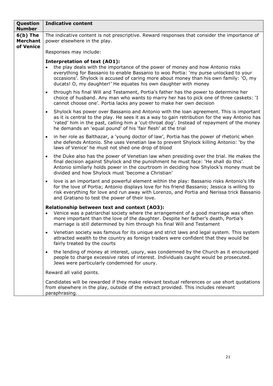| Question<br><b>Number</b>                  | <b>Indicative content</b>                                                                                                                                                                                                                                                                                                                                                               |
|--------------------------------------------|-----------------------------------------------------------------------------------------------------------------------------------------------------------------------------------------------------------------------------------------------------------------------------------------------------------------------------------------------------------------------------------------|
| $6(b)$ The<br><b>Merchant</b><br>of Venice | The indicative content is not prescriptive. Reward responses that consider the importance of<br>power elsewhere in the play.                                                                                                                                                                                                                                                            |
|                                            | Responses may include:                                                                                                                                                                                                                                                                                                                                                                  |
|                                            | <b>Interpretation of text (AO1):</b><br>the play deals with the importance of the power of money and how Antonio risks<br>$\bullet$<br>everything for Bassanio to enable Bassanio to woo Portia: 'my purse unlocked to your<br>occasions'. Shylock is accused of caring more about money than his own family: 'O, my<br>ducats! O, my daughter!' He equates his own daughter with money |
|                                            | through his final Will and Testament, Portia's father has the power to determine her<br>$\bullet$<br>choice of husband. Any man who wants to marry her has to pick one of three caskets: 'I<br>cannot choose one'. Portia lacks any power to make her own decision                                                                                                                      |
|                                            | Shylock has power over Bassanio and Antonio with the loan agreement. This is important<br>$\bullet$<br>as it is central to the play. He sees it as a way to gain retribution for the way Antonio has<br>'rated' him in the past, calling him a 'cut-throat dog'. Instead of repayment of the money<br>he demands an 'equal pound' of his 'fair flesh' at the trial                      |
|                                            | in her role as Balthazar, a 'young doctor of law', Portia has the power of rhetoric when<br>$\bullet$<br>she defends Antonio. She uses Venetian law to prevent Shylock killing Antonio: 'by the<br>laws of Venice' he must not shed one drop of blood                                                                                                                                   |
|                                            | the Duke also has the power of Venetian law when presiding over the trial. He makes the<br>$\bullet$<br>final decision against Shylock and the punishment he must face: 'He shall do this'.<br>Antonio similarly holds power in the courtroom in deciding how Shylock's money must be<br>divided and how Shylock must 'become a Christian'                                              |
|                                            | love is an important and powerful element within the play: Bassanio risks Antonio's life<br>$\bullet$<br>for the love of Portia; Antonio displays love for his friend Bassanio; Jessica is willing to<br>risk everything for love and run away with Lorenzo, and Portia and Nerissa trick Bassanio<br>and Gratiano to test the power of their love.                                     |
|                                            | Relationship between text and context (AO3):<br>Venice was a patriarchal society where the arrangement of a good marriage was often<br>$\bullet$<br>more important than the love of the daughter. Despite her father's death, Portia's<br>marriage is still determined by him through his final Will and Testament                                                                      |
|                                            | Venetian society was famous for its unique and strict laws and legal system. This system<br>$\bullet$<br>attracted wealth to the country as foreign traders were confident that they would be<br>fairly treated by the courts                                                                                                                                                           |
|                                            | the lending of money at interest, usury, was condemned by the Church as it encouraged<br>$\bullet$<br>people to charge excessive rates of interest. Individuals caught would be prosecuted.<br>Jews were particularly condemned for usury.                                                                                                                                              |
|                                            | Reward all valid points.                                                                                                                                                                                                                                                                                                                                                                |
|                                            | Candidates will be rewarded if they make relevant textual references or use short quotations<br>from elsewhere in the play, outside of the extract provided. This includes relevant<br>paraphrasing.                                                                                                                                                                                    |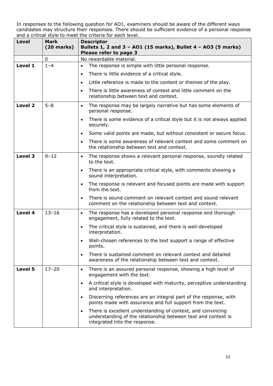| <b>Level</b>       | <b>Mark</b><br>$(20$ marks) | <b>Descriptor</b><br>Bullets 1, 2 and 3 - AO1 (15 marks), Bullet 4 - AO3 (5 marks)<br>Please refer to page 3                                                               |
|--------------------|-----------------------------|----------------------------------------------------------------------------------------------------------------------------------------------------------------------------|
|                    | 0                           | No rewardable material.                                                                                                                                                    |
| Level 1            | $1 - 4$                     | The response is simple with little personal response.<br>$\bullet$                                                                                                         |
|                    |                             | There is little evidence of a critical style.<br>$\bullet$                                                                                                                 |
|                    |                             | Little reference is made to the content or themes of the play.<br>$\bullet$                                                                                                |
|                    |                             | There is little awareness of context and little comment on the<br>$\bullet$<br>relationship between text and context.                                                      |
| Level <sub>2</sub> | $5 - 8$                     | The response may be largely narrative but has some elements of<br>$\bullet$<br>personal response.                                                                          |
|                    |                             | There is some evidence of a critical style but it is not always applied<br>$\bullet$<br>securely.                                                                          |
|                    |                             | Some valid points are made, but without consistent or secure focus.<br>$\bullet$                                                                                           |
|                    |                             | There is some awareness of relevant context and some comment on<br>$\bullet$<br>the relationship between text and context.                                                 |
| Level 3            | $9 - 12$                    | The response shows a relevant personal response, soundly related<br>$\bullet$<br>to the text.                                                                              |
|                    |                             | There is an appropriate critical style, with comments showing a<br>$\bullet$<br>sound interpretation.                                                                      |
|                    |                             | The response is relevant and focused points are made with support<br>$\bullet$<br>from the text.                                                                           |
|                    |                             | There is sound comment on relevant context and sound relevant<br>$\bullet$<br>comment on the relationship between text and context.                                        |
| Level 4            | $13 - 16$                   | The response has a developed personal response and thorough<br>$\bullet$<br>engagement, fully related to the text.                                                         |
|                    |                             | The critical style is sustained, and there is well-developed<br>$\bullet$<br>interpretation.                                                                               |
|                    |                             | Well-chosen references to the text support a range of effective<br>$\bullet$<br>points.                                                                                    |
|                    |                             | There is sustained comment on relevant context and detailed<br>$\bullet$<br>awareness of the relationship between text and context.                                        |
| Level 5            | $17 - 20$                   | There is an assured personal response, showing a high level of<br>$\bullet$<br>engagement with the text.                                                                   |
|                    |                             | A critical style is developed with maturity, perceptive understanding<br>$\bullet$<br>and interpretation.                                                                  |
|                    |                             | Discerning references are an integral part of the response, with<br>$\bullet$<br>points made with assurance and full support from the text.                                |
|                    |                             | There is excellent understanding of context, and convincing<br>$\bullet$<br>understanding of the relationship between text and context is<br>integrated into the response. |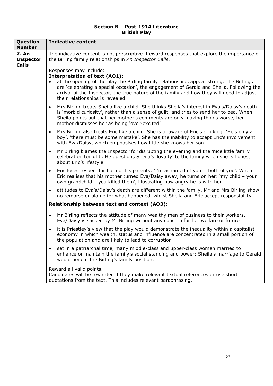#### **Section B – Post-1914 Literature British Play**

| Question<br><b>Number</b>                        | <b>Indicative content</b>                                                                                                                                                                                                                                                                                                                                                            |
|--------------------------------------------------|--------------------------------------------------------------------------------------------------------------------------------------------------------------------------------------------------------------------------------------------------------------------------------------------------------------------------------------------------------------------------------------|
| <b>7. An</b><br><b>Inspector</b><br><b>Calls</b> | The indicative content is not prescriptive. Reward responses that explore the importance of<br>the Birling family relationships in An Inspector Calls.                                                                                                                                                                                                                               |
|                                                  | Responses may include:<br><b>Interpretation of text (AO1):</b><br>at the opening of the play the Birling family relationships appear strong. The Birlings<br>are 'celebrating a special occasion', the engagement of Gerald and Sheila. Following the<br>arrival of the Inspector, the true nature of the family and how they will need to adjust<br>their relationships is revealed |
|                                                  | Mrs Birling treats Sheila like a child. She thinks Sheila's interest in Eva's/Daisy's death<br>$\bullet$<br>is 'morbid curiosity', rather than a sense of guilt, and tries to send her to bed. When<br>Sheila points out that her mother's comments are only making things worse, her<br>mother dismisses her as being 'over-excited'                                                |
|                                                  | Mrs Birling also treats Eric like a child. She is unaware of Eric's drinking: 'He's only a<br>$\bullet$<br>boy', 'there must be some mistake'. She has the inability to accept Eric's involvement<br>with Eva/Daisy, which emphasises how little she knows her son                                                                                                                   |
|                                                  | Mr Birling blames the Inspector for disrupting the evening and the 'nice little family<br>$\bullet$<br>celebration tonight'. He questions Sheila's 'loyalty' to the family when she is honest<br>about Eric's lifestyle                                                                                                                                                              |
|                                                  | Eric loses respect for both of his parents: 'I'm ashamed of you  both of you'. When<br>$\bullet$<br>Eric realises that his mother turned Eva/Daisy away, he turns on her: 'my child - your<br>own grandchild - you killed them', illustrating how angry he is with her                                                                                                               |
|                                                  | attitudes to Eva's/Daisy's death are different within the family. Mr and Mrs Birling show<br>$\bullet$<br>no remorse or blame for what happened, whilst Sheila and Eric accept responsibility.                                                                                                                                                                                       |
|                                                  | Relationship between text and context (AO3):                                                                                                                                                                                                                                                                                                                                         |
|                                                  | Mr Birling reflects the attitude of many wealthy men of business to their workers.<br>$\bullet$<br>Eva/Daisy is sacked by Mr Birling without any concern for her welfare or future                                                                                                                                                                                                   |
|                                                  | it is Priestley's view that the play would demonstrate the inequality within a capitalist<br>$\bullet$<br>economy in which wealth, status and influence are concentrated in a small portion of<br>the population and are likely to lead to corruption                                                                                                                                |
|                                                  | set in a patriarchal time, many middle-class and upper-class women married to<br>enhance or maintain the family's social standing and power; Sheila's marriage to Gerald<br>would benefit the Birling's family position.                                                                                                                                                             |
|                                                  | Reward all valid points.<br>Candidates will be rewarded if they make relevant textual references or use short<br>quotations from the text. This includes relevant paraphrasing.                                                                                                                                                                                                      |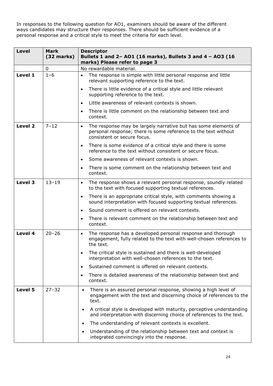| <b>Level</b> | <b>Mark</b><br>$(32$ marks) | <b>Descriptor</b><br>Bullets 1 and 2- A01 (16 marks), Bullets 3 and 4 - A03 (16                                                                                              |
|--------------|-----------------------------|------------------------------------------------------------------------------------------------------------------------------------------------------------------------------|
|              |                             | marks) Please refer to page 3                                                                                                                                                |
|              | 0                           | No rewardable material.                                                                                                                                                      |
| Level 1      | $1 - 6$                     | The response is simple with little personal response and little<br>$\bullet$<br>relevant supporting reference to the text.                                                   |
|              |                             | There is little evidence of a critical style and little relevant<br>$\bullet$<br>supporting reference to the text.                                                           |
|              |                             | Little awareness of relevant contexts is shown.<br>$\bullet$                                                                                                                 |
|              |                             | There is little comment on the relationship between text and<br>$\bullet$<br>context.                                                                                        |
| Level 2      | $7 - 12$                    | The response may be largely narrative but has some elements of<br>$\bullet$<br>personal response; there is some reference to the text without<br>consistent or secure focus. |
|              |                             | There is some evidence of a critical style and there is some<br>$\bullet$<br>reference to the text without consistent or secure focus.                                       |
|              |                             | Some awareness of relevant contexts is shown.<br>$\bullet$                                                                                                                   |
|              |                             | There is some comment on the relationship between text and<br>$\bullet$<br>context.                                                                                          |
| Level 3      | $13 - 19$                   | The response shows a relevant personal response, soundly related<br>$\bullet$<br>to the text with focused supporting textual references.                                     |
|              |                             | There is an appropriate critical style, with comments showing a<br>$\bullet$<br>sound interpretation with focused supporting textual references.                             |
|              |                             | Sound comment is offered on relevant contexts.<br>$\bullet$                                                                                                                  |
|              |                             | There is relevant comment on the relationship between text and<br>$\bullet$<br>context.                                                                                      |
| Level 4      | $20 - 26$                   | The response has a developed personal response and thorough<br>$\bullet$<br>engagement, fully related to the text with well-chosen references to<br>the text.                |
|              |                             | The critical style is sustained and there is well-developed<br>interpretation with well-chosen references to the text.                                                       |
|              |                             | Sustained comment is offered on relevant contexts.<br>$\bullet$                                                                                                              |
|              |                             | There is detailed awareness of the relationship between text and<br>$\bullet$<br>context.                                                                                    |
| Level 5      | $27 - 32$                   | There is an assured personal response, showing a high level of<br>$\bullet$<br>engagement with the text and discerning choice of references to the<br>text.                  |
|              |                             | A critical style is developed with maturity, perceptive understanding<br>$\bullet$<br>and interpretation with discerning choice of references to the text.                   |
|              |                             | The understanding of relevant contexts is excellent.<br>$\bullet$                                                                                                            |
|              |                             | Understanding of the relationship between text and context is<br>$\bullet$<br>integrated convincingly into the response.                                                     |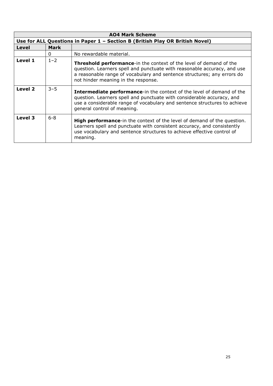| <b>AO4 Mark Scheme</b> |             |                                                                                                                                                                                                                                                                         |
|------------------------|-------------|-------------------------------------------------------------------------------------------------------------------------------------------------------------------------------------------------------------------------------------------------------------------------|
|                        |             | Use for ALL Questions in Paper 1 - Section B (British Play OR British Novel)                                                                                                                                                                                            |
| Level                  | <b>Mark</b> |                                                                                                                                                                                                                                                                         |
|                        | $\Omega$    | No rewardable material.                                                                                                                                                                                                                                                 |
| Level 1                | $1 - 2$     | <b>Threshold performance-in the context of the level of demand of the</b><br>question. Learners spell and punctuate with reasonable accuracy, and use<br>a reasonable range of vocabulary and sentence structures; any errors do<br>not hinder meaning in the response. |
| Level 2                | $3 - 5$     | <b>Intermediate performance-in the context of the level of demand of the</b><br>question. Learners spell and punctuate with considerable accuracy, and<br>use a considerable range of vocabulary and sentence structures to achieve<br>general control of meaning.      |
| Level 3                | $6 - 8$     | <b>High performance-in the context of the level of demand of the question.</b><br>Learners spell and punctuate with consistent accuracy, and consistently<br>use vocabulary and sentence structures to achieve effective control of<br>meaning.                         |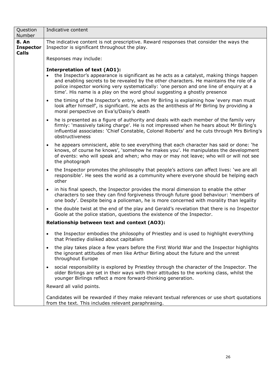| Question<br>Number                        | Indicative content                                                                                                                                                                                                                                                                                                                                                                                   |
|-------------------------------------------|------------------------------------------------------------------------------------------------------------------------------------------------------------------------------------------------------------------------------------------------------------------------------------------------------------------------------------------------------------------------------------------------------|
| 8. An<br><b>Inspector</b><br><b>Calls</b> | The indicative content is not prescriptive. Reward responses that consider the ways the<br>Inspector is significant throughout the play.                                                                                                                                                                                                                                                             |
|                                           | Responses may include:                                                                                                                                                                                                                                                                                                                                                                               |
|                                           | <b>Interpretation of text (AO1):</b><br>• the Inspector's appearance is significant as he acts as a catalyst, making things happen<br>and enabling secrets to be revealed by the other characters. He maintains the role of a<br>police inspector working very systematically: 'one person and one line of enquiry at a<br>time'. His name is a play on the word ghoul suggesting a ghostly presence |
|                                           | the timing of the Inspector's entry, when Mr Birling is explaining how 'every man must<br>$\bullet$<br>look after himself', is significant. He acts as the antithesis of Mr Birling by providing a<br>moral perspective on Eva's/Daisy's death                                                                                                                                                       |
|                                           | he is presented as a figure of authority and deals with each member of the family very<br>$\bullet$<br>firmly: 'massively taking charge'. He is not impressed when he hears about Mr Birling's<br>influential associates: 'Chief Constable, Colonel Roberts' and he cuts through Mrs Birling's<br>obstructiveness                                                                                    |
|                                           | he appears omniscient, able to see everything that each character has said or done: 'he<br>$\bullet$<br>knows, of course he knows', `somehow he makes you'. He manipulates the development<br>of events: who will speak and when; who may or may not leave; who will or will not see<br>the photograph                                                                                               |
|                                           | the Inspector promotes the philosophy that people's actions can affect lives: 'we are all<br>$\bullet$<br>responsible'. He sees the world as a community where everyone should be helping each<br>other                                                                                                                                                                                              |
|                                           | in his final speech, the Inspector provides the moral dimension to enable the other<br>$\bullet$<br>characters to see they can find forgiveness through future good behaviour: 'members of<br>one body'. Despite being a policeman, he is more concerned with morality than legality                                                                                                                 |
|                                           | the double twist at the end of the play and Gerald's revelation that there is no Inspector<br>$\bullet$<br>Goole at the police station, questions the existence of the Inspector.                                                                                                                                                                                                                    |
|                                           | Relationship between text and context (AO3):                                                                                                                                                                                                                                                                                                                                                         |
|                                           | the Inspector embodies the philosophy of Priestley and is used to highlight everything<br>that Priestley disliked about capitalism                                                                                                                                                                                                                                                                   |
|                                           | the play takes place a few years before the First World War and the Inspector highlights<br>$\bullet$<br>the ignorant attitudes of men like Arthur Birling about the future and the unrest<br>throughout Europe                                                                                                                                                                                      |
|                                           | social responsibility is explored by Priestley through the character of the Inspector. The<br>$\bullet$<br>older Birlings are set in their ways with their attitudes to the working class, whilst the<br>younger Birlings reflect a more forward-thinking generation.                                                                                                                                |
|                                           | Reward all valid points.                                                                                                                                                                                                                                                                                                                                                                             |
|                                           | Candidates will be rewarded if they make relevant textual references or use short quotations<br>from the text. This includes relevant paraphrasing.                                                                                                                                                                                                                                                  |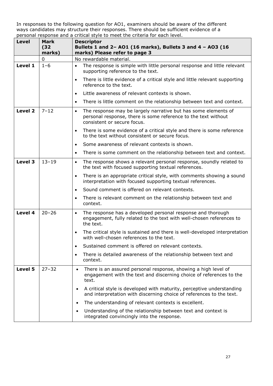| Level   | Mark<br>(32)<br>marks) | <b>Descriptor</b><br>Bullets 1 and 2- A01 (16 marks), Bullets 3 and 4 - A03 (16<br>marks) Please refer to page 3                                                             |
|---------|------------------------|------------------------------------------------------------------------------------------------------------------------------------------------------------------------------|
|         | $\mathbf 0$            | No rewardable material.                                                                                                                                                      |
| Level 1 | $1 - 6$                | The response is simple with little personal response and little relevant<br>$\bullet$<br>supporting reference to the text.                                                   |
|         |                        | There is little evidence of a critical style and little relevant supporting<br>$\bullet$<br>reference to the text.                                                           |
|         |                        | Little awareness of relevant contexts is shown.<br>$\bullet$                                                                                                                 |
|         |                        | There is little comment on the relationship between text and context.<br>$\bullet$                                                                                           |
| Level 2 | $7 - 12$               | The response may be largely narrative but has some elements of<br>$\bullet$<br>personal response, there is some reference to the text without<br>consistent or secure focus. |
|         |                        | There is some evidence of a critical style and there is some reference<br>$\bullet$<br>to the text without consistent or secure focus.                                       |
|         |                        | Some awareness of relevant contexts is shown.<br>$\bullet$                                                                                                                   |
|         |                        | There is some comment on the relationship between text and context.<br>$\bullet$                                                                                             |
| Level 3 | $13 - 19$              | The response shows a relevant personal response, soundly related to<br>$\bullet$<br>the text with focused supporting textual references.                                     |
|         |                        | There is an appropriate critical style, with comments showing a sound<br>$\bullet$<br>interpretation with focused supporting textual references.                             |
|         |                        | Sound comment is offered on relevant contexts.<br>$\bullet$                                                                                                                  |
|         |                        | There is relevant comment on the relationship between text and<br>$\bullet$<br>context.                                                                                      |
| Level 4 | $20 - 26$              | The response has a developed personal response and thorough<br>$\bullet$<br>engagement, fully related to the text with well-chosen references to<br>the text.                |
|         |                        | The critical style is sustained and there is well-developed interpretation<br>$\bullet$<br>with well-chosen references to the text.                                          |
|         |                        | Sustained comment is offered on relevant contexts.<br>$\bullet$                                                                                                              |
|         |                        | There is detailed awareness of the relationship between text and<br>$\bullet$<br>context.                                                                                    |
| Level 5 | $27 - 32$              | There is an assured personal response, showing a high level of<br>$\bullet$<br>engagement with the text and discerning choice of references to the<br>text.                  |
|         |                        | A critical style is developed with maturity, perceptive understanding<br>$\bullet$<br>and interpretation with discerning choice of references to the text.                   |
|         |                        | The understanding of relevant contexts is excellent.<br>$\bullet$                                                                                                            |
|         |                        | Understanding of the relationship between text and context is<br>$\bullet$<br>integrated convincingly into the response.                                                     |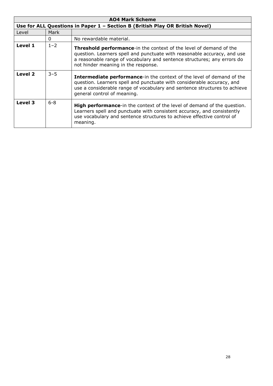| <b>AO4 Mark Scheme</b> |         |                                                                                                                                                                                                                                                                          |
|------------------------|---------|--------------------------------------------------------------------------------------------------------------------------------------------------------------------------------------------------------------------------------------------------------------------------|
|                        |         | Use for ALL Questions in Paper 1 - Section B (British Play OR British Novel)                                                                                                                                                                                             |
| Level                  | Mark    |                                                                                                                                                                                                                                                                          |
|                        | 0       | No rewardable material.                                                                                                                                                                                                                                                  |
| Level 1                | $1 - 2$ | <b>Threshold performance-</b> in the context of the level of demand of the<br>question. Learners spell and punctuate with reasonable accuracy, and use<br>a reasonable range of vocabulary and sentence structures; any errors do<br>not hinder meaning in the response. |
| Level 2                | $3 - 5$ | <b>Intermediate performance-in the context of the level of demand of the</b><br>question. Learners spell and punctuate with considerable accuracy, and<br>use a considerable range of vocabulary and sentence structures to achieve<br>general control of meaning.       |
| Level 3                | $6 - 8$ | <b>High performance-in the context of the level of demand of the question.</b><br>Learners spell and punctuate with consistent accuracy, and consistently<br>use vocabulary and sentence structures to achieve effective control of<br>meaning.                          |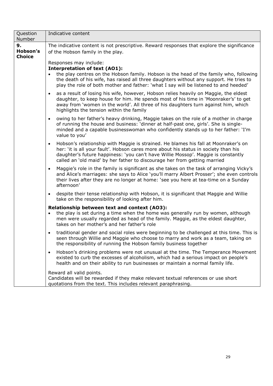| Question<br>Number              | Indicative content                                                                                                                                                                                                                                                                                                                                        |
|---------------------------------|-----------------------------------------------------------------------------------------------------------------------------------------------------------------------------------------------------------------------------------------------------------------------------------------------------------------------------------------------------------|
| 9.<br>Hobson's<br><b>Choice</b> | The indicative content is not prescriptive. Reward responses that explore the significance<br>of the Hobson family in the play.                                                                                                                                                                                                                           |
|                                 | Responses may include:<br><b>Interpretation of text (AO1):</b><br>the play centres on the Hobson family. Hobson is the head of the family who, following<br>the death of his wife, has raised all three daughters without any support. He tries to<br>play the role of both mother and father: 'what I say will be listened to and heeded'                |
|                                 | as a result of losing his wife, however, Hobson relies heavily on Maggie, the eldest<br>$\bullet$<br>daughter, to keep house for him. He spends most of his time in 'Moonraker's' to get<br>away from 'women in the world'. All three of his daughters turn against him, which<br>highlights the tension within the family                                |
|                                 | owing to her father's heavy drinking, Maggie takes on the role of a mother in charge<br>$\bullet$<br>of running the house and business: 'dinner at half-past one, girls'. She is single-<br>minded and a capable businesswoman who confidently stands up to her father: 'I'm<br>value to you'                                                             |
|                                 | Hobson's relationship with Maggie is strained. He blames his fall at Moonraker's on<br>$\bullet$<br>her: 'it is all your fault'. Hobson cares more about his status in society than his<br>daughter's future happiness: 'you can't have Willie Mossop'. Maggie is constantly<br>called an 'old maid' by her father to discourage her from getting married |
|                                 | Maggie's role in the family is significant as she takes on the task of arranging Vicky's<br>$\bullet$<br>and Alice's marriages: she says to Alice 'you'll marry Albert Prosser'; she even controls<br>their lives after they are no longer at home: 'see you here at tea-time on a Sunday<br>afternoon'                                                   |
|                                 | despite their tense relationship with Hobson, it is significant that Maggie and Willie<br>$\bullet$<br>take on the responsibility of looking after him.                                                                                                                                                                                                   |
|                                 | Relationship between text and context (AO3):<br>the play is set during a time when the home was generally run by women, although<br>$\bullet$<br>men were usually regarded as head of the family. Maggie, as the eldest daughter,<br>takes on her mother's and her father's role                                                                          |
|                                 | traditional gender and social roles were beginning to be challenged at this time. This is<br>$\bullet$<br>seen through Willie and Maggie who choose to marry and work as a team, taking on<br>the responsibility of running the Hobson family business together                                                                                           |
|                                 | Hobson's drinking problems were not unusual at the time. The Temperance Movement<br>$\bullet$<br>existed to curb the excesses of alcoholism, which had a serious impact on people's<br>health and on their ability to run businesses or maintain a normal family life.                                                                                    |
|                                 | Reward all valid points.<br>Candidates will be rewarded if they make relevant textual references or use short<br>quotations from the text. This includes relevant paraphrasing.                                                                                                                                                                           |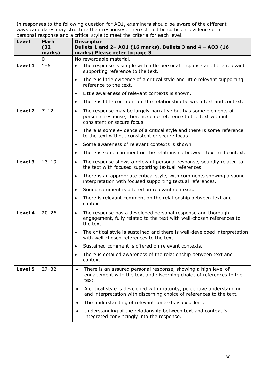| Level   | Mark<br>(32)<br>marks) | <b>Descriptor</b><br>Bullets 1 and 2- A01 (16 marks), Bullets 3 and 4 - A03 (16<br>marks) Please refer to page 3                                                             |
|---------|------------------------|------------------------------------------------------------------------------------------------------------------------------------------------------------------------------|
|         | $\mathbf 0$            | No rewardable material.                                                                                                                                                      |
| Level 1 | $1 - 6$                | The response is simple with little personal response and little relevant<br>$\bullet$<br>supporting reference to the text.                                                   |
|         |                        | There is little evidence of a critical style and little relevant supporting<br>$\bullet$<br>reference to the text.                                                           |
|         |                        | Little awareness of relevant contexts is shown.<br>$\bullet$                                                                                                                 |
|         |                        | There is little comment on the relationship between text and context.<br>$\bullet$                                                                                           |
| Level 2 | $7 - 12$               | The response may be largely narrative but has some elements of<br>$\bullet$<br>personal response, there is some reference to the text without<br>consistent or secure focus. |
|         |                        | There is some evidence of a critical style and there is some reference<br>$\bullet$<br>to the text without consistent or secure focus.                                       |
|         |                        | Some awareness of relevant contexts is shown.<br>$\bullet$                                                                                                                   |
|         |                        | There is some comment on the relationship between text and context.<br>$\bullet$                                                                                             |
| Level 3 | $13 - 19$              | The response shows a relevant personal response, soundly related to<br>$\bullet$<br>the text with focused supporting textual references.                                     |
|         |                        | There is an appropriate critical style, with comments showing a sound<br>$\bullet$<br>interpretation with focused supporting textual references.                             |
|         |                        | Sound comment is offered on relevant contexts.<br>$\bullet$                                                                                                                  |
|         |                        | There is relevant comment on the relationship between text and<br>$\bullet$<br>context.                                                                                      |
| Level 4 | $20 - 26$              | The response has a developed personal response and thorough<br>$\bullet$<br>engagement, fully related to the text with well-chosen references to<br>the text.                |
|         |                        | The critical style is sustained and there is well-developed interpretation<br>$\bullet$<br>with well-chosen references to the text.                                          |
|         |                        | Sustained comment is offered on relevant contexts.<br>$\bullet$                                                                                                              |
|         |                        | There is detailed awareness of the relationship between text and<br>$\bullet$<br>context.                                                                                    |
| Level 5 | $27 - 32$              | There is an assured personal response, showing a high level of<br>$\bullet$<br>engagement with the text and discerning choice of references to the<br>text.                  |
|         |                        | A critical style is developed with maturity, perceptive understanding<br>$\bullet$<br>and interpretation with discerning choice of references to the text.                   |
|         |                        | The understanding of relevant contexts is excellent.<br>$\bullet$                                                                                                            |
|         |                        | Understanding of the relationship between text and context is<br>$\bullet$<br>integrated convincingly into the response.                                                     |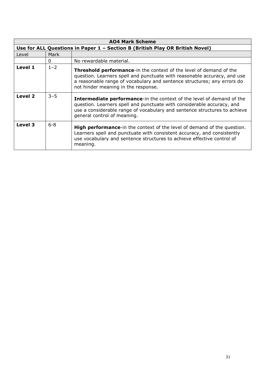| <b>AO4 Mark Scheme</b> |         |                                                                                                                                                                                                                                                                          |
|------------------------|---------|--------------------------------------------------------------------------------------------------------------------------------------------------------------------------------------------------------------------------------------------------------------------------|
|                        |         | Use for ALL Questions in Paper 1 - Section B (British Play OR British Novel)                                                                                                                                                                                             |
| Level                  | Mark    |                                                                                                                                                                                                                                                                          |
|                        | 0       | No rewardable material.                                                                                                                                                                                                                                                  |
| Level 1                | $1 - 2$ | <b>Threshold performance-</b> in the context of the level of demand of the<br>question. Learners spell and punctuate with reasonable accuracy, and use<br>a reasonable range of vocabulary and sentence structures; any errors do<br>not hinder meaning in the response. |
| Level 2                | $3 - 5$ | <b>Intermediate performance-in the context of the level of demand of the</b><br>question. Learners spell and punctuate with considerable accuracy, and<br>use a considerable range of vocabulary and sentence structures to achieve<br>general control of meaning.       |
| Level 3                | $6 - 8$ | <b>High performance-in the context of the level of demand of the question.</b><br>Learners spell and punctuate with consistent accuracy, and consistently<br>use vocabulary and sentence structures to achieve effective control of<br>meaning.                          |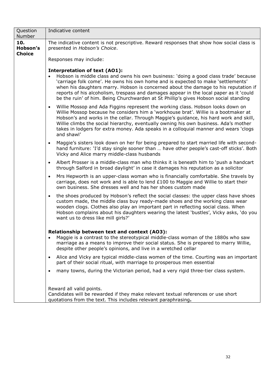| Question<br>Number               | Indicative content                                                                                                                                                                                                                                                                                                                                                                                                                                                                        |  |
|----------------------------------|-------------------------------------------------------------------------------------------------------------------------------------------------------------------------------------------------------------------------------------------------------------------------------------------------------------------------------------------------------------------------------------------------------------------------------------------------------------------------------------------|--|
| 10.<br>Hobson's<br><b>Choice</b> | The indicative content is not prescriptive. Reward responses that show how social class is<br>presented in Hobson's Choice.                                                                                                                                                                                                                                                                                                                                                               |  |
|                                  | Responses may include:                                                                                                                                                                                                                                                                                                                                                                                                                                                                    |  |
|                                  | <b>Interpretation of text (AO1):</b><br>Hobson is middle class and owns his own business: 'doing a good class trade' because<br>'carriage folk come'. He owns his own home and is expected to make 'settlements'<br>when his daughters marry. Hobson is concerned about the damage to his reputation if<br>reports of his alcoholism, trespass and damages appear in the local paper as it 'could<br>be the ruin' of him. Being Churchwarden at St Phillip's gives Hobson social standing |  |
|                                  | Willie Mossop and Ada Figgins represent the working class. Hobson looks down on<br>$\bullet$<br>Willie Mossop because he considers him a 'workhouse brat'. Willie is a bootmaker at<br>Hobson's and works in the cellar. Through Maggie's guidance, his hard work and skill,<br>Willie climbs the social hierarchy, eventually owning his own business. Ada's mother<br>takes in lodgers for extra money. Ada speaks in a colloquial manner and wears 'clogs<br>and shawl'                |  |
|                                  | Maggie's sisters look down on her for being prepared to start married life with second-<br>$\bullet$<br>hand furniture: 'I'd stay single sooner than  have other people's cast-off sticks'. Both<br>Vicky and Alice marry middle-class husbands                                                                                                                                                                                                                                           |  |
|                                  | Albert Prosser is a middle-class man who thinks it is beneath him to 'push a handcart<br>$\bullet$<br>through Salford in broad daylight' in case it damages his reputation as a solicitor                                                                                                                                                                                                                                                                                                 |  |
|                                  | Mrs Hepworth is an upper-class woman who is financially comfortable. She travels by<br>$\bullet$<br>carriage, does not work and is able to lend $£100$ to Maggie and Willie to start their<br>own business. She dresses well and has her shoes custom made                                                                                                                                                                                                                                |  |
|                                  | the shoes produced by Hobson's reflect the social classes: the upper class have shoes<br>$\bullet$<br>custom made, the middle class buy ready-made shoes and the working class wear<br>wooden clogs. Clothes also play an important part in reflecting social class. When<br>Hobson complains about his daughters wearing the latest 'bustles', Vicky asks, 'do you<br>want us to dress like mill girls?'                                                                                 |  |
|                                  | Relationship between text and context (AO3):<br>Maggie is a contrast to the stereotypical middle-class woman of the 1880s who saw<br>$\bullet$<br>marriage as a means to improve their social status. She is prepared to marry Willie,<br>despite other people's opinions, and live in a wretched cellar                                                                                                                                                                                  |  |
|                                  | Alice and Vicky are typical middle-class women of the time. Courting was an important<br>$\bullet$<br>part of their social ritual, with marriage to prosperous men essential                                                                                                                                                                                                                                                                                                              |  |
|                                  | many towns, during the Victorian period, had a very rigid three-tier class system.<br>$\bullet$                                                                                                                                                                                                                                                                                                                                                                                           |  |
|                                  | Reward all valid points.<br>Candidates will be rewarded if they make relevant textual references or use short<br>quotations from the text. This includes relevant paraphrasing.                                                                                                                                                                                                                                                                                                           |  |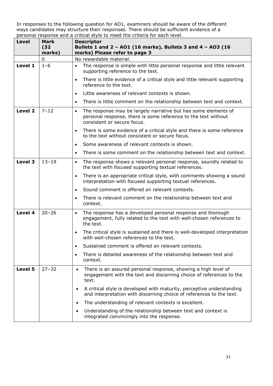| Level   | Mark<br>(32)<br>marks) | <b>Descriptor</b><br>Bullets 1 and 2 - AO1 (16 marks), Bullets 3 and 4 - AO3 (16<br>marks) Please refer to page 3                                                            |
|---------|------------------------|------------------------------------------------------------------------------------------------------------------------------------------------------------------------------|
|         | $\mathbf 0$            | No rewardable material.                                                                                                                                                      |
| Level 1 | $1 - 6$                | The response is simple with little personal response and little relevant<br>$\bullet$<br>supporting reference to the text.                                                   |
|         |                        | There is little evidence of a critical style and little relevant supporting<br>$\bullet$<br>reference to the text.                                                           |
|         |                        | Little awareness of relevant contexts is shown.<br>$\bullet$                                                                                                                 |
|         |                        | There is little comment on the relationship between text and context.<br>$\bullet$                                                                                           |
| Level 2 | $7 - 12$               | The response may be largely narrative but has some elements of<br>$\bullet$<br>personal response, there is some reference to the text without<br>consistent or secure focus. |
|         |                        | There is some evidence of a critical style and there is some reference<br>$\bullet$<br>to the text without consistent or secure focus.                                       |
|         |                        | Some awareness of relevant contexts is shown.<br>$\bullet$                                                                                                                   |
|         |                        | There is some comment on the relationship between text and context.<br>$\bullet$                                                                                             |
| Level 3 | $13 - 19$              | The response shows a relevant personal response, soundly related to<br>$\bullet$<br>the text with focused supporting textual references.                                     |
|         |                        | There is an appropriate critical style, with comments showing a sound<br>$\bullet$<br>interpretation with focused supporting textual references.                             |
|         |                        | Sound comment is offered on relevant contexts.<br>$\bullet$                                                                                                                  |
|         |                        | There is relevant comment on the relationship between text and<br>$\bullet$<br>context.                                                                                      |
| Level 4 | $20 - 26$              | The response has a developed personal response and thorough<br>$\bullet$<br>engagement, fully related to the text with well-chosen references to<br>the text.                |
|         |                        | The critical style is sustained and there is well-developed interpretation<br>$\bullet$<br>with well-chosen references to the text.                                          |
|         |                        | Sustained comment is offered on relevant contexts.<br>$\bullet$                                                                                                              |
|         |                        | There is detailed awareness of the relationship between text and<br>$\bullet$<br>context.                                                                                    |
| Level 5 | $27 - 32$              | There is an assured personal response, showing a high level of<br>$\bullet$<br>engagement with the text and discerning choice of references to the<br>text.                  |
|         |                        | A critical style is developed with maturity, perceptive understanding<br>$\bullet$<br>and interpretation with discerning choice of references to the text.                   |
|         |                        | The understanding of relevant contexts is excellent.<br>$\bullet$                                                                                                            |
|         |                        | Understanding of the relationship between text and context is<br>$\bullet$<br>integrated convincingly into the response.                                                     |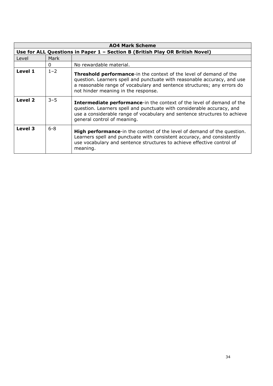| <b>AO4 Mark Scheme</b> |         |                                                                                                                                                                                                                                                                         |
|------------------------|---------|-------------------------------------------------------------------------------------------------------------------------------------------------------------------------------------------------------------------------------------------------------------------------|
|                        |         | Use for ALL Questions in Paper 1 - Section B (British Play OR British Novel)                                                                                                                                                                                            |
| Level                  | Mark    |                                                                                                                                                                                                                                                                         |
|                        | 0       | No rewardable material.                                                                                                                                                                                                                                                 |
| Level 1                | $1 - 2$ | <b>Threshold performance-in the context of the level of demand of the</b><br>question. Learners spell and punctuate with reasonable accuracy, and use<br>a reasonable range of vocabulary and sentence structures; any errors do<br>not hinder meaning in the response. |
| Level 2                | $3 - 5$ | <b>Intermediate performance-in the context of the level of demand of the</b><br>question. Learners spell and punctuate with considerable accuracy, and<br>use a considerable range of vocabulary and sentence structures to achieve<br>general control of meaning.      |
| Level 3                | $6 - 8$ | <b>High performance-in the context of the level of demand of the question.</b><br>Learners spell and punctuate with consistent accuracy, and consistently<br>use vocabulary and sentence structures to achieve effective control of<br>meaning.                         |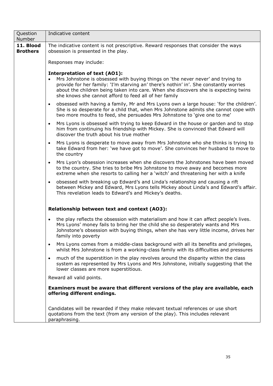| Question<br>Number           | Indicative content                                                                                                                                                                                                                                                                                                                                                            |  |  |
|------------------------------|-------------------------------------------------------------------------------------------------------------------------------------------------------------------------------------------------------------------------------------------------------------------------------------------------------------------------------------------------------------------------------|--|--|
| 11. Blood<br><b>Brothers</b> | The indicative content is not prescriptive. Reward responses that consider the ways<br>obsession is presented in the play.                                                                                                                                                                                                                                                    |  |  |
|                              | Responses may include:                                                                                                                                                                                                                                                                                                                                                        |  |  |
|                              | <b>Interpretation of text (AO1):</b><br>Mrs Johnstone is obsessed with buying things on 'the never never' and trying to<br>$\bullet$<br>provide for her family: 'I'm starving an' there's nothin' in'. She constantly worries<br>about the children being taken into care. When she discovers she is expecting twins<br>she knows she cannot afford to feed all of her family |  |  |
|                              | obsessed with having a family, Mr and Mrs Lyons own a large house: 'for the children'.<br>$\bullet$<br>She is so desperate for a child that, when Mrs Johnstone admits she cannot cope with<br>two more mouths to feed, she persuades Mrs Johnstone to 'give one to me'                                                                                                       |  |  |
|                              | Mrs Lyons is obsessed with trying to keep Edward in the house or garden and to stop<br>$\bullet$<br>him from continuing his friendship with Mickey. She is convinced that Edward will<br>discover the truth about his true mother                                                                                                                                             |  |  |
|                              | Mrs Lyons is desperate to move away from Mrs Johnstone who she thinks is trying to<br>$\bullet$<br>take Edward from her: 'we have got to move'. She convinces her husband to move to<br>the country                                                                                                                                                                           |  |  |
|                              | Mrs Lyon's obsession increases when she discovers the Johnstones have been moved<br>$\bullet$<br>to the country. She tries to bribe Mrs Johnstone to move away and becomes more<br>extreme when she resorts to calling her a 'witch' and threatening her with a knife                                                                                                         |  |  |
|                              | obsessed with breaking up Edward's and Linda's relationship and causing a rift<br>$\bullet$<br>between Mickey and Edward, Mrs Lyons tells Mickey about Linda's and Edward's affair.<br>This revelation leads to Edward's and Mickey's deaths.                                                                                                                                 |  |  |
|                              | Relationship between text and context (AO3):                                                                                                                                                                                                                                                                                                                                  |  |  |
|                              | the play reflects the obsession with materialism and how it can affect people's lives.<br>$\bullet$<br>Mrs Lyons' money fails to bring her the child she so desperately wants and Mrs<br>Johnstone's obsession with buying things, when she has very little income, drives her<br>family into poverty                                                                         |  |  |
|                              | Mrs Lyons comes from a middle-class background with all its benefits and privileges,<br>$\bullet$<br>whilst Mrs Johnstone is from a working-class family with its difficulties and pressures                                                                                                                                                                                  |  |  |
|                              | much of the superstition in the play revolves around the disparity within the class<br>$\bullet$<br>system as represented by Mrs Lyons and Mrs Johnstone, initially suggesting that the<br>lower classes are more superstitious.                                                                                                                                              |  |  |
|                              | Reward all valid points.                                                                                                                                                                                                                                                                                                                                                      |  |  |
|                              | Examiners must be aware that different versions of the play are available, each<br>offering different endings.                                                                                                                                                                                                                                                                |  |  |
|                              | Candidates will be rewarded if they make relevant textual references or use short<br>quotations from the text (from any version of the play). This includes relevant<br>paraphrasing.                                                                                                                                                                                         |  |  |
|                              |                                                                                                                                                                                                                                                                                                                                                                               |  |  |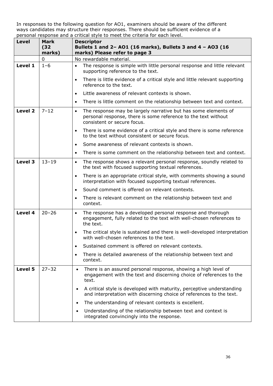| Level   | Mark<br>(32)<br>marks) | <b>Descriptor</b><br>Bullets 1 and 2- A01 (16 marks), Bullets 3 and 4 - A03 (16<br>marks) Please refer to page 3                                                             |
|---------|------------------------|------------------------------------------------------------------------------------------------------------------------------------------------------------------------------|
|         | $\mathbf 0$            | No rewardable material.                                                                                                                                                      |
| Level 1 | $1 - 6$                | The response is simple with little personal response and little relevant<br>$\bullet$<br>supporting reference to the text.                                                   |
|         |                        | There is little evidence of a critical style and little relevant supporting<br>$\bullet$<br>reference to the text.                                                           |
|         |                        | Little awareness of relevant contexts is shown.<br>$\bullet$                                                                                                                 |
|         |                        | There is little comment on the relationship between text and context.<br>$\bullet$                                                                                           |
| Level 2 | $7 - 12$               | The response may be largely narrative but has some elements of<br>$\bullet$<br>personal response, there is some reference to the text without<br>consistent or secure focus. |
|         |                        | There is some evidence of a critical style and there is some reference<br>$\bullet$<br>to the text without consistent or secure focus.                                       |
|         |                        | Some awareness of relevant contexts is shown.<br>$\bullet$                                                                                                                   |
|         |                        | There is some comment on the relationship between text and context.<br>$\bullet$                                                                                             |
| Level 3 | $13 - 19$              | The response shows a relevant personal response, soundly related to<br>$\bullet$<br>the text with focused supporting textual references.                                     |
|         |                        | There is an appropriate critical style, with comments showing a sound<br>$\bullet$<br>interpretation with focused supporting textual references.                             |
|         |                        | Sound comment is offered on relevant contexts.<br>$\bullet$                                                                                                                  |
|         |                        | There is relevant comment on the relationship between text and<br>$\bullet$<br>context.                                                                                      |
| Level 4 | $20 - 26$              | The response has a developed personal response and thorough<br>$\bullet$<br>engagement, fully related to the text with well-chosen references to<br>the text.                |
|         |                        | The critical style is sustained and there is well-developed interpretation<br>$\bullet$<br>with well-chosen references to the text.                                          |
|         |                        | Sustained comment is offered on relevant contexts.<br>$\bullet$                                                                                                              |
|         |                        | There is detailed awareness of the relationship between text and<br>$\bullet$<br>context.                                                                                    |
| Level 5 | $27 - 32$              | There is an assured personal response, showing a high level of<br>$\bullet$<br>engagement with the text and discerning choice of references to the<br>text.                  |
|         |                        | A critical style is developed with maturity, perceptive understanding<br>$\bullet$<br>and interpretation with discerning choice of references to the text.                   |
|         |                        | The understanding of relevant contexts is excellent.<br>$\bullet$                                                                                                            |
|         |                        | Understanding of the relationship between text and context is<br>$\bullet$<br>integrated convincingly into the response.                                                     |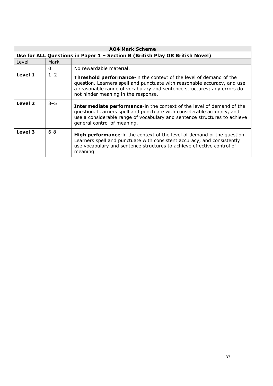| <b>AO4 Mark Scheme</b> |         |                                                                                                                                                                                                                                                                          |
|------------------------|---------|--------------------------------------------------------------------------------------------------------------------------------------------------------------------------------------------------------------------------------------------------------------------------|
|                        |         | Use for ALL Questions in Paper 1 - Section B (British Play OR British Novel)                                                                                                                                                                                             |
| Level                  | Mark    |                                                                                                                                                                                                                                                                          |
|                        | 0       | No rewardable material.                                                                                                                                                                                                                                                  |
| Level 1                | $1 - 2$ | <b>Threshold performance-</b> in the context of the level of demand of the<br>question. Learners spell and punctuate with reasonable accuracy, and use<br>a reasonable range of vocabulary and sentence structures; any errors do<br>not hinder meaning in the response. |
| Level 2                | $3 - 5$ | <b>Intermediate performance-in the context of the level of demand of the</b><br>question. Learners spell and punctuate with considerable accuracy, and<br>use a considerable range of vocabulary and sentence structures to achieve<br>general control of meaning.       |
| Level 3                | $6 - 8$ | <b>High performance-in the context of the level of demand of the question.</b><br>Learners spell and punctuate with consistent accuracy, and consistently<br>use vocabulary and sentence structures to achieve effective control of<br>meaning.                          |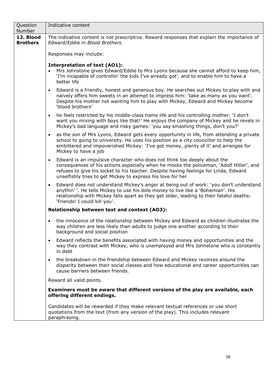| Question<br>Number           | Indicative content                                                                                                                                                                                                                                                                                                                      |
|------------------------------|-----------------------------------------------------------------------------------------------------------------------------------------------------------------------------------------------------------------------------------------------------------------------------------------------------------------------------------------|
| 12. Blood<br><b>Brothers</b> | The indicative content is not prescriptive. Reward responses that explain the importance of<br>Edward/Eddie in Blood Brothers.                                                                                                                                                                                                          |
|                              | Responses may include:                                                                                                                                                                                                                                                                                                                  |
|                              | <b>Interpretation of text (AO1):</b><br>Mrs Johnstone gives Edward/Eddie to Mrs Lyons because she cannot afford to keep him,<br>'I'm incapable of controllin' the kids I've already got', and to enable him to have a<br>better life                                                                                                    |
|                              | Edward is a friendly, honest and generous boy. He searches out Mickey to play with and<br>$\bullet$<br>naively offers him sweets in an attempt to impress him: 'take as many as you want'.<br>Despite his mother not wanting him to play with Mickey, Edward and Mickey become<br>'blood brothers'                                      |
|                              | he feels restricted by his middle-class home life and his controlling mother: 'I don't<br>$\bullet$<br>want you mixing with boys like that!' He enjoys the company of Mickey and he revels in<br>Mickey's bad language and risky games: 'you say smashing things, don't you?'                                                           |
|                              | as the son of Mrs Lyons, Edward gets every opportunity in life, from attending a private<br>$\bullet$<br>school to going to university. He uses his position as a city councillor to help the<br>embittered and impoverished Mickey: 'I've got money, plenty of it' and arranges for<br>Mickey to have a job                            |
|                              | Edward is an impulsive character who does not think too deeply about the<br>$\bullet$<br>consequences of his actions especially when he mocks the policeman, 'Adolf Hitler', and<br>refuses to give his locket to his teacher. Despite having feelings for Linda, Edward<br>unselfishly tries to get Mickey to express his love for her |
|                              | Edward does not understand Mickey's anger at being out of work: 'you don't understand<br>$\bullet$<br>anythin''. He tells Mickey to use his dole money to live like a 'Bohemian'. His<br>relationship with Mickey falls apart as they get older, leading to their fateful deaths:<br>'Friends! I could kill you'.                       |
|                              | Relationship between text and context (AO3):                                                                                                                                                                                                                                                                                            |
|                              | the innocence of the relationship between Mickey and Edward as children illustrates the<br>$\bullet$<br>way children are less likely than adults to judge one another according to their<br>background and social position                                                                                                              |
|                              | Edward reflects the benefits associated with having money and opportunities and the<br>$\bullet$<br>way they contrast with Mickey, who is unemployed and Mrs Johnstone who is constantly<br>in debt                                                                                                                                     |
|                              | the breakdown in the friendship between Edward and Mickey revolves around the<br>$\bullet$<br>disparity between their social classes and how educational and career opportunities can<br>cause barriers between friends.                                                                                                                |
|                              | Reward all valid points.                                                                                                                                                                                                                                                                                                                |
|                              | Examiners must be aware that different versions of the play are available, each<br>offering different endings.                                                                                                                                                                                                                          |
|                              | Candidates will be rewarded if they make relevant textual references or use short<br>quotations from the text (from any version of the play). This includes relevant<br>paraphrasing.                                                                                                                                                   |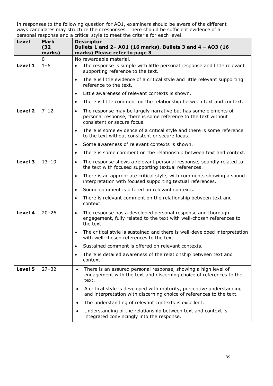| <b>Level</b> | <b>Mark</b><br>(32)<br>marks) | <b>Descriptor</b><br>Bullets 1 and 2- A01 (16 marks), Bullets 3 and 4 - A03 (16<br>marks) Please refer to page 3                                                             |
|--------------|-------------------------------|------------------------------------------------------------------------------------------------------------------------------------------------------------------------------|
|              | $\mathbf 0$                   | No rewardable material.                                                                                                                                                      |
| Level 1      | $1 - 6$                       | The response is simple with little personal response and little relevant<br>$\bullet$<br>supporting reference to the text.                                                   |
|              |                               | There is little evidence of a critical style and little relevant supporting<br>$\bullet$<br>reference to the text.                                                           |
|              |                               | Little awareness of relevant contexts is shown.<br>$\bullet$                                                                                                                 |
|              |                               | There is little comment on the relationship between text and context.<br>$\bullet$                                                                                           |
| Level 2      | $7 - 12$                      | The response may be largely narrative but has some elements of<br>$\bullet$<br>personal response, there is some reference to the text without<br>consistent or secure focus. |
|              |                               | There is some evidence of a critical style and there is some reference<br>$\bullet$<br>to the text without consistent or secure focus.                                       |
|              |                               | Some awareness of relevant contexts is shown.<br>$\bullet$                                                                                                                   |
|              |                               | There is some comment on the relationship between text and context.<br>$\bullet$                                                                                             |
| Level 3      | $13 - 19$                     | The response shows a relevant personal response, soundly related to<br>$\bullet$<br>the text with focused supporting textual references.                                     |
|              |                               | There is an appropriate critical style, with comments showing a sound<br>$\bullet$<br>interpretation with focused supporting textual references.                             |
|              |                               | Sound comment is offered on relevant contexts.<br>$\bullet$                                                                                                                  |
|              |                               | There is relevant comment on the relationship between text and<br>$\bullet$<br>context.                                                                                      |
| Level 4      | $20 - 26$                     | The response has a developed personal response and thorough<br>$\bullet$<br>engagement, fully related to the text with well-chosen references to<br>the text.                |
|              |                               | The critical style is sustained and there is well-developed interpretation<br>$\bullet$<br>with well-chosen references to the text.                                          |
|              |                               | Sustained comment is offered on relevant contexts.<br>$\bullet$                                                                                                              |
|              |                               | There is detailed awareness of the relationship between text and<br>$\bullet$<br>context.                                                                                    |
| Level 5      | $27 - 32$                     | There is an assured personal response, showing a high level of<br>$\bullet$<br>engagement with the text and discerning choice of references to the<br>text.                  |
|              |                               | A critical style is developed with maturity, perceptive understanding<br>$\bullet$<br>and interpretation with discerning choice of references to the text.                   |
|              |                               | The understanding of relevant contexts is excellent.<br>$\bullet$                                                                                                            |
|              |                               | Understanding of the relationship between text and context is<br>$\bullet$<br>integrated convincingly into the response.                                                     |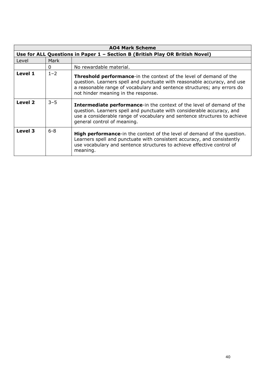| <b>AO4 Mark Scheme</b> |                                                                              |                                                                                                                                                                                                                                                                         |  |
|------------------------|------------------------------------------------------------------------------|-------------------------------------------------------------------------------------------------------------------------------------------------------------------------------------------------------------------------------------------------------------------------|--|
|                        | Use for ALL Questions in Paper 1 - Section B (British Play OR British Novel) |                                                                                                                                                                                                                                                                         |  |
| Level                  | Mark                                                                         |                                                                                                                                                                                                                                                                         |  |
|                        | 0                                                                            | No rewardable material.                                                                                                                                                                                                                                                 |  |
| Level 1                | $1 - 2$                                                                      | <b>Threshold performance-in the context of the level of demand of the</b><br>question. Learners spell and punctuate with reasonable accuracy, and use<br>a reasonable range of vocabulary and sentence structures; any errors do<br>not hinder meaning in the response. |  |
| Level 2                | $3 - 5$                                                                      | <b>Intermediate performance-in the context of the level of demand of the</b><br>question. Learners spell and punctuate with considerable accuracy, and<br>use a considerable range of vocabulary and sentence structures to achieve<br>general control of meaning.      |  |
| Level 3                | $6 - 8$                                                                      | <b>High performance-in the context of the level of demand of the question.</b><br>Learners spell and punctuate with consistent accuracy, and consistently<br>use vocabulary and sentence structures to achieve effective control of<br>meaning.                         |  |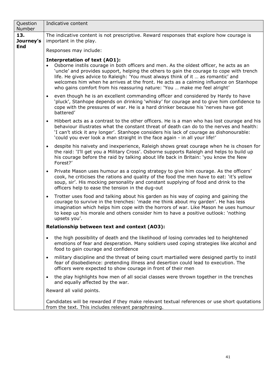| Question<br>Number | Indicative content                                                                                                                                                                                                                                                                                                                                                                                                                                                                                |
|--------------------|---------------------------------------------------------------------------------------------------------------------------------------------------------------------------------------------------------------------------------------------------------------------------------------------------------------------------------------------------------------------------------------------------------------------------------------------------------------------------------------------------|
| 13.<br>Journey's   | The indicative content is not prescriptive. Reward responses that explore how courage is<br>important in the play.                                                                                                                                                                                                                                                                                                                                                                                |
| <b>End</b>         | Responses may include:                                                                                                                                                                                                                                                                                                                                                                                                                                                                            |
|                    | <b>Interpretation of text (AO1):</b><br>Osborne instils courage in both officers and men. As the oldest officer, he acts as an<br>$\bullet$<br>'uncle' and provides support, helping the others to gain the courage to cope with trench<br>life. He gives advice to Raleigh: 'You must always think of it  as romantic' and<br>welcomes him when he arrives at the front. He acts as a calming influence on Stanhope<br>who gains comfort from his reassuring nature: 'You  make me feel alright' |
|                    | even though he is an excellent commanding officer and considered by Hardy to have<br>$\bullet$<br>'pluck', Stanhope depends on drinking 'whisky' for courage and to give him confidence to<br>cope with the pressures of war. He is a hard drinker because his 'nerves have got<br>battered'                                                                                                                                                                                                      |
|                    | Hibbert acts as a contrast to the other officers. He is a man who has lost courage and his<br>$\bullet$<br>behaviour illustrates what the constant threat of death can do to the nerves and health:<br>'I can't stick it any longer'. Stanhope considers his lack of courage as dishonourable:<br>'could you ever look a man straight in the face again - in all your life!'                                                                                                                      |
|                    | despite his naivety and inexperience, Raleigh shows great courage when he is chosen for<br>$\bullet$<br>the raid: 'I'll get you a Military Cross'. Osborne supports Raleigh and helps to build up<br>his courage before the raid by talking about life back in Britain: 'you know the New<br>Forest?'                                                                                                                                                                                             |
|                    | Private Mason uses humour as a coping strategy to give him courage. As the officers'<br>$\bullet$<br>cook, he criticises the rations and quality of the food the men have to eat: 'it's yellow<br>soup, sir'. His mocking personality and constant supplying of food and drink to the<br>officers help to ease the tension in the dug-out                                                                                                                                                         |
|                    | Trotter uses food and talking about his garden as his way of coping and gaining the<br>$\bullet$<br>courage to survive in the trenches: 'made me think about my garden'. He has less<br>imagination which helps him cope with the horrors of war. Like Mason he uses humour<br>to keep up his morale and others consider him to have a positive outlook: 'nothing<br>upsets you'.                                                                                                                 |
|                    | Relationship between text and context (AO3):                                                                                                                                                                                                                                                                                                                                                                                                                                                      |
|                    | the high possibility of death and the likelihood of losing comrades led to heightened<br>$\bullet$<br>emotions of fear and desperation. Many soldiers used coping strategies like alcohol and<br>food to gain courage and confidence                                                                                                                                                                                                                                                              |
|                    | military discipline and the threat of being court martialled were designed partly to instil<br>$\bullet$<br>fear of disobedience: pretending illness and desertion could lead to execution. The<br>officers were expected to show courage in front of their men                                                                                                                                                                                                                                   |
|                    | the play highlights how men of all social classes were thrown together in the trenches<br>$\bullet$<br>and equally affected by the war.                                                                                                                                                                                                                                                                                                                                                           |
|                    | Reward all valid points.                                                                                                                                                                                                                                                                                                                                                                                                                                                                          |
|                    | Candidates will be rewarded if they make relevant textual references or use short quotations<br>from the text. This includes relevant paraphrasing.                                                                                                                                                                                                                                                                                                                                               |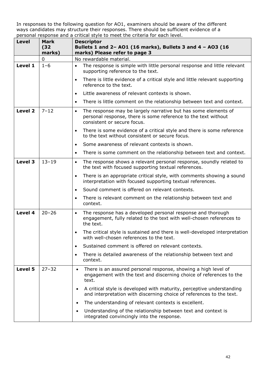| Level   | Mark<br>(32)<br>marks) | <b>Descriptor</b><br>Bullets 1 and 2- A01 (16 marks), Bullets 3 and 4 - A03 (16<br>marks) Please refer to page 3                                                             |
|---------|------------------------|------------------------------------------------------------------------------------------------------------------------------------------------------------------------------|
|         | $\mathbf 0$            | No rewardable material.                                                                                                                                                      |
| Level 1 | $1 - 6$                | The response is simple with little personal response and little relevant<br>$\bullet$<br>supporting reference to the text.                                                   |
|         |                        | There is little evidence of a critical style and little relevant supporting<br>$\bullet$<br>reference to the text.                                                           |
|         |                        | Little awareness of relevant contexts is shown.<br>$\bullet$                                                                                                                 |
|         |                        | There is little comment on the relationship between text and context.<br>$\bullet$                                                                                           |
| Level 2 | $7 - 12$               | The response may be largely narrative but has some elements of<br>$\bullet$<br>personal response, there is some reference to the text without<br>consistent or secure focus. |
|         |                        | There is some evidence of a critical style and there is some reference<br>$\bullet$<br>to the text without consistent or secure focus.                                       |
|         |                        | Some awareness of relevant contexts is shown.<br>$\bullet$                                                                                                                   |
|         |                        | There is some comment on the relationship between text and context.<br>$\bullet$                                                                                             |
| Level 3 | $13 - 19$              | The response shows a relevant personal response, soundly related to<br>$\bullet$<br>the text with focused supporting textual references.                                     |
|         |                        | There is an appropriate critical style, with comments showing a sound<br>$\bullet$<br>interpretation with focused supporting textual references.                             |
|         |                        | Sound comment is offered on relevant contexts.<br>$\bullet$                                                                                                                  |
|         |                        | There is relevant comment on the relationship between text and<br>$\bullet$<br>context.                                                                                      |
| Level 4 | $20 - 26$              | The response has a developed personal response and thorough<br>$\bullet$<br>engagement, fully related to the text with well-chosen references to<br>the text.                |
|         |                        | The critical style is sustained and there is well-developed interpretation<br>$\bullet$<br>with well-chosen references to the text.                                          |
|         |                        | Sustained comment is offered on relevant contexts.<br>$\bullet$                                                                                                              |
|         |                        | There is detailed awareness of the relationship between text and<br>$\bullet$<br>context.                                                                                    |
| Level 5 | $27 - 32$              | There is an assured personal response, showing a high level of<br>$\bullet$<br>engagement with the text and discerning choice of references to the<br>text.                  |
|         |                        | A critical style is developed with maturity, perceptive understanding<br>$\bullet$<br>and interpretation with discerning choice of references to the text.                   |
|         |                        | The understanding of relevant contexts is excellent.<br>$\bullet$                                                                                                            |
|         |                        | Understanding of the relationship between text and context is<br>$\bullet$<br>integrated convincingly into the response.                                                     |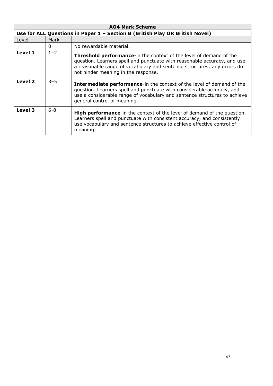| <b>AO4 Mark Scheme</b> |                                                                              |                                                                                                                                                                                                                                                                         |  |
|------------------------|------------------------------------------------------------------------------|-------------------------------------------------------------------------------------------------------------------------------------------------------------------------------------------------------------------------------------------------------------------------|--|
|                        | Use for ALL Questions in Paper 1 - Section B (British Play OR British Novel) |                                                                                                                                                                                                                                                                         |  |
| Level                  | Mark                                                                         |                                                                                                                                                                                                                                                                         |  |
|                        | 0                                                                            | No rewardable material.                                                                                                                                                                                                                                                 |  |
| Level 1                | $1 - 2$                                                                      | <b>Threshold performance-in the context of the level of demand of the</b><br>question. Learners spell and punctuate with reasonable accuracy, and use<br>a reasonable range of vocabulary and sentence structures; any errors do<br>not hinder meaning in the response. |  |
| Level 2                | $3 - 5$                                                                      | <b>Intermediate performance-in the context of the level of demand of the</b><br>question. Learners spell and punctuate with considerable accuracy, and<br>use a considerable range of vocabulary and sentence structures to achieve<br>general control of meaning.      |  |
| Level 3                | $6 - 8$                                                                      | <b>High performance-in the context of the level of demand of the question.</b><br>Learners spell and punctuate with consistent accuracy, and consistently<br>use vocabulary and sentence structures to achieve effective control of<br>meaning.                         |  |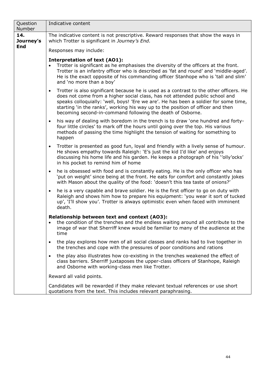| Question<br>Number | Indicative content                                                                                                                                                                                                                                                                                                                                                                                                           |  |  |  |
|--------------------|------------------------------------------------------------------------------------------------------------------------------------------------------------------------------------------------------------------------------------------------------------------------------------------------------------------------------------------------------------------------------------------------------------------------------|--|--|--|
| 14.<br>Journey's   | The indicative content is not prescriptive. Reward responses that show the ways in<br>which Trotter is significant in Journey's End.                                                                                                                                                                                                                                                                                         |  |  |  |
| <b>End</b>         | Responses may include:                                                                                                                                                                                                                                                                                                                                                                                                       |  |  |  |
|                    | <b>Interpretation of text (AO1):</b><br>Trotter is significant as he emphasises the diversity of the officers at the front.<br>Trotter is an infantry officer who is described as 'fat and round' and 'middle-aged'.<br>He is the exact opposite of his commanding officer Stanhope who is 'tall and slim'<br>and 'no more than a boy'                                                                                       |  |  |  |
|                    | Trotter is also significant because he is used as a contrast to the other officers. He<br>$\bullet$<br>does not come from a higher social class, has not attended public school and<br>speaks colloquially: 'well, boys! 'Ere we are'. He has been a soldier for some time,<br>starting 'in the ranks', working his way up to the position of officer and then<br>becoming second-in-command following the death of Osborne. |  |  |  |
|                    | his way of dealing with boredom in the trench is to draw 'one hundred and forty-<br>four little circles' to mark off the hours until going over the top. His various<br>methods of passing the time highlight the tension of waiting for something to<br>happen                                                                                                                                                              |  |  |  |
|                    | Trotter is presented as good fun, loyal and friendly with a lively sense of humour.<br>$\bullet$<br>He shows empathy towards Raleigh: 'E's just the kid I'd like' and enjoys<br>discussing his home life and his garden. He keeps a photograph of his ''olly'ocks'<br>in his pocket to remind him of home                                                                                                                    |  |  |  |
|                    | he is obsessed with food and is constantly eating. He is the only officer who has<br>$\bullet$<br>'put on weight' since being at the front. He eats for comfort and constantly jokes<br>with Mason about the quality of the food: 'doesn't this tea taste of onions?'                                                                                                                                                        |  |  |  |
|                    | he is a very capable and brave soldier. He is the first officer to go on duty with<br>$\bullet$<br>Raleigh and shows him how to prepare his equipment: 'you wear it sort of tucked<br>up', 'I'll show you'. Trotter is always optimistic even when faced with imminent<br>death.                                                                                                                                             |  |  |  |
|                    | Relationship between text and context (AO3):<br>the condition of the trenches and the endless waiting around all contribute to the<br>image of war that Sherriff knew would be familiar to many of the audience at the<br>time                                                                                                                                                                                               |  |  |  |
|                    | the play explores how men of all social classes and ranks had to live together in<br>the trenches and cope with the pressures of poor conditions and rations                                                                                                                                                                                                                                                                 |  |  |  |
|                    | the play also illustrates how co-existing in the trenches weakened the effect of<br>class barriers. Sherriff juxtaposes the upper-class officers of Stanhope, Raleigh<br>and Osborne with working-class men like Trotter.                                                                                                                                                                                                    |  |  |  |
|                    | Reward all valid points.                                                                                                                                                                                                                                                                                                                                                                                                     |  |  |  |
|                    | Candidates will be rewarded if they make relevant textual references or use short<br>quotations from the text. This includes relevant paraphrasing.                                                                                                                                                                                                                                                                          |  |  |  |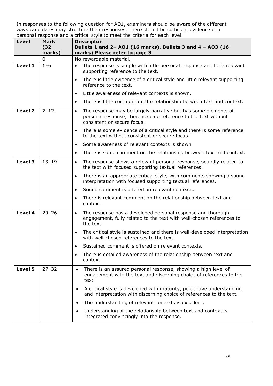| <b>Level</b> | Mark<br>(32)<br>marks) | <b>Descriptor</b><br>Bullets 1 and 2- A01 (16 marks), Bullets 3 and 4 - A03 (16<br>marks) Please refer to page 3                                                             |
|--------------|------------------------|------------------------------------------------------------------------------------------------------------------------------------------------------------------------------|
|              | 0                      | No rewardable material.                                                                                                                                                      |
| Level 1      | $1 - 6$                | The response is simple with little personal response and little relevant<br>$\bullet$<br>supporting reference to the text.                                                   |
|              |                        | There is little evidence of a critical style and little relevant supporting<br>$\bullet$<br>reference to the text.                                                           |
|              |                        | Little awareness of relevant contexts is shown.<br>$\bullet$                                                                                                                 |
|              |                        | There is little comment on the relationship between text and context.<br>$\bullet$                                                                                           |
| Level 2      | $7 - 12$               | The response may be largely narrative but has some elements of<br>$\bullet$<br>personal response, there is some reference to the text without<br>consistent or secure focus. |
|              |                        | There is some evidence of a critical style and there is some reference<br>$\bullet$<br>to the text without consistent or secure focus.                                       |
|              |                        | Some awareness of relevant contexts is shown.<br>$\bullet$                                                                                                                   |
|              |                        | There is some comment on the relationship between text and context.<br>$\bullet$                                                                                             |
| Level 3      | $13 - 19$              | The response shows a relevant personal response, soundly related to<br>$\bullet$<br>the text with focused supporting textual references.                                     |
|              |                        | There is an appropriate critical style, with comments showing a sound<br>$\bullet$<br>interpretation with focused supporting textual references.                             |
|              |                        | Sound comment is offered on relevant contexts.<br>$\bullet$                                                                                                                  |
|              |                        | There is relevant comment on the relationship between text and<br>$\bullet$<br>context.                                                                                      |
| Level 4      | $20 - 26$              | The response has a developed personal response and thorough<br>$\bullet$<br>engagement, fully related to the text with well-chosen references to<br>the text.                |
|              |                        | The critical style is sustained and there is well-developed interpretation<br>$\bullet$<br>with well-chosen references to the text.                                          |
|              |                        | Sustained comment is offered on relevant contexts.<br>$\bullet$                                                                                                              |
|              |                        | There is detailed awareness of the relationship between text and<br>$\bullet$<br>context.                                                                                    |
| Level 5      | $27 - 32$              | There is an assured personal response, showing a high level of<br>$\bullet$<br>engagement with the text and discerning choice of references to the<br>text.                  |
|              |                        | A critical style is developed with maturity, perceptive understanding<br>and interpretation with discerning choice of references to the text.                                |
|              |                        | The understanding of relevant contexts is excellent.<br>$\bullet$                                                                                                            |
|              |                        | Understanding of the relationship between text and context is<br>$\bullet$<br>integrated convincingly into the response.                                                     |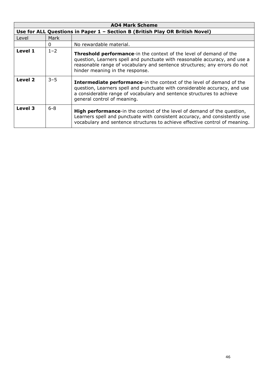| <b>AO4 Mark Scheme</b> |         |                                                                                                                                                                                                                                                                    |
|------------------------|---------|--------------------------------------------------------------------------------------------------------------------------------------------------------------------------------------------------------------------------------------------------------------------|
|                        |         | Use for ALL Questions in Paper 1 - Section B (British Play OR British Novel)                                                                                                                                                                                       |
| Level                  | Mark    |                                                                                                                                                                                                                                                                    |
|                        | 0       | No rewardable material.                                                                                                                                                                                                                                            |
| Level 1                | $1 - 2$ | Threshold performance-in the context of the level of demand of the<br>question, Learners spell and punctuate with reasonable accuracy, and use a<br>reasonable range of vocabulary and sentence structures; any errors do not<br>hinder meaning in the response.   |
| Level 2                | $3 - 5$ | <b>Intermediate performance-in the context of the level of demand of the</b><br>question, Learners spell and punctuate with considerable accuracy, and use<br>a considerable range of vocabulary and sentence structures to achieve<br>general control of meaning. |
| Level 3                | $6 - 8$ | <b>High performance-in the context of the level of demand of the question,</b><br>Learners spell and punctuate with consistent accuracy, and consistently use<br>vocabulary and sentence structures to achieve effective control of meaning.                       |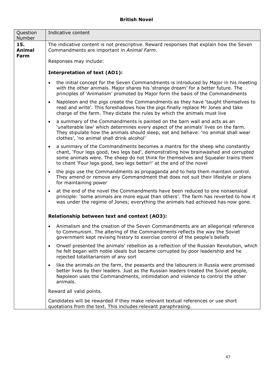| Question<br>Number           | Indicative content                                                                                                                                                                                                                                                                                                                         |  |  |
|------------------------------|--------------------------------------------------------------------------------------------------------------------------------------------------------------------------------------------------------------------------------------------------------------------------------------------------------------------------------------------|--|--|
| 15.<br><b>Animal</b><br>Farm | The indicative content is not prescriptive. Reward responses that explain how the Seven<br>Commandments are important in Animal Farm.                                                                                                                                                                                                      |  |  |
|                              | Responses may include:                                                                                                                                                                                                                                                                                                                     |  |  |
|                              | <b>Interpretation of text (AO1):</b>                                                                                                                                                                                                                                                                                                       |  |  |
|                              | the initial concept for the Seven Commandments is introduced by Major in his meeting<br>$\bullet$<br>with the other animals. Major shares his 'strange dream' for a better future. The<br>principles of 'Animalism' promoted by Major form the basis of the Commandments                                                                   |  |  |
|                              | Napoleon and the pigs create the Commandments as they have 'taught themselves to<br>$\bullet$<br>read and write'. This foreshadows how the pigs finally replace Mr Jones and take<br>charge of the farm. They dictate the rules by which the animals must live                                                                             |  |  |
|                              | a summary of the Commandments is painted on the barn wall and acts as an<br>$\bullet$<br>'unalterable law' which determines every aspect of the animals' lives on the farm.<br>They stipulate how the animals should sleep, eat and behave: 'no animal shall wear<br>clothes', 'no animal shall drink alcohol'                             |  |  |
|                              | a summary of the Commandments becomes a mantra for the sheep who constantly<br>$\bullet$<br>chant, 'Four legs good, two legs bad', demonstrating how brainwashed and corrupted<br>some animals were. The sheep do not think for themselves and Squealer trains them<br>to chant 'Four legs good, two legs better!' at the end of the novel |  |  |
|                              | the pigs use the Commandments as propaganda and to help them maintain control.<br>$\bullet$<br>They amend or remove any Commandment that does not suit their lifestyle or plans<br>for maintaining power                                                                                                                                   |  |  |
|                              | at the end of the novel the Commandments have been reduced to one nonsensical<br>$\bullet$<br>principle: 'some animals are more equal than others'. The farm has reverted to how it<br>was under the regime of Jones; everything the animals had achieved has now gone.                                                                    |  |  |
|                              | Relationship between text and context (AO3):                                                                                                                                                                                                                                                                                               |  |  |
|                              | Animalism and the creation of the Seven Commandments are an allegorical reference<br>$\bullet$<br>to Communism. The altering of the Commandments reflects the way the Soviet<br>government kept revising history to exercise control of the people's beliefs                                                                               |  |  |
|                              | Orwell presented the animals' rebellion as a reflection of the Russian Revolution, which<br>$\bullet$<br>he felt began with noble ideals but became corrupted by poor leadership and he<br>rejected totalitarianism of any sort                                                                                                            |  |  |
|                              | like the animals on the farm, the peasants and the labourers in Russia were promised<br>$\bullet$<br>better lives by their leaders. Just as the Russian leaders treated the Soviet people,<br>Napoleon uses the Commandments, intimidation and violence to control the other<br>animals.                                                   |  |  |
|                              | Reward all valid points.                                                                                                                                                                                                                                                                                                                   |  |  |
|                              | Candidates will be rewarded if they make relevant textual references or use short<br>quotations from the text. This includes relevant paraphrasing.                                                                                                                                                                                        |  |  |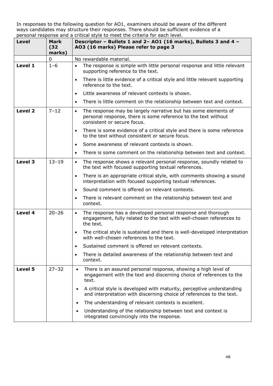| Level   | Mark<br>(32)<br>marks) | personal response and a chilical style to meet the chilena for each level.<br>Descriptor - Bullets 1 and 2- A01 (16 marks), Bullets 3 and 4 -<br>AO3 (16 marks) Please refer to page 3 |
|---------|------------------------|----------------------------------------------------------------------------------------------------------------------------------------------------------------------------------------|
|         | 0                      | No rewardable material.                                                                                                                                                                |
| Level 1 | $1 - 6$                | The response is simple with little personal response and little relevant<br>$\bullet$<br>supporting reference to the text.                                                             |
|         |                        | There is little evidence of a critical style and little relevant supporting<br>$\bullet$<br>reference to the text.                                                                     |
|         |                        | Little awareness of relevant contexts is shown.<br>$\bullet$                                                                                                                           |
|         |                        | There is little comment on the relationship between text and context.<br>$\bullet$                                                                                                     |
| Level 2 | $7 - 12$               | The response may be largely narrative but has some elements of<br>$\bullet$<br>personal response, there is some reference to the text without<br>consistent or secure focus.           |
|         |                        | There is some evidence of a critical style and there is some reference<br>$\bullet$<br>to the text without consistent or secure focus.                                                 |
|         |                        | Some awareness of relevant contexts is shown.<br>$\bullet$                                                                                                                             |
|         |                        | There is some comment on the relationship between text and context.<br>$\bullet$                                                                                                       |
| Level 3 | $13 - 19$              | The response shows a relevant personal response, soundly related to<br>$\bullet$<br>the text with focused supporting textual references.                                               |
|         |                        | There is an appropriate critical style, with comments showing a sound<br>$\bullet$<br>interpretation with focused supporting textual references.                                       |
|         |                        | Sound comment is offered on relevant contexts.<br>$\bullet$                                                                                                                            |
|         |                        | There is relevant comment on the relationship between text and<br>$\bullet$<br>context.                                                                                                |
| Level 4 | $20 - 26$              | The response has a developed personal response and thorough<br>$\bullet$<br>engagement, fully related to the text with well-chosen references to<br>the text.                          |
|         |                        | The critical style is sustained and there is well-developed interpretation<br>$\bullet$<br>with well-chosen references to the text.                                                    |
|         |                        | Sustained comment is offered on relevant contexts.<br>$\bullet$                                                                                                                        |
|         |                        | There is detailed awareness of the relationship between text and<br>$\bullet$<br>context.                                                                                              |
| Level 5 | $27 - 32$              | There is an assured personal response, showing a high level of<br>$\bullet$<br>engagement with the text and discerning choice of references to the<br>text.                            |
|         |                        | A critical style is developed with maturity, perceptive understanding<br>and interpretation with discerning choice of references to the text.                                          |
|         |                        | The understanding of relevant contexts is excellent.<br>$\bullet$                                                                                                                      |
|         |                        | Understanding of the relationship between text and context is<br>$\bullet$<br>integrated convincingly into the response.                                                               |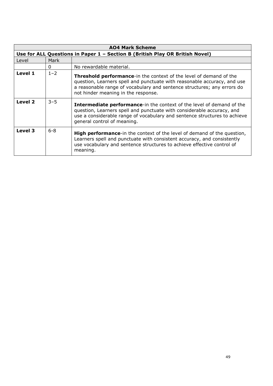| <b>AO4 Mark Scheme</b> |                                                                              |                                                                                                                                                                                                                                                                         |  |
|------------------------|------------------------------------------------------------------------------|-------------------------------------------------------------------------------------------------------------------------------------------------------------------------------------------------------------------------------------------------------------------------|--|
|                        | Use for ALL Questions in Paper 1 - Section B (British Play OR British Novel) |                                                                                                                                                                                                                                                                         |  |
| Level                  | Mark                                                                         |                                                                                                                                                                                                                                                                         |  |
|                        | 0                                                                            | No rewardable material.                                                                                                                                                                                                                                                 |  |
| Level 1                | $1 - 2$                                                                      | <b>Threshold performance-in the context of the level of demand of the</b><br>question, Learners spell and punctuate with reasonable accuracy, and use<br>a reasonable range of vocabulary and sentence structures; any errors do<br>not hinder meaning in the response. |  |
| Level 2                | $3 - 5$                                                                      | Intermediate performance-in the context of the level of demand of the<br>question, Learners spell and punctuate with considerable accuracy, and<br>use a considerable range of vocabulary and sentence structures to achieve<br>general control of meaning.             |  |
| Level 3                | $6 - 8$                                                                      | <b>High performance-in the context of the level of demand of the question,</b><br>Learners spell and punctuate with consistent accuracy, and consistently<br>use vocabulary and sentence structures to achieve effective control of<br>meaning.                         |  |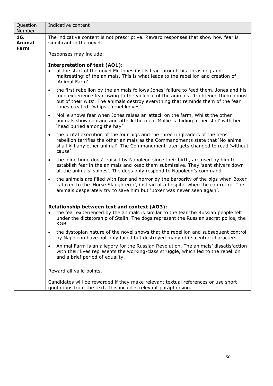| Question<br>Number           | Indicative content                                                                                                                                                                                                                                                                                                    |
|------------------------------|-----------------------------------------------------------------------------------------------------------------------------------------------------------------------------------------------------------------------------------------------------------------------------------------------------------------------|
| 16.<br>Animal<br><b>Farm</b> | The indicative content is not prescriptive. Reward responses that show how fear is<br>significant in the novel.                                                                                                                                                                                                       |
|                              | Responses may include:                                                                                                                                                                                                                                                                                                |
|                              | <b>Interpretation of text (AO1):</b><br>at the start of the novel Mr Jones instils fear through his 'thrashing and<br>maltreating' of the animals. This is what leads to the rebellion and creation of<br>'Animal Farm'                                                                                               |
|                              | the first rebellion by the animals follows Jones' failure to feed them. Jones and his<br>$\bullet$<br>men experience fear owing to the violence of the animals: 'frightened them almost<br>out of their wits'. The animals destroy everything that reminds them of the fear<br>Jones created: 'whips', 'cruel knives' |
|                              | Mollie shows fear when Jones raises an attack on the farm. Whilst the other<br>$\bullet$<br>animals show courage and attack the men, Mollie is 'hiding in her stall' with her<br>'head buried among the hay'                                                                                                          |
|                              | the brutal execution of the four pigs and the three ringleaders of the hens'<br>$\bullet$<br>rebellion terrifies the other animals as the Commandments state that 'No animal<br>shall kill any other animal'. The Commandment later gets changed to read 'without<br>cause'                                           |
|                              | the 'nine huge dogs', raised by Napoleon since their birth, are used by him to<br>establish fear in the animals and keep them submissive. They 'sent shivers down<br>all the animals' spines'. The dogs only respond to Napoleon's command                                                                            |
|                              | the animals are filled with fear and horror by the barbarity of the pigs when Boxer<br>$\bullet$<br>is taken to the 'Horse Slaughterer', instead of a hospital where he can retire. The<br>animals desperately try to save him but 'Boxer was never seen again'.                                                      |
|                              | Relationship between text and context (AO3):<br>the fear experienced by the animals is similar to the fear the Russian people felt<br>$\bullet$<br>under the dictatorship of Stalin. The dogs represent the Russian secret police, the<br><b>KGB</b>                                                                  |
|                              | the dystopian nature of the novel shows that the rebellion and subsequent control<br>by Napoleon have not only failed but destroyed many of its central characters                                                                                                                                                    |
|                              | Animal Farm is an allegory for the Russian Revolution. The animals' dissatisfaction<br>with their lives represents the working-class struggle, which led to the rebellion<br>and a brief period of equality.                                                                                                          |
|                              | Reward all valid points.                                                                                                                                                                                                                                                                                              |
|                              | Candidates will be rewarded if they make relevant textual references or use short<br>quotations from the text. This includes relevant paraphrasing.                                                                                                                                                                   |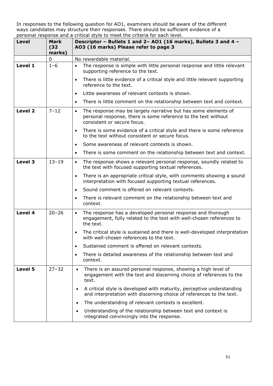| Level   | Mark<br>(32)<br>marks) | personal response and a chilical style to meet the chilena for each level.<br>Descriptor - Bullets 1 and 2- A01 (16 marks), Bullets 3 and 4 -<br>AO3 (16 marks) Please refer to page 3 |
|---------|------------------------|----------------------------------------------------------------------------------------------------------------------------------------------------------------------------------------|
|         | 0                      | No rewardable material.                                                                                                                                                                |
| Level 1 | $1 - 6$                | The response is simple with little personal response and little relevant<br>$\bullet$<br>supporting reference to the text.                                                             |
|         |                        | There is little evidence of a critical style and little relevant supporting<br>$\bullet$<br>reference to the text.                                                                     |
|         |                        | Little awareness of relevant contexts is shown.<br>$\bullet$                                                                                                                           |
|         |                        | There is little comment on the relationship between text and context.<br>$\bullet$                                                                                                     |
| Level 2 | $7 - 12$               | The response may be largely narrative but has some elements of<br>$\bullet$<br>personal response, there is some reference to the text without<br>consistent or secure focus.           |
|         |                        | There is some evidence of a critical style and there is some reference<br>$\bullet$<br>to the text without consistent or secure focus.                                                 |
|         |                        | Some awareness of relevant contexts is shown.<br>$\bullet$                                                                                                                             |
|         |                        | There is some comment on the relationship between text and context.<br>$\bullet$                                                                                                       |
| Level 3 | $13 - 19$              | The response shows a relevant personal response, soundly related to<br>$\bullet$<br>the text with focused supporting textual references.                                               |
|         |                        | There is an appropriate critical style, with comments showing a sound<br>$\bullet$<br>interpretation with focused supporting textual references.                                       |
|         |                        | Sound comment is offered on relevant contexts.<br>$\bullet$                                                                                                                            |
|         |                        | There is relevant comment on the relationship between text and<br>$\bullet$<br>context.                                                                                                |
| Level 4 | $20 - 26$              | The response has a developed personal response and thorough<br>$\bullet$<br>engagement, fully related to the text with well-chosen references to<br>the text.                          |
|         |                        | The critical style is sustained and there is well-developed interpretation<br>$\bullet$<br>with well-chosen references to the text.                                                    |
|         |                        | Sustained comment is offered on relevant contexts.<br>$\bullet$                                                                                                                        |
|         |                        | There is detailed awareness of the relationship between text and<br>$\bullet$<br>context.                                                                                              |
| Level 5 | $27 - 32$              | There is an assured personal response, showing a high level of<br>$\bullet$<br>engagement with the text and discerning choice of references to the<br>text.                            |
|         |                        | A critical style is developed with maturity, perceptive understanding<br>and interpretation with discerning choice of references to the text.                                          |
|         |                        | The understanding of relevant contexts is excellent.<br>$\bullet$                                                                                                                      |
|         |                        | Understanding of the relationship between text and context is<br>$\bullet$<br>integrated convincingly into the response.                                                               |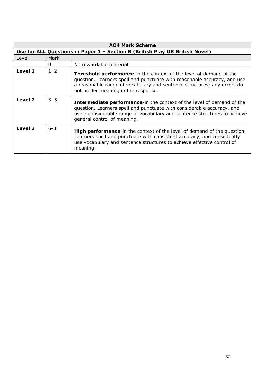| <b>AO4 Mark Scheme</b> |                                                                              |                                                                                                                                                                                                                                                                         |  |
|------------------------|------------------------------------------------------------------------------|-------------------------------------------------------------------------------------------------------------------------------------------------------------------------------------------------------------------------------------------------------------------------|--|
|                        | Use for ALL Questions in Paper 1 - Section B (British Play OR British Novel) |                                                                                                                                                                                                                                                                         |  |
| Level                  | Mark                                                                         |                                                                                                                                                                                                                                                                         |  |
|                        | 0                                                                            | No rewardable material.                                                                                                                                                                                                                                                 |  |
| Level 1                | $1 - 2$                                                                      | <b>Threshold performance-in the context of the level of demand of the</b><br>question. Learners spell and punctuate with reasonable accuracy, and use<br>a reasonable range of vocabulary and sentence structures; any errors do<br>not hinder meaning in the response. |  |
| Level 2                | $3 - 5$                                                                      | <b>Intermediate performance-in the context of the level of demand of the</b><br>question. Learners spell and punctuate with considerable accuracy, and<br>use a considerable range of vocabulary and sentence structures to achieve<br>general control of meaning.      |  |
| Level 3                | $6 - 8$                                                                      | <b>High performance-in the context of the level of demand of the question.</b><br>Learners spell and punctuate with consistent accuracy, and consistently<br>use vocabulary and sentence structures to achieve effective control of<br>meaning.                         |  |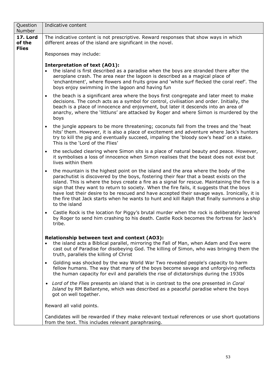| Question<br>Number                 | Indicative content                                                                                                                                                                                                                                                                                                                                                                                                                                                                                                                                                                                    |
|------------------------------------|-------------------------------------------------------------------------------------------------------------------------------------------------------------------------------------------------------------------------------------------------------------------------------------------------------------------------------------------------------------------------------------------------------------------------------------------------------------------------------------------------------------------------------------------------------------------------------------------------------|
| 17. Lord<br>of the<br><b>Flies</b> | The indicative content is not prescriptive. Reward responses that show ways in which<br>different areas of the island are significant in the novel.                                                                                                                                                                                                                                                                                                                                                                                                                                                   |
|                                    | Responses may include:                                                                                                                                                                                                                                                                                                                                                                                                                                                                                                                                                                                |
|                                    | <b>Interpretation of text (AO1):</b><br>the island is first described as a paradise when the boys are stranded there after the<br>$\bullet$<br>aeroplane crash. The area near the lagoon is described as a magical place of<br>'enchantment', where flowers and fruits grow and 'white surf flecked the coral reef'. The<br>boys enjoy swimming in the lagoon and having fun                                                                                                                                                                                                                          |
|                                    | the beach is a significant area where the boys first congregate and later meet to make<br>$\bullet$<br>decisions. The conch acts as a symbol for control, civilisation and order. Initially, the<br>beach is a place of innocence and enjoyment, but later it descends into an area of<br>anarchy, where the 'littluns' are attacked by Roger and where Simon is murdered by the<br>boys                                                                                                                                                                                                              |
|                                    | the jungle appears to be more threatening; coconuts fall from the trees and the 'heat<br>$\bullet$<br>hits' them. However, it is also a place of excitement and adventure where Jack's hunters<br>try to kill the pig and eventually succeed, impaling the 'bloody sow's head' on a stake.<br>This is the 'Lord of the Flies'                                                                                                                                                                                                                                                                         |
|                                    | the secluded clearing where Simon sits is a place of natural beauty and peace. However,<br>$\bullet$<br>it symbolises a loss of innocence when Simon realises that the beast does not exist but<br>lives within them                                                                                                                                                                                                                                                                                                                                                                                  |
|                                    | the mountain is the highest point on the island and the area where the body of the<br>$\bullet$<br>parachutist is discovered by the boys, fostering their fear that a beast exists on the<br>island. This is where the boys create a fire as a signal for rescue. Maintaining the fire is a<br>sign that they want to return to society. When the fire fails, it suggests that the boys<br>have lost their desire to be rescued and have accepted their savage ways. Ironically, it is<br>the fire that Jack starts when he wants to hunt and kill Ralph that finally summons a ship<br>to the island |
|                                    | Castle Rock is the location for Piggy's brutal murder when the rock is deliberately levered<br>$\bullet$<br>by Roger to send him crashing to his death. Castle Rock becomes the fortress for Jack's<br>tribe.                                                                                                                                                                                                                                                                                                                                                                                         |
|                                    | Relationship between text and context (AO3):<br>the island acts a Biblical parallel, mirroring the Fall of Man, when Adam and Eve were<br>cast out of Paradise for disobeying God. The killing of Simon, who was bringing them the<br>truth, parallels the killing of Christ                                                                                                                                                                                                                                                                                                                          |
|                                    | Golding was shocked by the way World War Two revealed people's capacity to harm<br>$\bullet$<br>fellow humans. The way that many of the boys become savage and unforgiving reflects<br>the human capacity for evil and parallels the rise of dictatorships during the 1930s                                                                                                                                                                                                                                                                                                                           |
|                                    | • Lord of the Flies presents an island that is in contrast to the one presented in Coral<br>Island by RM Ballantyne, which was described as a peaceful paradise where the boys<br>got on well together.                                                                                                                                                                                                                                                                                                                                                                                               |
|                                    | Reward all valid points.                                                                                                                                                                                                                                                                                                                                                                                                                                                                                                                                                                              |
|                                    | Candidates will be rewarded if they make relevant textual references or use short quotations<br>from the text. This includes relevant paraphrasing.                                                                                                                                                                                                                                                                                                                                                                                                                                                   |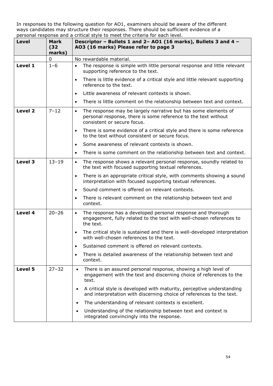| Level   | Mark<br>(32)<br>marks) | personal response and a chilical style to meet the chilena for each level.<br>Descriptor - Bullets 1 and 2- A01 (16 marks), Bullets 3 and 4 -<br>AO3 (16 marks) Please refer to page 3 |
|---------|------------------------|----------------------------------------------------------------------------------------------------------------------------------------------------------------------------------------|
|         | 0                      | No rewardable material.                                                                                                                                                                |
| Level 1 | $1 - 6$                | The response is simple with little personal response and little relevant<br>$\bullet$<br>supporting reference to the text.                                                             |
|         |                        | There is little evidence of a critical style and little relevant supporting<br>$\bullet$<br>reference to the text.                                                                     |
|         |                        | Little awareness of relevant contexts is shown.<br>$\bullet$                                                                                                                           |
|         |                        | There is little comment on the relationship between text and context.<br>$\bullet$                                                                                                     |
| Level 2 | $7 - 12$               | The response may be largely narrative but has some elements of<br>$\bullet$<br>personal response, there is some reference to the text without<br>consistent or secure focus.           |
|         |                        | There is some evidence of a critical style and there is some reference<br>$\bullet$<br>to the text without consistent or secure focus.                                                 |
|         |                        | Some awareness of relevant contexts is shown.<br>$\bullet$                                                                                                                             |
|         |                        | There is some comment on the relationship between text and context.<br>$\bullet$                                                                                                       |
| Level 3 | $13 - 19$              | The response shows a relevant personal response, soundly related to<br>$\bullet$<br>the text with focused supporting textual references.                                               |
|         |                        | There is an appropriate critical style, with comments showing a sound<br>$\bullet$<br>interpretation with focused supporting textual references.                                       |
|         |                        | Sound comment is offered on relevant contexts.<br>$\bullet$                                                                                                                            |
|         |                        | There is relevant comment on the relationship between text and<br>$\bullet$<br>context.                                                                                                |
| Level 4 | $20 - 26$              | The response has a developed personal response and thorough<br>$\bullet$<br>engagement, fully related to the text with well-chosen references to<br>the text.                          |
|         |                        | The critical style is sustained and there is well-developed interpretation<br>$\bullet$<br>with well-chosen references to the text.                                                    |
|         |                        | Sustained comment is offered on relevant contexts.<br>$\bullet$                                                                                                                        |
|         |                        | There is detailed awareness of the relationship between text and<br>$\bullet$<br>context.                                                                                              |
| Level 5 | $27 - 32$              | There is an assured personal response, showing a high level of<br>$\bullet$<br>engagement with the text and discerning choice of references to the<br>text.                            |
|         |                        | A critical style is developed with maturity, perceptive understanding<br>and interpretation with discerning choice of references to the text.                                          |
|         |                        | The understanding of relevant contexts is excellent.<br>$\bullet$                                                                                                                      |
|         |                        | Understanding of the relationship between text and context is<br>$\bullet$<br>integrated convincingly into the response.                                                               |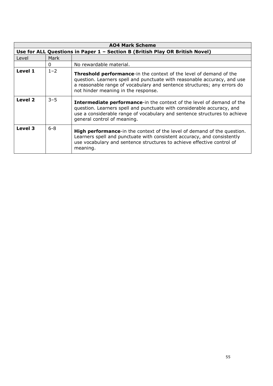| <b>AO4 Mark Scheme</b> |                                                                              |                                                                                                                                                                                                                                                                         |  |
|------------------------|------------------------------------------------------------------------------|-------------------------------------------------------------------------------------------------------------------------------------------------------------------------------------------------------------------------------------------------------------------------|--|
|                        | Use for ALL Questions in Paper 1 - Section B (British Play OR British Novel) |                                                                                                                                                                                                                                                                         |  |
| Level                  | Mark                                                                         |                                                                                                                                                                                                                                                                         |  |
|                        | 0                                                                            | No rewardable material.                                                                                                                                                                                                                                                 |  |
| Level 1                | $1 - 2$                                                                      | <b>Threshold performance-in the context of the level of demand of the</b><br>question. Learners spell and punctuate with reasonable accuracy, and use<br>a reasonable range of vocabulary and sentence structures; any errors do<br>not hinder meaning in the response. |  |
| Level 2                | $3 - 5$                                                                      | <b>Intermediate performance-in the context of the level of demand of the</b><br>question. Learners spell and punctuate with considerable accuracy, and<br>use a considerable range of vocabulary and sentence structures to achieve<br>general control of meaning.      |  |
| Level 3                | $6 - 8$                                                                      | <b>High performance-in the context of the level of demand of the question.</b><br>Learners spell and punctuate with consistent accuracy, and consistently<br>use vocabulary and sentence structures to achieve effective control of<br>meaning.                         |  |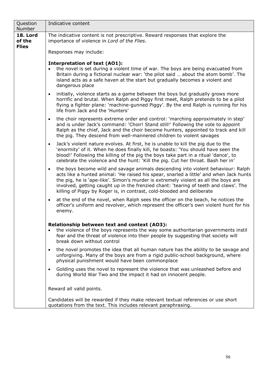| Question<br>Number                 | Indicative content                                                                                                                                                                                                                                                                                                                                                                                                                              |  |  |
|------------------------------------|-------------------------------------------------------------------------------------------------------------------------------------------------------------------------------------------------------------------------------------------------------------------------------------------------------------------------------------------------------------------------------------------------------------------------------------------------|--|--|
| 18. Lord<br>of the<br><b>Flies</b> | The indicative content is not prescriptive. Reward responses that explore the<br>importance of violence in Lord of the Flies.                                                                                                                                                                                                                                                                                                                   |  |  |
|                                    | Responses may include:                                                                                                                                                                                                                                                                                                                                                                                                                          |  |  |
|                                    | <b>Interpretation of text (AO1):</b><br>the novel is set during a violent time of war. The boys are being evacuated from<br>Britain during a fictional nuclear war: 'the pilot said  about the atom bomb'. The<br>island acts as a safe haven at the start but gradually becomes a violent and<br>dangerous place                                                                                                                               |  |  |
|                                    | initially, violence starts as a game between the boys but gradually grows more<br>$\bullet$<br>horrific and brutal. When Ralph and Piggy first meet, Ralph pretends to be a pilot<br>flying a fighter plane: 'machine-gunned Piggy'. By the end Ralph is running for his<br>life from Jack and the 'Hunters'                                                                                                                                    |  |  |
|                                    | the choir represents extreme order and control: 'marching approximately in step'<br>$\bullet$<br>and is under Jack's command: 'Choir! Stand still!' Following the vote to appoint<br>Ralph as the chief, Jack and the choir become hunters, appointed to track and kill<br>the pig. They descend from well-mannered children to violent savages                                                                                                 |  |  |
|                                    | Jack's violent nature evolves. At first, he is unable to kill the pig due to the<br>$\bullet$<br>'enormity' of it. When he does finally kill, he boasts: 'You should have seen the<br>blood!' Following the killing of the pig the boys take part in a ritual 'dance', to<br>celebrate the violence and the hunt: 'Kill the pig. Cut her throat. Bash her in'                                                                                   |  |  |
|                                    | the boys become wild and savage animals descending into violent behaviour: Ralph<br>$\bullet$<br>acts like a hunted animal: 'He raised his spear, snarled a little' and when Jack hunts<br>the pig, he is 'ape-like'. Simon's murder is extremely violent as all the boys are<br>involved, getting caught up in the frenzied chant: 'tearing of teeth and claws'. The<br>killing of Piggy by Roger is, in contrast, cold-blooded and deliberate |  |  |
|                                    | at the end of the novel, when Ralph sees the officer on the beach, he notices the<br>$\bullet$<br>officer's uniform and revolver, which represent the officer's own violent hunt for his<br>enemy.                                                                                                                                                                                                                                              |  |  |
|                                    | Relationship between text and context (AO3):<br>the violence of the boys represents the way some authoritarian governments instil<br>fear and the threat of violence into their people by suggesting that society will<br>break down without control                                                                                                                                                                                            |  |  |
|                                    | the novel promotes the idea that all human nature has the ability to be savage and<br>$\bullet$<br>unforgiving. Many of the boys are from a rigid public-school background, where<br>physical punishment would have been commonplace                                                                                                                                                                                                            |  |  |
|                                    | Golding uses the novel to represent the violence that was unleashed before and<br>$\bullet$<br>during World War Two and the impact it had on innocent people.                                                                                                                                                                                                                                                                                   |  |  |
|                                    | Reward all valid points.                                                                                                                                                                                                                                                                                                                                                                                                                        |  |  |
|                                    | Candidates will be rewarded if they make relevant textual references or use short<br>quotations from the text. This includes relevant paraphrasing.                                                                                                                                                                                                                                                                                             |  |  |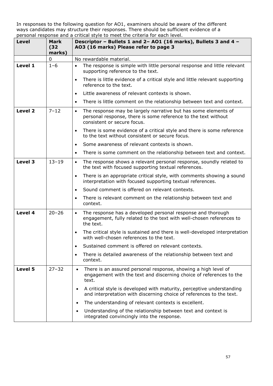| Level   | Mark<br>(32)<br>marks) | personal response and a chilical style to meet the chilena for each level.<br>Descriptor - Bullets 1 and 2- A01 (16 marks), Bullets 3 and 4 -<br>AO3 (16 marks) Please refer to page 3 |
|---------|------------------------|----------------------------------------------------------------------------------------------------------------------------------------------------------------------------------------|
|         | 0                      | No rewardable material.                                                                                                                                                                |
| Level 1 | $1 - 6$                | The response is simple with little personal response and little relevant<br>$\bullet$<br>supporting reference to the text.                                                             |
|         |                        | There is little evidence of a critical style and little relevant supporting<br>$\bullet$<br>reference to the text.                                                                     |
|         |                        | Little awareness of relevant contexts is shown.<br>$\bullet$                                                                                                                           |
|         |                        | There is little comment on the relationship between text and context.<br>$\bullet$                                                                                                     |
| Level 2 | $7 - 12$               | The response may be largely narrative but has some elements of<br>$\bullet$<br>personal response, there is some reference to the text without<br>consistent or secure focus.           |
|         |                        | There is some evidence of a critical style and there is some reference<br>$\bullet$<br>to the text without consistent or secure focus.                                                 |
|         |                        | Some awareness of relevant contexts is shown.<br>$\bullet$                                                                                                                             |
|         |                        | There is some comment on the relationship between text and context.<br>$\bullet$                                                                                                       |
| Level 3 | $13 - 19$              | The response shows a relevant personal response, soundly related to<br>$\bullet$<br>the text with focused supporting textual references.                                               |
|         |                        | There is an appropriate critical style, with comments showing a sound<br>$\bullet$<br>interpretation with focused supporting textual references.                                       |
|         |                        | Sound comment is offered on relevant contexts.<br>$\bullet$                                                                                                                            |
|         |                        | There is relevant comment on the relationship between text and<br>$\bullet$<br>context.                                                                                                |
| Level 4 | $20 - 26$              | The response has a developed personal response and thorough<br>$\bullet$<br>engagement, fully related to the text with well-chosen references to<br>the text.                          |
|         |                        | The critical style is sustained and there is well-developed interpretation<br>$\bullet$<br>with well-chosen references to the text.                                                    |
|         |                        | Sustained comment is offered on relevant contexts.<br>$\bullet$                                                                                                                        |
|         |                        | There is detailed awareness of the relationship between text and<br>$\bullet$<br>context.                                                                                              |
| Level 5 | $27 - 32$              | There is an assured personal response, showing a high level of<br>$\bullet$<br>engagement with the text and discerning choice of references to the<br>text.                            |
|         |                        | A critical style is developed with maturity, perceptive understanding<br>and interpretation with discerning choice of references to the text.                                          |
|         |                        | The understanding of relevant contexts is excellent.<br>$\bullet$                                                                                                                      |
|         |                        | Understanding of the relationship between text and context is<br>$\bullet$<br>integrated convincingly into the response.                                                               |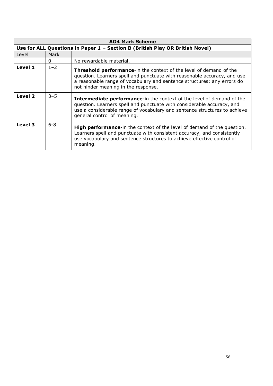| <b>AO4 Mark Scheme</b> |                                                                              |                                                                                                                                                                                                                                                                          |  |
|------------------------|------------------------------------------------------------------------------|--------------------------------------------------------------------------------------------------------------------------------------------------------------------------------------------------------------------------------------------------------------------------|--|
|                        | Use for ALL Questions in Paper 1 - Section B (British Play OR British Novel) |                                                                                                                                                                                                                                                                          |  |
| Level                  | Mark                                                                         |                                                                                                                                                                                                                                                                          |  |
|                        | 0                                                                            | No rewardable material.                                                                                                                                                                                                                                                  |  |
| Level 1                | $1 - 2$                                                                      | <b>Threshold performance-</b> in the context of the level of demand of the<br>question. Learners spell and punctuate with reasonable accuracy, and use<br>a reasonable range of vocabulary and sentence structures; any errors do<br>not hinder meaning in the response. |  |
| Level 2                | $3 - 5$                                                                      | <b>Intermediate performance-in the context of the level of demand of the</b><br>question. Learners spell and punctuate with considerable accuracy, and<br>use a considerable range of vocabulary and sentence structures to achieve<br>general control of meaning.       |  |
| Level 3                | $6 - 8$                                                                      | <b>High performance-in the context of the level of demand of the question.</b><br>Learners spell and punctuate with consistent accuracy, and consistently<br>use vocabulary and sentence structures to achieve effective control of<br>meaning.                          |  |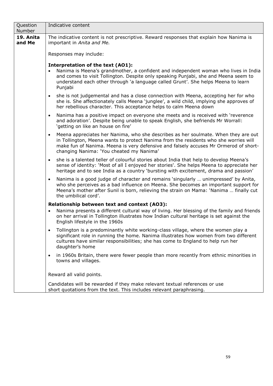| Question<br>Number  | Indicative content                                                                                                                                                                                                                                                                                                          |
|---------------------|-----------------------------------------------------------------------------------------------------------------------------------------------------------------------------------------------------------------------------------------------------------------------------------------------------------------------------|
| 19. Anita<br>and Me | The indicative content is not prescriptive. Reward responses that explain how Nanima is<br>important in Anita and Me.                                                                                                                                                                                                       |
|                     | Responses may include:                                                                                                                                                                                                                                                                                                      |
|                     | Interpretation of the text (AO1):<br>Nanima is Meena's grandmother, a confident and independent woman who lives in India<br>and comes to visit Tollington. Despite only speaking Punjabi, she and Meena seem to<br>understand each other through 'a language called Grunt'. She helps Meena to learn<br>Punjabi             |
|                     | she is not judgemental and has a close connection with Meena, accepting her for who<br>$\bullet$<br>she is. She affectionately calls Meena 'junglee', a wild child, implying she approves of<br>her rebellious character. This acceptance helps to calm Meena down                                                          |
|                     | Nanima has a positive impact on everyone she meets and is received with 'reverence<br>$\bullet$<br>and adoration'. Despite being unable to speak English, she befriends Mr Worrall:<br>'getting on like an house on fire'                                                                                                   |
|                     | Meena appreciates her Nanima, who she describes as her soulmate. When they are out<br>$\bullet$<br>in Tollington, Meena wants to protect Nanima from the residents who she worries will<br>make fun of Nanima. Meena is very defensive and falsely accuses Mr Ormerod of short-<br>changing Nanima: 'You cheated my Nanima' |
|                     | she is a talented teller of colourful stories about India that help to develop Meena's<br>$\bullet$<br>sense of identity: 'Most of all I enjoyed her stories'. She helps Meena to appreciate her<br>heritage and to see India as a country 'bursting with excitement, drama and passion'                                    |
|                     | Nanima is a good judge of character and remains 'singularly  unimpressed' by Anita,<br>$\bullet$<br>who she perceives as a bad influence on Meena. She becomes an important support for<br>Meena's mother after Sunil is born, relieving the strain on Mama: 'Nanima  finally cut<br>the umbilical cord'.                   |
|                     | Relationship between text and context (AO3):                                                                                                                                                                                                                                                                                |
|                     | Nanima presents a different cultural way of living. Her blessing of the family and friends<br>$\bullet$<br>on her arrival in Tollington illustrates how Indian cultural heritage is set against the<br>English lifestyle in the 1960s                                                                                       |
|                     | Tollington is a predominantly white working-class village, where the women play a<br>$\bullet$<br>significant role in running the home. Nanima illustrates how women from two different<br>cultures have similar responsibilities; she has come to England to help run her<br>daughter's home                               |
|                     | in 1960s Britain, there were fewer people than more recently from ethnic minorities in<br>$\bullet$<br>towns and villages.                                                                                                                                                                                                  |
|                     | Reward all valid points.                                                                                                                                                                                                                                                                                                    |
|                     | Candidates will be rewarded if they make relevant textual references or use<br>short quotations from the text. This includes relevant paraphrasing.                                                                                                                                                                         |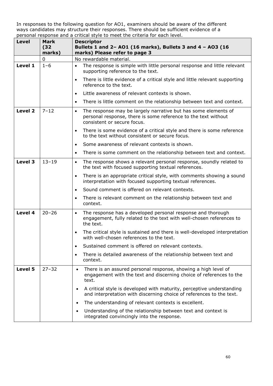| <b>Level</b>       | Mark<br>(32)<br>marks) | <b>Descriptor</b><br>Bullets 1 and 2- A01 (16 marks), Bullets 3 and 4 - A03 (16<br>marks) Please refer to page 3                                                             |
|--------------------|------------------------|------------------------------------------------------------------------------------------------------------------------------------------------------------------------------|
|                    | $\overline{0}$         | No rewardable material.                                                                                                                                                      |
| Level 1            | $1 - 6$                | The response is simple with little personal response and little relevant<br>$\bullet$<br>supporting reference to the text.                                                   |
|                    |                        | There is little evidence of a critical style and little relevant supporting<br>$\bullet$<br>reference to the text.                                                           |
|                    |                        | Little awareness of relevant contexts is shown.<br>$\bullet$                                                                                                                 |
|                    |                        | There is little comment on the relationship between text and context.<br>$\bullet$                                                                                           |
| Level <sub>2</sub> | $7 - 12$               | The response may be largely narrative but has some elements of<br>$\bullet$<br>personal response, there is some reference to the text without<br>consistent or secure focus. |
|                    |                        | There is some evidence of a critical style and there is some reference<br>$\bullet$<br>to the text without consistent or secure focus.                                       |
|                    |                        | Some awareness of relevant contexts is shown.<br>$\bullet$                                                                                                                   |
|                    |                        | There is some comment on the relationship between text and context.<br>$\bullet$                                                                                             |
| Level 3            | $13 - 19$              | The response shows a relevant personal response, soundly related to<br>$\bullet$<br>the text with focused supporting textual references.                                     |
|                    |                        | There is an appropriate critical style, with comments showing a sound<br>$\bullet$<br>interpretation with focused supporting textual references.                             |
|                    |                        | Sound comment is offered on relevant contexts.<br>$\bullet$                                                                                                                  |
|                    |                        | There is relevant comment on the relationship between text and<br>$\bullet$<br>context.                                                                                      |
| Level 4            | $20 - 26$              | The response has a developed personal response and thorough<br>$\bullet$<br>engagement, fully related to the text with well-chosen references to<br>the text.                |
|                    |                        | The critical style is sustained and there is well-developed interpretation<br>$\bullet$<br>with well-chosen references to the text.                                          |
|                    |                        | Sustained comment is offered on relevant contexts.<br>$\bullet$                                                                                                              |
|                    |                        | There is detailed awareness of the relationship between text and<br>$\bullet$<br>context.                                                                                    |
| Level 5            | $27 - 32$              | There is an assured personal response, showing a high level of<br>$\bullet$<br>engagement with the text and discerning choice of references to the<br>text.                  |
|                    |                        | A critical style is developed with maturity, perceptive understanding<br>$\bullet$<br>and interpretation with discerning choice of references to the text.                   |
|                    |                        | The understanding of relevant contexts is excellent.<br>$\bullet$                                                                                                            |
|                    |                        | Understanding of the relationship between text and context is<br>$\bullet$<br>integrated convincingly into the response.                                                     |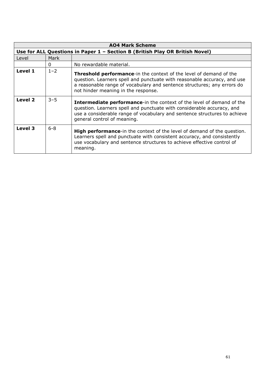| <b>AO4 Mark Scheme</b> |                                                                              |                                                                                                                                                                                                                                                                         |  |
|------------------------|------------------------------------------------------------------------------|-------------------------------------------------------------------------------------------------------------------------------------------------------------------------------------------------------------------------------------------------------------------------|--|
|                        | Use for ALL Questions in Paper 1 - Section B (British Play OR British Novel) |                                                                                                                                                                                                                                                                         |  |
| Level                  | Mark                                                                         |                                                                                                                                                                                                                                                                         |  |
|                        | 0                                                                            | No rewardable material.                                                                                                                                                                                                                                                 |  |
| Level 1                | $1 - 2$                                                                      | <b>Threshold performance-in the context of the level of demand of the</b><br>question. Learners spell and punctuate with reasonable accuracy, and use<br>a reasonable range of vocabulary and sentence structures; any errors do<br>not hinder meaning in the response. |  |
| Level 2                | $3 - 5$                                                                      | <b>Intermediate performance-in the context of the level of demand of the</b><br>question. Learners spell and punctuate with considerable accuracy, and<br>use a considerable range of vocabulary and sentence structures to achieve<br>general control of meaning.      |  |
| Level 3                | $6 - 8$                                                                      | <b>High performance-in the context of the level of demand of the question.</b><br>Learners spell and punctuate with consistent accuracy, and consistently<br>use vocabulary and sentence structures to achieve effective control of<br>meaning.                         |  |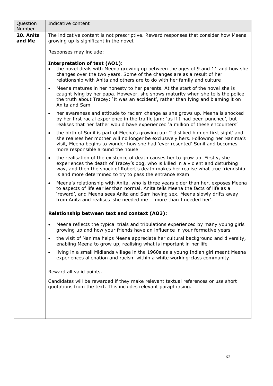| Question<br><b>Number</b> | Indicative content                                                                                                                                                                                                                                                                                                                    |  |  |
|---------------------------|---------------------------------------------------------------------------------------------------------------------------------------------------------------------------------------------------------------------------------------------------------------------------------------------------------------------------------------|--|--|
| 20. Anita<br>and Me       | The indicative content is not prescriptive. Reward responses that consider how Meena<br>growing up is significant in the novel.                                                                                                                                                                                                       |  |  |
|                           | Responses may include:                                                                                                                                                                                                                                                                                                                |  |  |
|                           | <b>Interpretation of text (AO1):</b><br>the novel deals with Meena growing up between the ages of 9 and 11 and how she<br>changes over the two years. Some of the changes are as a result of her<br>relationship with Anita and others are to do with her family and culture                                                          |  |  |
|                           | Meena matures in her honesty to her parents. At the start of the novel she is<br>$\bullet$<br>caught lying by her papa. However, she shows maturity when she tells the police<br>the truth about Tracey: 'It was an accident', rather than lying and blaming it on<br>Anita and Sam                                                   |  |  |
|                           | her awareness and attitude to racism change as she grows up. Meena is shocked<br>$\bullet$<br>by her first racial experience in the traffic jam: `as if I had been punched', but<br>realises that her father would have experienced 'a million of these encounters'                                                                   |  |  |
|                           | the birth of Sunil is part of Meena's growing up: 'I disliked him on first sight' and<br>$\bullet$<br>she realises her mother will no longer be exclusively hers. Following her Nanima's<br>visit, Meena begins to wonder how she had 'ever resented' Sunil and becomes<br>more responsible around the house                          |  |  |
|                           | the realisation of the existence of death causes her to grow up. Firstly, she<br>$\bullet$<br>experiences the death of Tracey's dog, who is killed in a violent and disturbing<br>way, and then the shock of Robert's death makes her realise what true friendship<br>is and more determined to try to pass the entrance exam         |  |  |
|                           | Meena's relationship with Anita, who is three years older than her, exposes Meena<br>$\bullet$<br>to aspects of life earlier than normal. Anita tells Meena the facts of life as a<br>'reward', and Meena sees Anita and Sam having sex. Meena slowly drifts away<br>from Anita and realises 'she needed me  more than I needed her'. |  |  |
|                           | Relationship between text and context (AO3):                                                                                                                                                                                                                                                                                          |  |  |
|                           | Meena reflects the typical trials and tribulations experienced by many young girls<br>growing up and how your friends have an influence in your formative years                                                                                                                                                                       |  |  |
|                           | the visit of Nanima helps Meena appreciate her cultural background and diversity,<br>$\bullet$<br>enabling Meena to grow up, realising what is important in her life                                                                                                                                                                  |  |  |
|                           | living in a small Midlands village in the 1960s as a young Indian girl meant Meena<br>$\bullet$<br>experiences alienation and racism within a white working-class community.                                                                                                                                                          |  |  |
|                           | Reward all valid points.                                                                                                                                                                                                                                                                                                              |  |  |
|                           | Candidates will be rewarded if they make relevant textual references or use short<br>quotations from the text. This includes relevant paraphrasing.                                                                                                                                                                                   |  |  |
|                           |                                                                                                                                                                                                                                                                                                                                       |  |  |
|                           |                                                                                                                                                                                                                                                                                                                                       |  |  |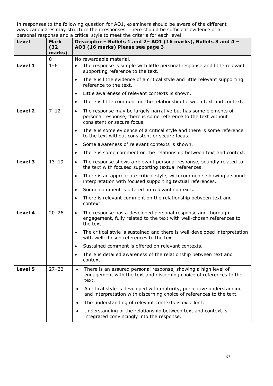| Level   | Mark<br>(32)<br>marks) | personal response and a chilical style to meet the chilena for each level.<br>Descriptor - Bullets 1 and 2- A01 (16 marks), Bullets 3 and 4 -<br>AO3 (16 marks) Please see page 3 |
|---------|------------------------|-----------------------------------------------------------------------------------------------------------------------------------------------------------------------------------|
|         | 0                      | No rewardable material.                                                                                                                                                           |
| Level 1 | $1 - 6$                | The response is simple with little personal response and little relevant<br>$\bullet$<br>supporting reference to the text.                                                        |
|         |                        | There is little evidence of a critical style and little relevant supporting<br>$\bullet$<br>reference to the text.                                                                |
|         |                        | Little awareness of relevant contexts is shown.<br>$\bullet$                                                                                                                      |
|         |                        | There is little comment on the relationship between text and context.<br>$\bullet$                                                                                                |
| Level 2 | $7 - 12$               | The response may be largely narrative but has some elements of<br>$\bullet$<br>personal response, there is some reference to the text without<br>consistent or secure focus.      |
|         |                        | There is some evidence of a critical style and there is some reference<br>$\bullet$<br>to the text without consistent or secure focus.                                            |
|         |                        | Some awareness of relevant contexts is shown.<br>$\bullet$                                                                                                                        |
|         |                        | There is some comment on the relationship between text and context.<br>$\bullet$                                                                                                  |
| Level 3 | $13 - 19$              | The response shows a relevant personal response, soundly related to<br>$\bullet$<br>the text with focused supporting textual references.                                          |
|         |                        | There is an appropriate critical style, with comments showing a sound<br>$\bullet$<br>interpretation with focused supporting textual references.                                  |
|         |                        | Sound comment is offered on relevant contexts.<br>$\bullet$                                                                                                                       |
|         |                        | There is relevant comment on the relationship between text and<br>$\bullet$<br>context.                                                                                           |
| Level 4 | $20 - 26$              | The response has a developed personal response and thorough<br>$\bullet$<br>engagement, fully related to the text with well-chosen references to<br>the text.                     |
|         |                        | The critical style is sustained and there is well-developed interpretation<br>$\bullet$<br>with well-chosen references to the text.                                               |
|         |                        | Sustained comment is offered on relevant contexts.<br>$\bullet$                                                                                                                   |
|         |                        | There is detailed awareness of the relationship between text and<br>$\bullet$<br>context.                                                                                         |
| Level 5 | $27 - 32$              | There is an assured personal response, showing a high level of<br>$\bullet$<br>engagement with the text and discerning choice of references to the<br>text.                       |
|         |                        | A critical style is developed with maturity, perceptive understanding<br>and interpretation with discerning choice of references to the text.                                     |
|         |                        | The understanding of relevant contexts is excellent.<br>$\bullet$                                                                                                                 |
|         |                        | Understanding of the relationship between text and context is<br>$\bullet$<br>integrated convincingly into the response.                                                          |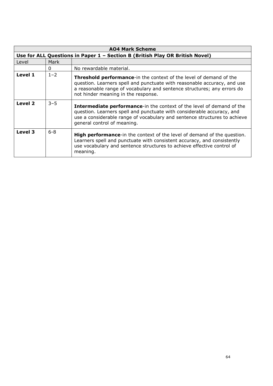| <b>AO4 Mark Scheme</b>                                                       |         |                                                                                                                                                                                                                                                                          |
|------------------------------------------------------------------------------|---------|--------------------------------------------------------------------------------------------------------------------------------------------------------------------------------------------------------------------------------------------------------------------------|
| Use for ALL Questions in Paper 1 - Section B (British Play OR British Novel) |         |                                                                                                                                                                                                                                                                          |
| Level                                                                        | Mark    |                                                                                                                                                                                                                                                                          |
|                                                                              | 0       | No rewardable material.                                                                                                                                                                                                                                                  |
| Level 1                                                                      | $1 - 2$ | <b>Threshold performance-</b> in the context of the level of demand of the<br>question. Learners spell and punctuate with reasonable accuracy, and use<br>a reasonable range of vocabulary and sentence structures; any errors do<br>not hinder meaning in the response. |
| Level 2                                                                      | $3 - 5$ | <b>Intermediate performance-in the context of the level of demand of the</b><br>question. Learners spell and punctuate with considerable accuracy, and<br>use a considerable range of vocabulary and sentence structures to achieve<br>general control of meaning.       |
| Level 3                                                                      | $6 - 8$ | <b>High performance-in the context of the level of demand of the question.</b><br>Learners spell and punctuate with consistent accuracy, and consistently<br>use vocabulary and sentence structures to achieve effective control of<br>meaning.                          |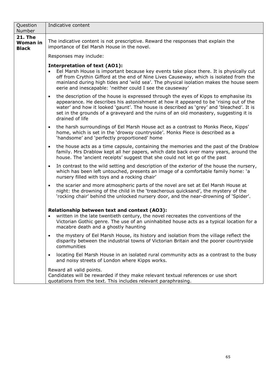| Question<br>Number                                | Indicative content                                                                                                                                                                                                                                                                                                                                                                                 |  |  |
|---------------------------------------------------|----------------------------------------------------------------------------------------------------------------------------------------------------------------------------------------------------------------------------------------------------------------------------------------------------------------------------------------------------------------------------------------------------|--|--|
| <b>21. The</b><br><b>Woman in</b><br><b>Black</b> | The indicative content is not prescriptive. Reward the responses that explain the<br>importance of Eel Marsh House in the novel.                                                                                                                                                                                                                                                                   |  |  |
|                                                   | Responses may include:                                                                                                                                                                                                                                                                                                                                                                             |  |  |
|                                                   | <b>Interpretation of text (AO1):</b><br>Eel Marsh House is important because key events take place there. It is physically cut<br>off from Crythin Gifford at the end of Nine Lives Causeway, which is isolated from the<br>mainland during high tides and 'wild sea'. The physical isolation makes the house seem<br>eerie and inescapable: 'neither could I see the causeway'                    |  |  |
|                                                   | the description of the house is expressed through the eyes of Kipps to emphasise its<br>$\bullet$<br>appearance. He describes his astonishment at how it appeared to be 'rising out of the<br>water' and how it looked 'gaunt'. The house is described as 'grey' and 'bleached'. It is<br>set in the grounds of a graveyard and the ruins of an old monastery, suggesting it is<br>drained of life |  |  |
|                                                   | the harsh surroundings of Eel Marsh House act as a contrast to Monks Piece, Kipps'<br>$\bullet$<br>home, which is set in the 'drowsy countryside'. Monks Piece is described as a<br>'handsome' and 'perfectly proportioned' home                                                                                                                                                                   |  |  |
|                                                   | the house acts as a time capsule, containing the memories and the past of the Drablow<br>$\bullet$<br>family. Mrs Drablow kept all her papers, which date back over many years, around the<br>house. The 'ancient receipts' suggest that she could not let go of the past                                                                                                                          |  |  |
|                                                   | In contrast to the wild setting and description of the exterior of the house the nursery,<br>$\bullet$<br>which has been left untouched, presents an image of a comfortable family home: 'a<br>nursery filled with toys and a rocking chair'                                                                                                                                                       |  |  |
|                                                   | the scarier and more atmospheric parts of the novel are set at Eel Marsh House at<br>$\bullet$<br>night: the drowning of the child in the 'treacherous quicksand', the mystery of the<br>'rocking chair' behind the unlocked nursery door, and the near-drowning of 'Spider'.                                                                                                                      |  |  |
|                                                   | Relationship between text and context (AO3):<br>written in the late twentieth century, the novel recreates the conventions of the<br>Victorian Gothic genre. The use of an uninhabited house acts as a typical location for a<br>macabre death and a ghostly haunting                                                                                                                              |  |  |
|                                                   | the mystery of Eel Marsh House, its history and isolation from the village reflect the<br>$\bullet$<br>disparity between the industrial towns of Victorian Britain and the poorer countryside<br>communities                                                                                                                                                                                       |  |  |
|                                                   | locating Eel Marsh House in an isolated rural community acts as a contrast to the busy<br>$\bullet$<br>and noisy streets of London where Kipps works.                                                                                                                                                                                                                                              |  |  |
|                                                   | Reward all valid points.<br>Candidates will be rewarded if they make relevant textual references or use short<br>quotations from the text. This includes relevant paraphrasing.                                                                                                                                                                                                                    |  |  |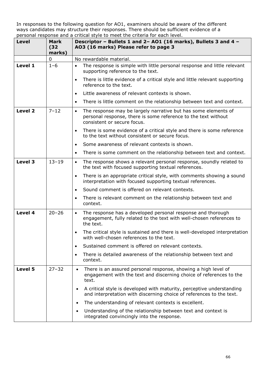| Level   | Mark<br>(32)<br>marks) | personal response and a chilical style to meet the chilena for each level.<br>Descriptor - Bullets 1 and 2- A01 (16 marks), Bullets 3 and 4 -<br>AO3 (16 marks) Please refer to page 3 |
|---------|------------------------|----------------------------------------------------------------------------------------------------------------------------------------------------------------------------------------|
|         | 0                      | No rewardable material.                                                                                                                                                                |
| Level 1 | $1 - 6$                | The response is simple with little personal response and little relevant<br>$\bullet$<br>supporting reference to the text.                                                             |
|         |                        | There is little evidence of a critical style and little relevant supporting<br>$\bullet$<br>reference to the text.                                                                     |
|         |                        | Little awareness of relevant contexts is shown.<br>$\bullet$                                                                                                                           |
|         |                        | There is little comment on the relationship between text and context.<br>$\bullet$                                                                                                     |
| Level 2 | $7 - 12$               | The response may be largely narrative but has some elements of<br>$\bullet$<br>personal response, there is some reference to the text without<br>consistent or secure focus.           |
|         |                        | There is some evidence of a critical style and there is some reference<br>$\bullet$<br>to the text without consistent or secure focus.                                                 |
|         |                        | Some awareness of relevant contexts is shown.<br>$\bullet$                                                                                                                             |
|         |                        | There is some comment on the relationship between text and context.<br>$\bullet$                                                                                                       |
| Level 3 | $13 - 19$              | The response shows a relevant personal response, soundly related to<br>$\bullet$<br>the text with focused supporting textual references.                                               |
|         |                        | There is an appropriate critical style, with comments showing a sound<br>$\bullet$<br>interpretation with focused supporting textual references.                                       |
|         |                        | Sound comment is offered on relevant contexts.<br>$\bullet$                                                                                                                            |
|         |                        | There is relevant comment on the relationship between text and<br>$\bullet$<br>context.                                                                                                |
| Level 4 | $20 - 26$              | The response has a developed personal response and thorough<br>$\bullet$<br>engagement, fully related to the text with well-chosen references to<br>the text.                          |
|         |                        | The critical style is sustained and there is well-developed interpretation<br>$\bullet$<br>with well-chosen references to the text.                                                    |
|         |                        | Sustained comment is offered on relevant contexts.<br>$\bullet$                                                                                                                        |
|         |                        | There is detailed awareness of the relationship between text and<br>$\bullet$<br>context.                                                                                              |
| Level 5 | $27 - 32$              | There is an assured personal response, showing a high level of<br>$\bullet$<br>engagement with the text and discerning choice of references to the<br>text.                            |
|         |                        | A critical style is developed with maturity, perceptive understanding<br>and interpretation with discerning choice of references to the text.                                          |
|         |                        | The understanding of relevant contexts is excellent.<br>$\bullet$                                                                                                                      |
|         |                        | Understanding of the relationship between text and context is<br>$\bullet$<br>integrated convincingly into the response.                                                               |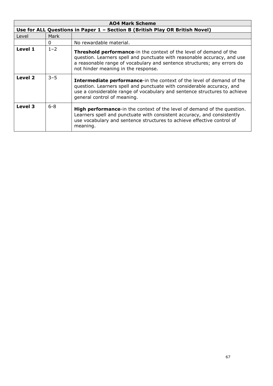| <b>AO4 Mark Scheme</b>                                                       |         |                                                                                                                                                                                                                                                                         |
|------------------------------------------------------------------------------|---------|-------------------------------------------------------------------------------------------------------------------------------------------------------------------------------------------------------------------------------------------------------------------------|
| Use for ALL Questions in Paper 1 - Section B (British Play OR British Novel) |         |                                                                                                                                                                                                                                                                         |
| Level                                                                        | Mark    |                                                                                                                                                                                                                                                                         |
|                                                                              | 0       | No rewardable material.                                                                                                                                                                                                                                                 |
| Level 1                                                                      | $1 - 2$ | <b>Threshold performance-in the context of the level of demand of the</b><br>question. Learners spell and punctuate with reasonable accuracy, and use<br>a reasonable range of vocabulary and sentence structures; any errors do<br>not hinder meaning in the response. |
| Level 2                                                                      | $3 - 5$ | <b>Intermediate performance-in the context of the level of demand of the</b><br>question. Learners spell and punctuate with considerable accuracy, and<br>use a considerable range of vocabulary and sentence structures to achieve<br>general control of meaning.      |
| Level 3                                                                      | $6 - 8$ | <b>High performance-in the context of the level of demand of the question.</b><br>Learners spell and punctuate with consistent accuracy, and consistently<br>use vocabulary and sentence structures to achieve effective control of<br>meaning.                         |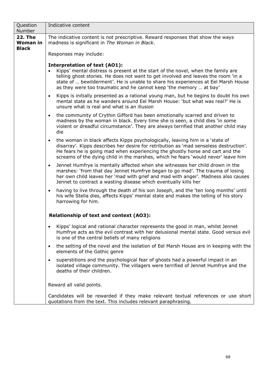| Question<br>Number                                | Indicative content                                                                                                                                                                                                                                                                                                                                                       |  |  |
|---------------------------------------------------|--------------------------------------------------------------------------------------------------------------------------------------------------------------------------------------------------------------------------------------------------------------------------------------------------------------------------------------------------------------------------|--|--|
| <b>22. The</b><br><b>Woman in</b><br><b>Black</b> | The indicative content is not prescriptive. Reward responses that show the ways<br>madness is significant in The Woman in Black.                                                                                                                                                                                                                                         |  |  |
|                                                   | Responses may include:                                                                                                                                                                                                                                                                                                                                                   |  |  |
|                                                   | <b>Interpretation of text (AO1):</b><br>Kipps' mental distress is present at the start of the novel, when the family are<br>telling ghost stories. He does not want to get involved and leaves the room 'in a<br>state of  bewilderment'. He is unable to share his experiences at Eel Marsh House<br>as they were too traumatic and he cannot keep 'the memory  at bay' |  |  |
|                                                   | Kipps is initially presented as a rational young man, but he begins to doubt his own<br>$\bullet$<br>mental state as he wanders around Eel Marsh House: 'but what was real?' He is<br>unsure what is real and what is an illusion                                                                                                                                        |  |  |
|                                                   | the community of Crythin Gifford has been emotionally scarred and driven to<br>$\bullet$<br>madness by the woman in black. Every time she is seen, a child dies 'in some<br>violent or dreadful circumstance'. They are always terrified that another child may<br>die                                                                                                   |  |  |
|                                                   | the woman in black affects Kipps psychologically, leaving him in a 'state of<br>$\bullet$<br>disarray'. Kipps describes her desire for retribution as 'mad senseless destruction'.<br>He fears he is going mad when experiencing the ghostly horse and cart and the<br>screams of the dying child in the marshes, which he fears 'would never' leave him                 |  |  |
|                                                   | Jennet Humfrye is mentally affected when she witnesses her child drown in the<br>$\bullet$<br>marshes: 'from that day Jennet Humfrye began to go mad'. The trauma of losing<br>her own child leaves her 'mad with grief and mad with anger'. Madness also causes<br>Jennet to contract a wasting disease which eventually kills her                                      |  |  |
|                                                   | having to live through the death of his son Joseph, and the 'ten long months' until<br>$\bullet$<br>his wife Stella dies, affects Kipps' mental state and makes the telling of his story<br>harrowing for him.                                                                                                                                                           |  |  |
|                                                   | Relationship of text and context (AO3):                                                                                                                                                                                                                                                                                                                                  |  |  |
|                                                   | Kipps' logical and rational character represents the good in man, whilst Jennet<br>Humfrye acts as the evil contrast with her delusional mental state. Good versus evil<br>is one of the central beliefs of many religions                                                                                                                                               |  |  |
|                                                   | the setting of the novel and the isolation of Eel Marsh House are in keeping with the<br>$\bullet$<br>elements of the Gothic genre                                                                                                                                                                                                                                       |  |  |
|                                                   | superstitions and the psychological fear of ghosts had a powerful impact in an<br>$\bullet$<br>isolated village community. The villagers were terrified of Jennet Humfrye and the<br>deaths of their children.                                                                                                                                                           |  |  |
|                                                   | Reward all valid points.                                                                                                                                                                                                                                                                                                                                                 |  |  |
|                                                   | Candidates will be rewarded if they make relevant textual references or use short<br>quotations from the text. This includes relevant paraphrasing.                                                                                                                                                                                                                      |  |  |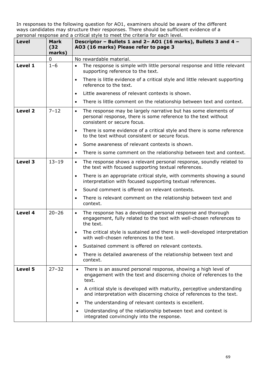| Level   | Mark<br>(32)<br>marks) | personal response and a chilical style to meet the chilena for each level.<br>Descriptor - Bullets 1 and 2- A01 (16 marks), Bullets 3 and 4 -<br>AO3 (16 marks) Please refer to page 3 |
|---------|------------------------|----------------------------------------------------------------------------------------------------------------------------------------------------------------------------------------|
|         | 0                      | No rewardable material.                                                                                                                                                                |
| Level 1 | $1 - 6$                | The response is simple with little personal response and little relevant<br>$\bullet$<br>supporting reference to the text.                                                             |
|         |                        | There is little evidence of a critical style and little relevant supporting<br>$\bullet$<br>reference to the text.                                                                     |
|         |                        | Little awareness of relevant contexts is shown.<br>$\bullet$                                                                                                                           |
|         |                        | There is little comment on the relationship between text and context.<br>$\bullet$                                                                                                     |
| Level 2 | $7 - 12$               | The response may be largely narrative but has some elements of<br>$\bullet$<br>personal response, there is some reference to the text without<br>consistent or secure focus.           |
|         |                        | There is some evidence of a critical style and there is some reference<br>$\bullet$<br>to the text without consistent or secure focus.                                                 |
|         |                        | Some awareness of relevant contexts is shown.<br>$\bullet$                                                                                                                             |
|         |                        | There is some comment on the relationship between text and context.<br>$\bullet$                                                                                                       |
| Level 3 | $13 - 19$              | The response shows a relevant personal response, soundly related to<br>$\bullet$<br>the text with focused supporting textual references.                                               |
|         |                        | There is an appropriate critical style, with comments showing a sound<br>$\bullet$<br>interpretation with focused supporting textual references.                                       |
|         |                        | Sound comment is offered on relevant contexts.<br>$\bullet$                                                                                                                            |
|         |                        | There is relevant comment on the relationship between text and<br>$\bullet$<br>context.                                                                                                |
| Level 4 | $20 - 26$              | The response has a developed personal response and thorough<br>$\bullet$<br>engagement, fully related to the text with well-chosen references to<br>the text.                          |
|         |                        | The critical style is sustained and there is well-developed interpretation<br>$\bullet$<br>with well-chosen references to the text.                                                    |
|         |                        | Sustained comment is offered on relevant contexts.<br>$\bullet$                                                                                                                        |
|         |                        | There is detailed awareness of the relationship between text and<br>$\bullet$<br>context.                                                                                              |
| Level 5 | $27 - 32$              | There is an assured personal response, showing a high level of<br>$\bullet$<br>engagement with the text and discerning choice of references to the<br>text.                            |
|         |                        | A critical style is developed with maturity, perceptive understanding<br>and interpretation with discerning choice of references to the text.                                          |
|         |                        | The understanding of relevant contexts is excellent.<br>$\bullet$                                                                                                                      |
|         |                        | Understanding of the relationship between text and context is<br>$\bullet$<br>integrated convincingly into the response.                                                               |